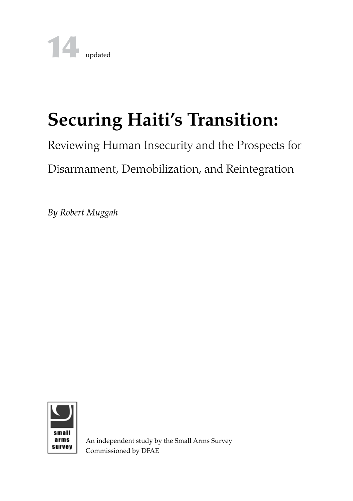# **Securing Haiti's Transition:**

# Reviewing Human Insecurity and the Prospects for

# Disarmament, Demobilization, and Reintegration

*By Robert Muggah*



An independent study by the Small Arms Survey Commissioned by DFAE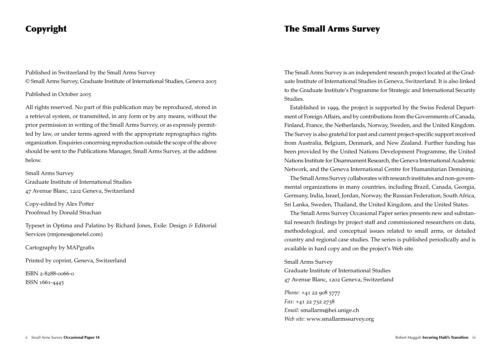# Copyright

Published in Switzerland by the Small Arms Survey © Small Arms Survey, Graduate Institute of International Studies, Geneva 2005

### Published in October 2005

All rights reserved. No part of this publication may be reproduced, stored in a retrieval system, or transmitted, in any form or by any means, without the prior permission in writing of the Small Arms Survey, or as expressly permitted by law, or under terms agreed with the appropriate reprographics rights organization. Enquiries concerning reproduction outside the scope of the above should be sent to the Publications Manager, Small Arms Survey, at the address below.

### Small Arms Survey

Graduate Institute of International Studies 47 Avenue Blanc, 1202 Geneva, Switzerland

Copy-edited by Alex Potter Proofread by Donald Strachan

Typeset in Optima and Palatino by Richard Jones, Exile: Design *&* Editorial Services (rmjones@onetel.com)

Cartography by MAPgrafix

Printed by coprint, Geneva, Switzerland

ISBN 2-8288-0066-0 ISSN 1661-4445

# The Small Arms Survey

The Small Arms Survey is an independent research project located at the Graduate Institute of International Studies in Geneva, Switzerland. It is also linked to the Graduate Institute's Programme for Strategic and International Security Studies.

Established in 1999, the project is supported by the Swiss Federal Department of Foreign Affairs, and by contributions from the Governments of Canada, Finland, France, the Netherlands, Norway, Sweden, and the United Kingdom. The Survey is also grateful for past and current project-specific support received from Australia, Belgium, Denmark, and New Zealand. Further funding has been provided by the United Nations Development Programme, the United Nations Institute for Disarmament Research, the Geneva International Academic Network, and the Geneva International Centre for Humanitarian Demining.

The Small Arms Survey collaborates with research institutes and non-governmental organizations in many countries, including Brazil, Canada, Georgia, Germany, India, Israel, Jordan, Norway, the Russian Federation, South Africa, Sri Lanka, Sweden, Thailand, the United Kingdom, and the United States.

The Small Arms Survey Occasional Paper series presents new and substantial research findings by project staff and commissioned researchers on data, methodological, and conceptual issues related to small arms, or detailed country and regional case studies. The series is published periodically and is available in hard copy and on the project's Web site.

### Small Arms Survey

Graduate Institute of International Studies 47 Avenue Blanc, 1202 Geneva, Switzerland

*Phone:* +41 22 908 5777 *Fax:* +41 22 732 2738 *Email:* smallarm@hei.unige.ch *Web site:* www.smallarmssurvey.org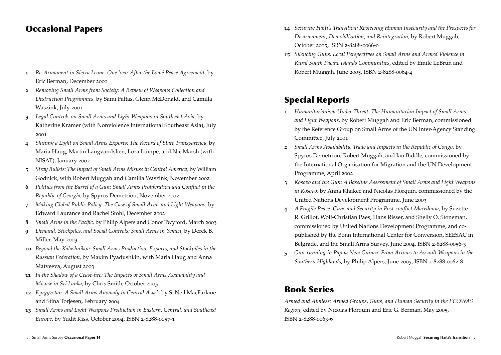# Occasional Papers

- **1** *Re-Armament in Sierra Leone: One Year After the Lomé Peace Agreement,* by Eric Berman, December 2000
- **2** *Removing Small Arms from Society: A Review of Weapons Collection and Destruction Programmes,* by Sami Faltas, Glenn McDonald, and Camilla Waszink, July 2001
- **3** *Legal Controls on Small Arms and Light Weapons in Southeast Asia,* by Katherine Kramer (with Nonviolence International Southeast Asia), July 2001
- **4** *Shining a Light on Small Arms Exports: The Record of State Transparency,* by Maria Haug, Martin Langvandslien, Lora Lumpe, and Nic Marsh (with NISAT), January 2002
- **5** *Stray Bullets: The Impact of Small Arms Misuse in Central America,* by William Godnick, with Robert Muggah and Camilla Waszink, November 2002
- **6** *Politics from the Barrel of a Gun: Small Arms Proliferation and Conflict in the Republic of Georgia,* by Spyros Demetriou, November 2002
- **7** *Making Global Public Policy: The Case of Small Arms and Light Weapons,* by Edward Laurance and Rachel Stohl, December 2002
- **8** *Small Arms in the Pacific,* by Philip Alpers and Conor Twyford, March 2003
- **9** *Demand, Stockpiles, and Social Controls: Small Arms in Yemen,* by Derek B. Miller, May 2003
- **10** *Beyond the Kalashnikov: Small Arms Production, Exports, and Stockpiles in the Russian Federation,* by Maxim Pyadushkin, with Maria Haug and Anna Matveeva, August 2003
- **11** *In the Shadow of a Cease-fire: The Impacts of Small Arms Availability and Misuse in Sri Lanka,* by Chris Smith, October 2003
- **12** *Kyrgyzstan: A Small Arms Anomaly in Central Asia?,* by S. Neil MacFarlane and Stina Torjesen, February 2004
- **13** *Small Arms and Light Weapons Production in Eastern, Central, and Southeast Europe*, by Yudit Kiss, October 2004, ISBN 2-8288-0057-1
- **14** *Securing Haiti's Transition: Reviewing Human Insecurity and the Prospects for Disarmament, Demobilization, and Reintegration*, by Robert Muggah, October 2005, ISBN 2-8288-0066-0
- **15** *Silencing Guns: Local Perspectives on Small Arms and Armed Violence in Rural South Pacific Islands Communities*, edited by Emile LeBrun and Robert Muggah, June 2005, ISBN 2-8288-0064-4

# Special Reports

- **1** *Humanitarianism Under Threat: The Humanitarian Impact of Small Arms and Light Weapons,* by Robert Muggah and Eric Berman, commissioned by the Reference Group on Small Arms of the UN Inter-Agency Standing Committee, July 2001
- **2** *Small Arms Availability, Trade and Impacts in the Republic of Congo,* by Spyros Demetriou, Robert Muggah, and Ian Biddle, commissioned by the International Organisation for Migration and the UN Development Programme, April 2002
- **3** *Kosovo and the Gun: A Baseline Assessment of Small Arms and Light Weapons in Kosovo,* by Anna Khakee and Nicolas Florquin, commissioned by the United Nations Development Programme, June 2003
- **4** *A Fragile Peace: Guns and Security in Post-conflict Macedonia,* by Suzette R. Grillot, Wolf-Christian Paes, Hans Risser, and Shelly O. Stoneman, commissioned by United Nations Development Programme, and copublished by the Bonn International Center for Conversion, SEESAC in Belgrade, and the Small Arms Survey, June 2004, ISBN 2-8288-0056-3
- **5** *Gun-running in Papua New Guinea: From Arrows to Assault Weapons in the Southern Highlands*, by Philip Alpers, June 2005, ISBN 2-8288-0062-8

# Book Series

*Armed and Aimless: Armed Groups, Guns, and Human Security in the ECOWAS Region,* edited by Nicolas Florquin and Eric G. Berman, May 2005, ISBN 2-8288-0063-6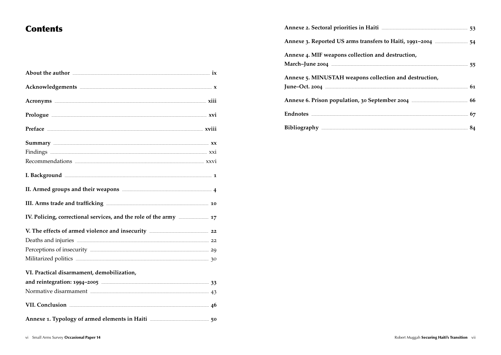# **Contents**

| About the author <b>contract of the author</b> is ix                                                                                                                                                                                 |  |
|--------------------------------------------------------------------------------------------------------------------------------------------------------------------------------------------------------------------------------------|--|
| Acknowledgements <b>Exetiments</b> X                                                                                                                                                                                                 |  |
| Acronyms <b>Example 21</b> xiii                                                                                                                                                                                                      |  |
|                                                                                                                                                                                                                                      |  |
| Preface <b>with a series of the contract of the contract of the contract of the contract of the contract of the contract of the contract of the contract of the contract of the contract of the contract of the contract of the </b> |  |
| Summary XX                                                                                                                                                                                                                           |  |
|                                                                                                                                                                                                                                      |  |
|                                                                                                                                                                                                                                      |  |
| I. Background <u>with the community of the contract of the contract of the contract of the contract of the contract of the contract of the contract of the contract of the contract of the contract of the contract of the contr</u> |  |
| II. Armed groups and their weapons <b>container and their weapons</b> 4                                                                                                                                                              |  |
|                                                                                                                                                                                                                                      |  |
| IV. Policing, correctional services, and the role of the army <b>EDIM</b> 17                                                                                                                                                         |  |
| V. The effects of armed violence and insecurity <b>Example 22</b> 22                                                                                                                                                                 |  |
| Deaths and injuries <b>Exercise According to the COVID-22</b>                                                                                                                                                                        |  |
| Perceptions of insecurity <b>Execurity</b> 29                                                                                                                                                                                        |  |
| Militarized politics 30                                                                                                                                                                                                              |  |
| VI. Practical disarmament, demobilization,                                                                                                                                                                                           |  |
| and reintegration: 1994-2005 <b>Constanting the Constantine Constantine Constantine Constantine Constantine Const</b>                                                                                                                |  |
| Normative disarmament <b>Executive Executive Contract 23</b>                                                                                                                                                                         |  |
| VII. Conclusion 26                                                                                                                                                                                                                   |  |
| Annexe 1. Typology of armed elements in Haiti <b>Engineeral Exception</b> 50                                                                                                                                                         |  |

| Annexe 3. Reported US arms transfers to Haiti, 1991-2004 <b>Manage 2018</b> 54 |  |
|--------------------------------------------------------------------------------|--|
| Annexe 4. MIF weapons collection and destruction,                              |  |
|                                                                                |  |
| Annexe 5. MINUSTAH weapons collection and destruction,                         |  |
|                                                                                |  |
| Annexe 6. Prison population, 30 September 2004 <b>Manual</b> 56                |  |
| Endnotes <b>2008</b> 57                                                        |  |
| Bibliography 24                                                                |  |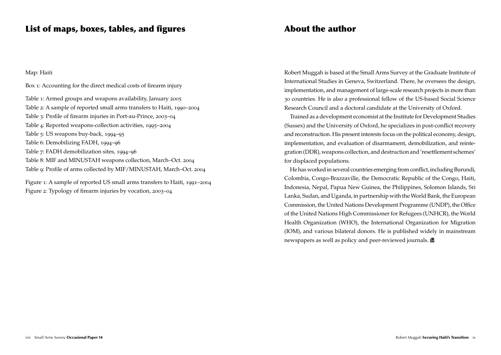### Map: Haiti

Box 1: Accounting for the direct medical costs of firearm injury

Table 1: Armed groups and weapons availability, January 2005 Table 2: A sample of reported small arms transfers to Haiti, 1990–2004 Table 3: Profile of firearm injuries in Port-au-Prince, 2003–04 Table 4: Reported weapons-collection activities, 1995–2004 Table 5: US weapons buy-back, 1994–95 Table 6: Demobilizing FADH, 1994–96 Table 7: FADH demobilization sites, 1994–96 Table 8: MIF and MINUSTAH weapons collection, March–Oct. 2004 Table 9: Profile of arms collected by MIF/MINUSTAH, March–Oct. 2004

Figure 1: A sample of reported US small arms transfers to Haiti, 1991–2004 Figure 2: Typology of firearm injuries by vocation, 2003–04

# About the author

Robert Muggah is based at the Small Arms Survey at the Graduate Institute of International Studies in Geneva, Switzerland. There, he oversees the design, implementation, and management of large-scale research projects in more than 30 countries. He is also a professional fellow of the US-based Social Science Research Council and a doctoral candidate at the University of Oxford.

Trained as a development economist at the Institute for Development Studies (Sussex) and the University of Oxford, he specializes in post-conflict recovery and reconstruction. His present interests focus on the political economy, design, implementation, and evaluation of disarmament, demobilization, and reintegration (DDR), weapons collection, and destruction and 'resettlement schemes' for displaced populations.

He has worked in several countries emerging from conflict, including Burundi, Colombia, Congo-Brazzaville, the Democratic Republic of the Congo, Haiti, Indonesia, Nepal, Papua New Guinea, the Philippines, Solomon Islands, Sri Lanka, Sudan, and Uganda, in partnership with the World Bank, the European Commission, the United Nations Development Programme (UNDP), the Office of the United Nations High Commissioner for Refugees (UNHCR), the World Health Organization (WHO), the International Organization for Migration (IOM), and various bilateral donors. He is published widely in mainstream newspapers as well as policy and peer-reviewed journals.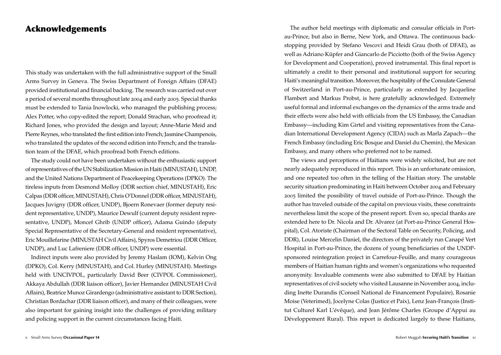## Acknowledgements

This study was undertaken with the full administrative support of the Small Arms Survey in Geneva. The Swiss Department of Foreign Affairs (DFAE) provided institutional and financial backing. The research was carried out over a period of several months throughout late 2004 and early 2005. Special thanks must be extended to Tania Inowlocki, who managed the publishing process; Alex Potter, who copy-edited the report; Donald Strachan, who proofread it; Richard Jones, who provided the design and layout; Anne-Marie Meid and Pierre Reynes, who translated the first edition into French; Jasmine Champenois, who translated the updates of the second edition into French; and the translation team of the DFAE, which proofread both French editions.

The study could not have been undertaken without the enthusiastic support of representatives of the UN Stabilization Mission in Haiti (MINUSTAH), UNDP, and the United Nations Department of Peacekeeping Operations (DPKO). The tireless inputs from Desmond Molloy (DDR section chief, MINUSTAH), Eric Calpas (DDR officer, MINUSTAH), Chris O'Donnel (DDR officer, MINUSTAH), Jacques Juvigny (DDR officer, UNDP), Bjoern Ronevaer (former deputy resident representative, UNDP), Maurice Dewulf (current deputy resident representative, UNDP), Moncef Ghrib (UNDP officer), Adama Guindo (deputy Special Representative of the Secretary-General and resident representative), Eric Mouillefarine (MINUSTAH Civil Affairs), Spyros Demetriou (DDR Officer, UNDP), and Luc Lafreniere (DDR officer, UNDP) were essential.

Indirect inputs were also provided by Jeremy Haslam (IOM), Kelvin Ong (DPKO), Col. Kerry (MINUSTAH), and Col. Hurley (MINUSTAH). Meetings held with UNCIVPOL, particularly David Beer (CIVPOL Commissioner), Akkaya Abdullah (DDR liaison officer), Javier Hernandez (MINUSTAH Civil Affairs), Beatrice Munoz Girardengo (administrative assistant to DDR Section), Christian Bordachar (DDR liaison officer), and many of their colleagues, were also important for gaining insight into the challenges of providing military and policing support in the current circumstances facing Haiti.

The author held meetings with diplomatic and consular officials in Portau-Prince, but also in Berne, New York, and Ottawa. The continuous backstopping provided by Stefano Vescovi and Heidi Grau (both of DFAE), as well as Adriano Küpfer and Giancarlo de Picciotto (both of the Swiss Agency for Development and Cooperation), proved instrumental. This final report is ultimately a credit to their personal and institutional support for securing Haiti's meaningful transition. Moreover, the hospitality of the Consulate General of Switzerland in Port-au-Prince, particularly as extended by Jacqueline Flambert and Markus Probst, is here gratefully acknowledged. Extremely useful formal and informal exchanges on the dynamics of the arms trade and their effects were also held with officials from the US Embassy, the Canadian Embassy—including Kim Girtel and visiting representatives from the Canadian International Development Agency (CIDA) such as Marla Zapach—the French Embassy (including Eric Bosque and Daniel du Chemin), the Mexican Embassy, and many others who preferred not to be named.

The views and perceptions of Haitians were widely solicited, but are not nearly adequately reproduced in this report. This is an unfortunate omission, and one repeated too often in the telling of the Haitian story. The unstable security situation predominating in Haiti between October 2004 and February 2005 limited the possibility of travel outside of Port-au-Prince. Though the author has traveled outside of the capital on previous visits, these constraints nevertheless limit the scope of the present report. Even so, special thanks are extended here to Dr. Nicola and Dr. Alvarez (at Port-au-Prince General Hospital), Col. Atoriste (Chairman of the Sectoral Table on Security, Policing, and DDR), Louise Mercelin Daniel, the directors of the privately run Canapé Vert Hospital in Port-au-Prince, the dozens of young beneficiaries of the UNDPsponsored reintegration project in Carrefour-Feuille, and many courageous members of Haitian human rights and women's organizations who requested anonymity. Invaluable comments were also submitted to DFAE by Haitian representatives of civil society who visited Lausanne in November 2004, including Inette Durandis (Conseil National de Financement Populaire), Rosanie Moise (Veterimed), Jocelyne Colas (Justice et Paix), Lenz Jean-François (Institut Culturel Karl L'évêque), and Jean Jérôme Charles (Groupe d'Appui au Développement Rural). This report is dedicated largely to these Haitians,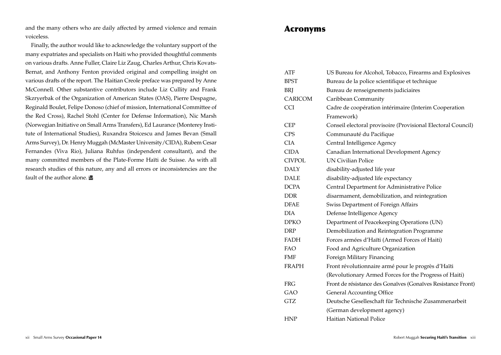and the many others who are daily affected by armed violence and remain voiceless.

Finally, the author would like to acknowledge the voluntary support of the many expatriates and specialists on Haiti who provided thoughtful comments on various drafts. Anne Fuller, Claire Liz Zaug, Charles Arthur, Chris Kovats-Bernat, and Anthony Fenton provided original and compelling insight on various drafts of the report. The Haitian Creole preface was prepared by Anne McConnell. Other substantive contributors include Liz Cullity and Frank Skzryerbak of the Organization of American States (OAS), Pierre Despagne, Reginald Boulet, Felipe Donoso (chief of mission, International Committee of the Red Cross), Rachel Stohl (Center for Defense Information), Nic Marsh (Norwegian Initiative on Small Arms Transfers), Ed Laurance (Monterey Institute of International Studies), Ruxandra Stoicescu and James Bevan (Small Arms Survey), Dr. Henry Muggah (McMaster University/CIDA), Rubem Cesar Fernandes (Viva Rio), Juliana Ruhfus (independent consultant), and the many committed members of the Plate-Forme Haïti de Suisse. As with all research studies of this nature, any and all errors or inconsistencies are the fault of the author alone.

### Acronyms

| ATF           | US Bureau for Alcohol, Tobacco, Firearms and Explosives      |
|---------------|--------------------------------------------------------------|
| <b>BPST</b>   | Bureau de la police scientifique et technique                |
| BRJ           | Bureau de renseignements judiciaires                         |
| CARICOM       | Caribbean Community                                          |
| <b>CCI</b>    | Cadre de coopération intérimaire (Interim Cooperation        |
|               | Framework)                                                   |
| <b>CEP</b>    | Conseil electoral provisoire (Provisional Electoral Council) |
| <b>CPS</b>    | Communauté du Pacifique                                      |
| <b>CIA</b>    | Central Intelligence Agency                                  |
| <b>CIDA</b>   | Canadian International Development Agency                    |
| <b>CIVPOL</b> | <b>UN Civilian Police</b>                                    |
| <b>DALY</b>   | disability-adjusted life year                                |
| <b>DALE</b>   | disability-adjusted life expectancy                          |
| <b>DCPA</b>   | Central Department for Administrative Police                 |
| <b>DDR</b>    | disarmament, demobilization, and reintegration               |
| <b>DFAE</b>   | Swiss Department of Foreign Affairs                          |
| <b>DIA</b>    | Defense Intelligence Agency                                  |
| <b>DPKO</b>   | Department of Peacekeeping Operations (UN)                   |
| <b>DRP</b>    | Demobilization and Reintegration Programme                   |
| FADH          | Forces armées d'Haïti (Armed Forces of Haiti)                |
| <b>FAO</b>    | Food and Agriculture Organization                            |
| <b>FMF</b>    | Foreign Military Financing                                   |
| <b>FRAPH</b>  | Front révolutionnaire armé pour le progrès d'Haïti           |
|               | (Revolutionary Armed Forces for the Progress of Haiti)       |
| FRG           | Front de résistance des Gonaïves (Gonaïves Resistance Front) |
| GAO           | <b>General Accounting Office</b>                             |
| <b>GTZ</b>    | Deutsche Geselleschaft für Technische Zusammenarbeit         |
|               | (German development agency)                                  |
| <b>HNP</b>    | Haitian National Police                                      |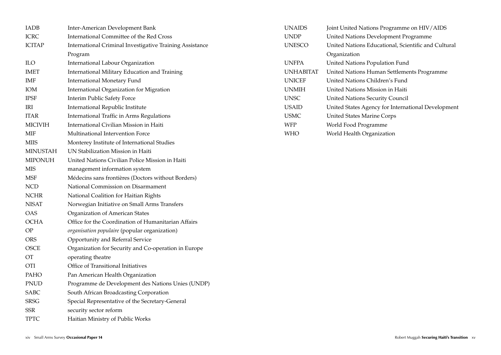| <b>IADB</b>     | Inter-American Development Bank                          | <b>UNAIDS</b>    | Joint United Nations Programme on HIV/AIDS          |
|-----------------|----------------------------------------------------------|------------------|-----------------------------------------------------|
| <b>ICRC</b>     | International Committee of the Red Cross                 | <b>UNDP</b>      | United Nations Development Programme                |
| <b>ICITAP</b>   | International Criminal Investigative Training Assistance | <b>UNESCO</b>    | United Nations Educational, Scientific and Cultural |
|                 | Program                                                  |                  | Organization                                        |
| <b>ILO</b>      | International Labour Organization                        | <b>UNFPA</b>     | United Nations Population Fund                      |
| <b>IMET</b>     | International Military Education and Training            | <b>UNHABITAT</b> | United Nations Human Settlements Programme          |
| IMF             | <b>International Monetary Fund</b>                       | <b>UNICEF</b>    | United Nations Children's Fund                      |
| <b>IOM</b>      | International Organization for Migration                 | <b>UNMIH</b>     | United Nations Mission in Haiti                     |
| <b>IPSF</b>     | Interim Public Safety Force                              | <b>UNSC</b>      | <b>United Nations Security Council</b>              |
| IRI             | International Republic Institute                         | <b>USAID</b>     | United States Agency for International Development  |
| <b>ITAR</b>     | International Traffic in Arms Regulations                | <b>USMC</b>      | <b>United States Marine Corps</b>                   |
| <b>MICIVIH</b>  | International Civilian Mission in Haiti                  | <b>WFP</b>       | World Food Programme                                |
| <b>MIF</b>      | Multinational Intervention Force                         | <b>WHO</b>       | World Health Organization                           |
| <b>MIIS</b>     | Monterey Institute of International Studies              |                  |                                                     |
| <b>MINUSTAH</b> | UN Stabilization Mission in Haiti                        |                  |                                                     |
| <b>MIPONUH</b>  | United Nations Civilian Police Mission in Haiti          |                  |                                                     |
| <b>MIS</b>      | management information system                            |                  |                                                     |
| <b>MSF</b>      | Médecins sans frontières (Doctors without Borders)       |                  |                                                     |
| <b>NCD</b>      | National Commission on Disarmament                       |                  |                                                     |
| <b>NCHR</b>     | National Coalition for Haitian Rights                    |                  |                                                     |
| <b>NISAT</b>    | Norwegian Initiative on Small Arms Transfers             |                  |                                                     |
| <b>OAS</b>      | Organization of American States                          |                  |                                                     |
| <b>OCHA</b>     | Office for the Coordination of Humanitarian Affairs      |                  |                                                     |
| OP              | organisation populaire (popular organization)            |                  |                                                     |
| <b>ORS</b>      | Opportunity and Referral Service                         |                  |                                                     |
| <b>OSCE</b>     | Organization for Security and Co-operation in Europe     |                  |                                                     |
| <b>OT</b>       | operating theatre                                        |                  |                                                     |
| OTI             | Office of Transitional Initiatives                       |                  |                                                     |
| PAHO            | Pan American Health Organization                         |                  |                                                     |
| <b>PNUD</b>     | Programme de Development des Nations Unies (UNDP)        |                  |                                                     |
| SABC            | South African Broadcasting Corporation                   |                  |                                                     |
| <b>SRSG</b>     | Special Representative of the Secretary-General          |                  |                                                     |
| SSR             | security sector reform                                   |                  |                                                     |
| <b>TPTC</b>     | Haitian Ministry of Public Works                         |                  |                                                     |
|                 |                                                          |                  |                                                     |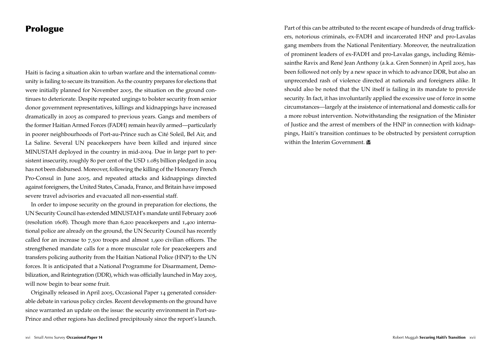### Prologue

Haiti is facing a situation akin to urban warfare and the international community is failing to secure its transition. As the country prepares for elections that were initially planned for November 2005, the situation on the ground continues to deteriorate. Despite repeated urgings to bolster security from senior donor government representatives, killings and kidnappings have increased dramatically in 2005 as compared to previous years. Gangs and members of the former Haitian Armed Forces (FADH) remain heavily armed—particularly in poorer neighbourhoods of Port-au-Prince such as Cité Soleil, Bel Air, and La Saline. Several UN peacekeepers have been killed and injured since MINUSTAH deployed in the country in mid-2004. Due in large part to persistent insecurity, roughly 80 per cent of the USD 1.085 billion pledged in 2004 has not been disbursed. Moreover, following the killing of the Honorary French Pro-Consul in June 2005, and repeated attacks and kidnappings directed against foreigners, the United States, Canada, France, and Britain have imposed severe travel advisories and evacuated all non-essential staff.

In order to impose security on the ground in preparation for elections, the UN Security Council has extended MINUSTAH's mandate until February 2006 (resolution 1608). Though more than 6,200 peacekeepers and 1,400 international police are already on the ground, the UN Security Council has recently called for an increase to 7,500 troops and almost 1,900 civilian officers. The strengthened mandate calls for a more muscular role for peacekeepers and transfers policing authority from the Haitian National Police (HNP) to the UN forces. It is anticipated that a National Programme for Disarmament, Demobilization, and Reintegration (DDR), which was officially launched in May 2005, will now begin to bear some fruit.

Originally released in April 2005, Occasional Paper 14 generated considerable debate in various policy circles. Recent developments on the ground have since warranted an update on the issue: the security environment in Port-au-Prince and other regions has declined precipitously since the report's launch.

Part of this can be attributed to the recent escape of hundreds of drug traffickers, notorious criminals, ex-FADH and incarcerated HNP and pro-Lavalas gang members from the National Penitentiary. Moreover, the neutralization of prominent leaders of ex-FADH and pro-Lavalas gangs, including Rémissainthe Ravix and René Jean Anthony (a.k.a. Gren Sonnen) in April 2005, has been followed not only by a new space in which to advance DDR, but also an unprecended rash of violence directed at nationals and foreigners alike. It should also be noted that the UN itself is failing in its mandate to provide security. In fact, it has involuntarily applied the excessive use of force in some circumstances—largely at the insistence of international and domestic calls for a more robust intervention. Notwithstanding the resignation of the Minister of Justice and the arrest of members of the HNP in connection with kidnappings, Haiti's transition continues to be obstructed by persistent corruption within the Interim Government.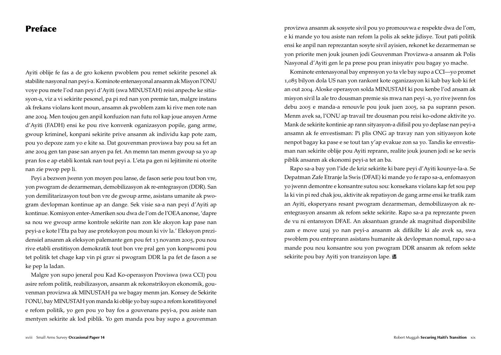### Preface

Ayiti oblije fe fas a de gro kokenn pwoblem pou remet sekirite pesonel ak stabilite nasyonal nan peyi-a. Kominote entenasyonal ansanm ak Misyon l'ONU voye pou mete l'od nan peyi d'Ayiti (swa MINUSTAH) reisi anpeche ke sitiasyon-a, viz a vi sekirite pesonel, pa pi red nan yon premie tan, malgre instans ak frekans violans kont moun, ansamn ak pwoblem zam ki rive men rote nan ane 2004. Men toujou gen anpil konfuzion nan futu rol kap joue ansyen Arme d'Ayiti (FADH) ensi ke pou rive konvenk oganizasyon popile, gang arme, gwoup kriminel, konpani sekirite prive ansanm ak individu kap pote zam, pou yo depoze zam yo e kite sa. Dat gouvenman proviswa bay pou sa fet an ane 2004 gen tan pase san anyen pa fet. An memn tan menm gwoup sa yo ap pran fos e ap etabli kontak nan tout peyi a. L'eta pa gen ni lejitimite ni otorite nan zie pwop pep li.

Peyi a bezwen jwenn yon moyen pou lanse, de fason serie pou tout bon vre, yon pwogram de dezarmeman, demobilizasyon ak re-entegrasyon (DDR). San yon demilitarizasyon tout bon vre de gwoup arme, asistans umanite ak pwogram devlopman kontinue ap an dange. Sek visie sa-a nan peyi d'Ayiti ap kontinue. Komisyon enter-Ameriken sou dwa de l'om de l'OEA anonse, 'dapre sa nou we gwoup arme kontrole sekirite nan zon kle aksyon kap pase nan peyi-a e kote l'Eta pa bay ase proteksyon pou moun ki viv la.' Eleksyon prezidensiel ansanm ak eleksyon palemante gen pou fet 13 novanm 2005, pou nou rive etabli enstitisyon demokratik tout bon vre pral gen yon konpwomi pou tet politik tet chage kap vin pi grav si pwogram DDR la pa fet de fason a se ke pep la ladan.

Malgre yon supo jeneral pou Kad Ko-operasyon Proviswa (swa CCI) pou asire refom politik, reabilizasyon, ansanm ak rekonstriksyon ekonomik, gouvenman provizwa ak MINUSTAH pa we bagay menm jan. Konsey de Sekirite l'ONU, bay MINUSTAH yon manda ki oblije yo bay supo a refom konstitisyonel e refom politik, yo gen pou yo bay fos a gouvenans peyi-a, pou asiste nan mentyen sekirite ak lod piblik. Yo gen manda pou bay supo a gouvenman provizwa ansanm ak sosyete sivil pou yo promouvwa e respekte dwa de l'om, e ki mande yo tou asiste nan refom la polis ak sekte jidisye. Tout pati politik ensi ke anpil nan reprezantan sosyte sivil ayisien, rekonet ke dezarmeman se yon priorite men jouk jounen jodi Gouvenman Provizwa-a ansanm ak Polis Nasyonal d'Ayiti gen le pa prese pou pran inisyativ pou bagay yo mache.

Kominote entenasyonal bay enpresyon yo ta vle bay supo a CCI—yo promet 1,085 bilyon dola US nan yon rankont kote oganizasyon ki kab bay kob ki fet an out 2004. Aloske operasyon solda MINUSTAH ki pou kenbe l'od ansam ak misyon sivil la ale tro dousman premie sis mwa nan peyi -a, yo rive jwenn fos debu 2005 e manda-a renouvle pou jouk juen 2005, sa pa suprann peson. Menm avek sa, l'ONU ap travail tre dousman pou reisi ko-odone aktivite yo. Mank de sekirite kontinie ap rann sityasyon-a difisil pou yo deplase nan peyi-a ansamn ak fe envestisman: Pi plis ONG ap travay nan yon sitiyasyon kote nenpot bagay ka pase e se tout tan y'ap evakue zon sa yo. Tandis ke envestisman nan sekirite oblije pou Ayiti reprann, realite jouk jounen jodi se ke sevis piblik ansanm ak ekonomi peyi-a tet an ba.

Rapo sa-a bay yon l'ide de kriz sekirite ki bare peyi d'Ayiti kounye-la-a. Se Depatman Zafe Etranje la Swis (DFAE) ki mande yo fe rapo sa-a, enfomasyon yo jwenn demontre e konsantre sutou sou: konsekans violans kap fet sou pep la ki vin pi red chak jou, aktivite ak repatisyon de gang arme ensi ke trafik zam an Ayiti, eksperyans resant pwogram dezarmeman, demobilizasyon ak reentegrasyon ansanm ak refom sekte sekirite. Rapo sa-a pa reprezante pwen de vu ni entansyon DFAE. An aksantuan grande ak magnitud disponibilite zam e move uzaj yo nan peyi-a ansanm ak difikilte ki ale avek sa, swa pwoblem pou entreprann asistans humanite ak devlopman nomal, rapo sa-a mande pou nou konsantre sou yon pwogram DDR ansanm ak refom sekte sekirite pou bay Ayiti yon tranzisyon lape.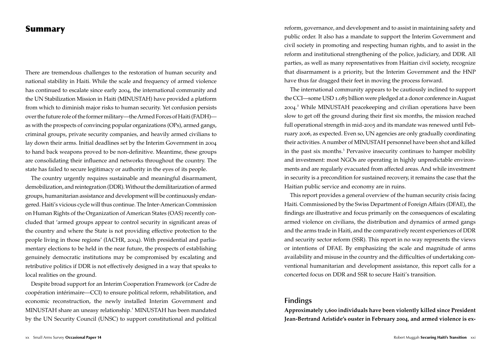### Summary

There are tremendous challenges to the restoration of human security and national stability in Haiti. While the scale and frequency of armed violence has continued to escalate since early 2004, the international community and the UN Stabilization Mission in Haiti (MINUSTAH) have provided a platform from which to diminish major risks to human security. Yet confusion persists over the future role of the former military—the Armed Forces of Haiti (FADH) as with the prospects of convincing popular organizations (OPs), armed gangs, criminal groups, private security companies, and heavily armed civilians to lay down their arms. Initial deadlines set by the Interim Government in 2004 to hand back weapons proved to be non-definitive. Meantime, these groups are consolidating their influence and networks throughout the country. The state has failed to secure legitimacy or authority in the eyes of its people.

The country urgently requires sustainable and meaningful disarmament, demobilization, and reintegration (DDR). Without the demilitarization of armed groups, humanitarian assistance and development will be continuously endangered. Haiti's vicious cycle will thus continue. The Inter-American Commission on Human Rights of the Organization of American States (OAS) recently concluded that 'armed groups appear to control security in significant areas of the country and where the State is not providing effective protection to the people living in those regions' (IACHR, 2004). With presidential and parliamentary elections to be held in the near future, the prospects of establishing genuinely democratic institutions may be compromised by escalating and retributive politics if DDR is not effectively designed in a way that speaks to local realities on the ground.

Despite broad support for an Interim Cooperation Framework (or Cadre de coopération intérimaire—CCI) to ensure political reform, rehabilitation, and economic reconstruction, the newly installed Interim Government and MINUSTAH share an uneasy relationship.<sup>1</sup> MINUSTAH has been mandated by the UN Security Council (UNSC) to support constitutional and political

reform, governance, and development and to assist in maintaining safety and public order. It also has a mandate to support the Interim Government and civil society in promoting and respecting human rights, and to assist in the reform and institutional strengthening of the police, judiciary, and DDR. All parties, as well as many representatives from Haitian civil society, recognize that disarmament is a priority, but the Interim Government and the HNP have thus far dragged their feet in moving the process forward.

The international community appears to be cautiously inclined to support the CCI—some USD 1.085 billion were pledged at a donor conference in August 2004. 2 While MINUSTAH peacekeeping and civilian operations have been slow to get off the ground during their first six months, the mission reached full operational strength in mid-2005 and its mandate was renewed until February 2006, as expected. Even so, UN agencies are only gradually coordinating their activities. A number of MINUSTAH personnel have been shot and killed in the past six months.<sup>3</sup> Pervasive insecurity continues to hamper mobility and investment: most NGOs are operating in highly unpredictable environments and are regularly evacuated from affected areas. And while investment in security is a precondition for sustained recovery, it remains the case that the Haitian public service and economy are in ruins.

This report provides a general overview of the human security crisis facing Haiti. Commissioned by the Swiss Department of Foreign Affairs (DFAE), the findings are illustrative and focus primarily on the consequences of escalating armed violence on civilians, the distribution and dynamics of armed gangs and the arms trade in Haiti, and the comparatively recent experiences of DDR and security sector reform (SSR). This report in no way represents the views or intentions of DFAE. By emphasizing the scale and magnitude of arms availability and misuse in the country and the difficulties of undertaking conventional humanitarian and development assistance, this report calls for a concerted focus on DDR and SSR to secure Haiti's transition.

### **Findings**

**Approximately 1,600 individuals have been violently killed since President Jean-Bertrand Aristide's ouster in February 2004, and armed violence is ex-**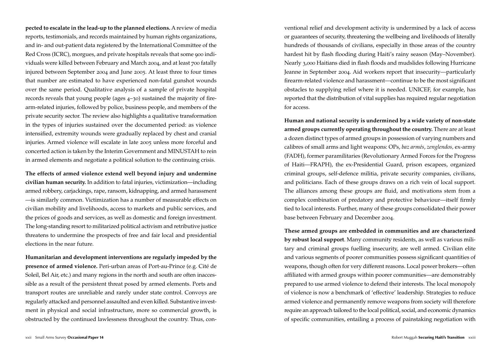**pected to escalate in the lead-up to the planned elections.** A review of media reports, testimonials, and records maintained by human rights organizations, and in- and out-patient data registered by the International Committee of the Red Cross (ICRC), morgues, and private hospitals reveals that some 900 individuals were killed between February and March 2004, and at least 700 fatally injured between September 2004 and June 2005. At least three to four times that number are estimated to have experienced non-fatal gunshot wounds over the same period. Qualitative analysis of a sample of private hospital records reveals that young people (ages 4–30) sustained the majority of firearm-related injuries, followed by police, business people, and members of the private security sector. The review also highlights a qualitative transformation in the types of injuries sustained over the documented period: as violence intensified, extremity wounds were gradually replaced by chest and cranial injuries. Armed violence will escalate in late 2005 unless more forceful and concerted action is taken by the Interim Government and MINUSTAH to rein in armed elements and negotiate a political solution to the continuing crisis.

**The effects of armed violence extend well beyond injury and undermine civilian human security.** In addition to fatal injuries, victimization—including armed robbery, carjackings, rape, ransom, kidnapping, and armed harassment —is similarly common. Victimization has a number of measurable effects on civilian mobility and livelihoods, access to markets and public services, and the prices of goods and services, as well as domestic and foreign investment. The long-standing resort to militarized political activism and retributive justice threatens to undermine the prospects of free and fair local and presidential elections in the near future.

**Humanitarian and development interventions are regularly impeded by the presence of armed violence.** Peri-urban areas of Port-au-Prince (e.g. Cité de Soleil, Bel Air, etc.) and many regions in the north and south are often inaccessible as a result of the persistent threat posed by armed elements. Ports and transport routes are unreliable and rarely under state control. Convoys are regularly attacked and personnel assaulted and even killed. Substantive investment in physical and social infrastructure, more so commercial growth, is obstructed by the continued lawlessness throughout the country. Thus, con ventional relief and development activity is undermined by a lack of access or guarantees of security, threatening the wellbeing and livelihoods of literally hundreds of thousands of civilians, especially in those areas of the country hardest hit by flash flooding during Haiti's rainy season (May–November). Nearly 3,000 Haitians died in flash floods and mudslides following Hurricane Jeanne in September 2004. Aid workers report that insecurity—particularly firearm-related violence and harassment—continue to be the most significant obstacles to supplying relief where it is needed. UNICEF, for example, has reported that the distribution of vital supplies has required regular negotiation for access.

**Human and national security is undermined by a wide variety of non-state armed groups currently operating throughout the country.** There are at least a dozen distinct types of armed groups in possession of varying numbers and calibres of small arms and light weapons: OPs, *baz armés*, *zenglendos,* ex-army (FADH), former paramilitaries (Revolutionary Armed Forces for the Progress of Haiti—FRAPH), the ex-Presidential Guard, prison escapees, organized criminal groups, self-defence militia, private security companies, civilians, and politicians. Each of these groups draws on a rich vein of local support. The alliances among these groups are fluid, and motivations stem from a complex combination of predatory and protective behaviour—itself firmly tied to local interests. Further, many of these groups consolidated their power base between February and December 2004.

**These armed groups are embedded in communities and are characterized by robust local support**. Many community residents, as well as various military and criminal groups fuelling insecurity, are well armed. Civilian elite and various segments of poorer communities possess significant quantities of weapons, though often for very different reasons. Local power brokers—often affiliated with armed groups within poorer communities—are demonstrably prepared to use armed violence to defend their interests. The local monopoly of violence is now a benchmark of 'effective' leadership. Strategies to reduce armed violence and permanently remove weapons from society will therefore require an approach tailored to the local political, social, and economic dynamics of specific communities, entailing a process of painstaking negotiation with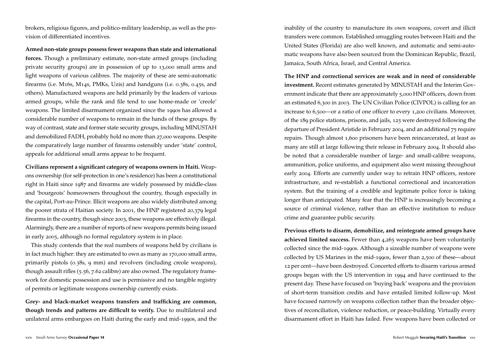brokers, religious figures, and politico-military leadership, as well as the provision of differentiated incentives.

**Armed non-state groups possess fewer weapons than state and international forces.** Though a preliminary estimate, non-state armed groups (including private security groups) are in possession of up to 13,000 small arms and light weapons of various calibres. The majority of these are semi-automatic firearms (i.e. M16s, M14s, PMKs, Uzis) and handguns (i.e. 0.38s, 0.45s, and others). Manufactured weapons are held primarily by the leaders of various armed groups, while the rank and file tend to use home-made or 'creole' weapons. The limited disarmament organized since the 1990s has allowed a considerable number of weapons to remain in the hands of these groups. By way of contrast, state and former state security groups, including MINUSTAH and demobilized FADH, probably hold no more than 27,000 weapons. Despite the comparatively large number of firearms ostensibly under 'state' control, appeals for additional small arms appear to be frequent.

**Civilians represent a significant category of weapons owners in Haiti.** Weapons ownership (for self-protection in one's residence) has been a constitutional right in Haiti since 1987 and firearms are widely possessed by middle-class and 'bourgeois' homeowners throughout the country, though especially in the capital, Port-au-Prince. Illicit weapons are also widely distributed among the poorer strata of Haitian society. In 2001, the HNP registered 20,379 legal firearms in the country, though since 2003, these weapons are effectively illegal. Alarmingly, there are a number of reports of new weapons permits being issued in early 2005, although no formal regulatory system is in place.

This study contends that the real numbers of weapons held by civilians is in fact much higher: they are estimated to own as many as 170,000 small arms, primarily pistols (0.38s, 9 mm) and revolvers (including creole weapons), though assault rifles (5.56, 7.62 calibre) are also owned. The regulatory framework for domestic possession and use is permissive and no tangible registry of permits or legitimate weapons ownership currently exists.

**Grey- and black-market weapons transfers and trafficking are common, though trends and patterns are difficult to verify.** Due to multilateral and unilateral arms embargoes on Haiti during the early and mid-1990s, and the inability of the country to manufacture its own weapons, covert and illicit transfers were common. Established smuggling routes between Haiti and the United States (Florida) are also well known, and automatic and semi-automatic weapons have also been sourced from the Dominican Republic, Brazil, Jamaica, South Africa, Israel, and Central America.

**The HNP and correctional services are weak and in need of considerable investment.** Recent estimates generated by MINUSTAH and the Interim Government indicate that there are approximately 5,000 HNP officers, down from an estimated 6,300 in 2003. The UN Civilian Police (CIVPOL) is calling for an increase to 6,500—or a ratio of one officer to every 1,200 civilians. Moreover, of the 189 police stations, prisons, and jails, 125 were destroyed following the departure of President Aristide in February 2004, and an additional 75 require repairs. Though almost 1,600 prisoners have been reincarcerated, at least as many are still at large following their release in February 2004. It should also be noted that a considerable number of large- and small-calibre weapons, ammunition, police uniforms, and equipment also went missing throughout early 2004. Efforts are currently under way to retrain HNP officers, restore infrastructure, and re-establish a functional correctional and incarceration system. But the training of a credible and legitimate police force is taking longer than anticipated. Many fear that the HNP is increasingly becoming a source of criminal violence, rather than an effective institution to reduce crime and guarantee public security.

**Previous efforts to disarm, demobilize, and reintegrate armed groups have achieved limited success.** Fewer than 4,265 weapons have been voluntarily collected since the mid-1990s. Although a sizeable number of weapons were collected by US Marines in the mid-1990s, fewer than 2,500 of these—about 12 per cent—have been destroyed. Concerted efforts to disarm various armed groups began with the US intervention in 1994 and have continued to the present day. These have focused on 'buying back' weapons and the provision of short-term transition credits and have entailed limited follow-up. Most have focused narrowly on weapons collection rather than the broader objectives of reconciliation, violence reduction, or peace-building. Virtually every disarmament effort in Haiti has failed. Few weapons have been collected or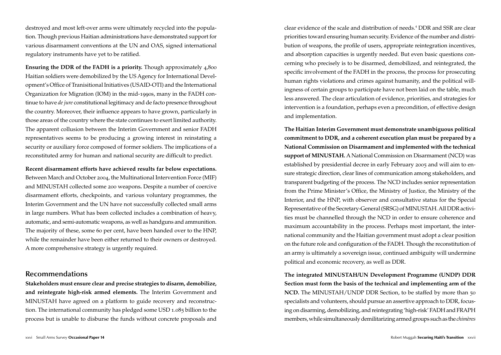destroyed and most left-over arms were ultimately recycled into the population. Though previous Haitian administrations have demonstrated support for various disarmament conventions at the UN and OAS, signed international regulatory instruments have yet to be ratified.

**Ensuring the DDR of the FADH is a priority.** Though approximately 4,800 Haitian soldiers were demobilized by the US Agency for International Development's Office of Tranisitional Initiatives (USAID-OTI) and the International Organization for Migration (IOM) in the mid-1990s, many in the FADH continue to have *de jure* constitutional legitimacy and de facto presence throughout the country. Moreover, their influence appears to have grown, particularly in those areas of the country where the state continues to exert limited authority. The apparent collusion between the Interim Government and senior FADH representatives seems to be producing a growing interest in reinstating a security or auxiliary force composed of former soldiers. The implications of a reconstituted army for human and national security are difficult to predict.

**Recent disarmament efforts have achieved results far below expectations.**  Between March and October 2004, the Multinational Intervention Force (MIF) and MINUSTAH collected some 200 weapons**.** Despite a number of coercive disarmament efforts, checkpoints, and various voluntary programmes, the Interim Government and the UN have not successfully collected small arms in large numbers. What has been collected includes a combination of heavy, automatic, and semi-automatic weapons, as well as handguns and ammunition. The majority of these, some 60 per cent, have been handed over to the HNP, while the remainder have been either returned to their owners or destroyed. A more comprehensive strategy is urgently required.

### **Recommendations**

**Stakeholders must ensure clear and precise strategies to disarm, demobilize, and reintegrate high-risk armed elements.** The Interim Government and MINUSTAH have agreed on a platform to guide recovery and reconstruction. The international community has pledged some USD 1.085 billion to the process but is unable to disburse the funds without concrete proposals and

clear evidence of the scale and distribution of needs.<sup>4</sup> DDR and SSR are clear priorities toward ensuring human security. Evidence of the number and distribution of weapons, the profile of users, appropriate reintegration incentives, and absorption capacities is urgently needed. But even basic questions concerning who precisely is to be disarmed, demobilized, and reintegrated, the specific involvement of the FADH in the process, the process for prosecuting human rights violations and crimes against humanity, and the political willingness of certain groups to participate have not been laid on the table, much less answered. The clear articulation of evidence, priorities, and strategies for intervention is a foundation, perhaps even a precondition, of effective design and implementation.

**The Haitian Interim Government must demonstrate unambiguous political commitment to DDR, and a coherent execution plan must be prepared by a National Commission on Disarmament and implemented with the technical support of MINUSTAH.** A National Commission on Disarmament (NCD) was established by presidential decree in early February 2005 and will aim to ensure strategic direction, clear lines of communication among stakeholders, and transparent budgeting of the process. The NCD includes senior representation from the Prime Minister's Office, the Ministry of Justice, the Ministry of the Interior, and the HNP, with observer and consultative status for the Special Representative of the Secretary-General (SRSG) of MINUSTAH. All DDR activities must be channelled through the NCD in order to ensure coherence and maximum accountability in the process. Perhaps most important, the international community and the Haitian government must adopt a clear position on the future role and configuration of the FADH. Though the reconstitution of an army is ultimately a sovereign issue, continued ambiguity will undermine political and economic recovery, as well as DDR.

**The integrated MINUSTAH/UN Development Programme (UNDP) DDR Section must form the basis of the technical and implementing arm of the NCD.** The MINUSTAH/UNDP DDR Section, to be staffed by more than 50 specialists and volunteers, should pursue an assertive approach to DDR, focusing on disarming, demobilizing, and reintegrating 'high-risk' FADH and FRAPH members, while simultaneously demilitarizing armed groups such as the *chimères*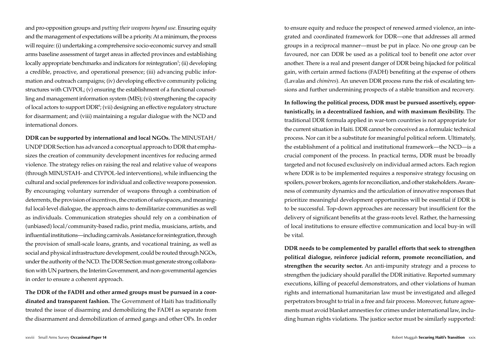and pro-opposition groups and *putting their weapons beyond use*. Ensuring equity and the management of expectations will be a priority. At a minimum, the process will require: (i) undertaking a comprehensive socio-economic survey and small arms baseline assessment of target areas in affected provinces and establishing locally appropriate benchmarks and indicators for reintegration<sup>5</sup>; (ii) developing a credible, proactive, and operational presence; (iii) advancing public information and outreach campaigns; (iv) developing effective community policing structures with CIVPOL; (v) ensuring the establishment of a functional counselling and management information system (MIS); (vi) strengthening the capacity of local actors to support  $DDR^6$ ; (vii) designing an effective regulatory structure for disarmament; and (viii) maintaining a regular dialogue with the NCD and international donors.

**DDR can be supported by international and local NGOs.** The MINUSTAH/ UNDP DDR Section has advanced a conceptual approach to DDR that emphasizes the creation of community development incentives for reducing armed violence. The strategy relies on raising the real and relative value of weapons (through MINUSTAH- and CIVPOL-led interventions), while influencing the cultural and social preferences for individual and collective weapons possession. By encouraging voluntary surrender of weapons through a combination of deterrents, the provision of incentives, the creation of safe spaces, and meaningful local-level dialogue, the approach aims to demilitarize communities as well as individuals. Communication strategies should rely on a combination of (unbiased) local/community-based radio, print media, musicians, artists, and influential institutions—including carnivals. Assistance for reintegration, through the provision of small-scale loans, grants, and vocational training, as well as social and physical infrastructure development, could be routed through NGOs, under the authority of the NCD. The DDR Section must generate strong collaboration with UN partners, the Interim Government, and non-governmental agencies in order to ensure a coherent approach.

**The DDR of the FADH and other armed groups must be pursued in a coordinated and transparent fashion.** The Government of Haiti has traditionally treated the issue of disarming and demobilizing the FADH as separate from the disarmament and demobilization of armed gangs and other OPs. In order to ensure equity and reduce the prospect of renewed armed violence, an integrated and coordinated framework for DDR—one that addresses all armed groups in a reciprocal manner—must be put in place. No one group can be favoured, nor can DDR be used as a political tool to benefit one actor over another. There is a real and present danger of DDR being hijacked for political gain, with certain armed factions (FADH) benefiting at the expense of others (Lavalas and *chimères*). An uneven DDR process runs the risk of escalating tensions and further undermining prospects of a stable transition and recovery.

**In following the political process, DDR must be pursued assertively, opportunistically, in a decentralized fashion, and with maximum flexibility.** The traditional DDR formula applied in war-torn countries is not appropriate for the current situation in Haiti. DDR cannot be conceived as a formulaic technical process. Nor can it be a substitute for meaningful political reform. Ultimately, the establishment of a political and institutional framework—the NCD—is a crucial component of the process. In practical terms, DDR must be broadly targeted and not focused exclusively on individual armed actors. Each region where DDR is to be implemented requires a responsive strategy focusing on spoilers, power brokers, agents for reconciliation, and other stakeholders. Awareness of community dynamics and the articulation of innovative responses that prioritize meaningful development opportunities will be essential if DDR is to be successful. Top-down approaches are necessary but insufficient for the delivery of significant benefits at the grass-roots level. Rather, the harnessing of local institutions to ensure effective communication and local buy-in will be vital.

**DDR needs to be complemented by parallel efforts that seek to strengthen political dialogue, reinforce judicial reform, promote reconciliation, and strengthen the security sector.** An anti-impunity strategy and a process to strengthen the judiciary should parallel the DDR initiative. Reported summary executions, killing of peaceful demonstrators, and other violations of human rights and international humanitarian law must be investigated and alleged perpetrators brought to trial in a free and fair process. Moreover, future agreements must avoid blanket amnesties for crimes under international law, including human rights violations. The justice sector must be similarly supported: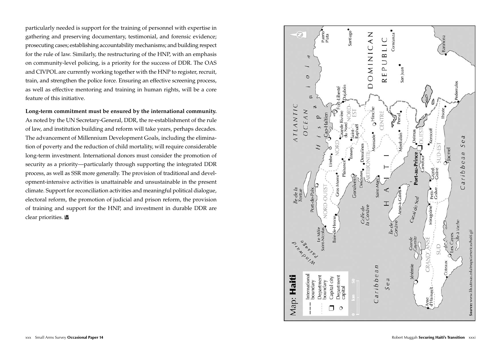particularly needed is support for the training of personnel with expertise in gathering and preserving documentary, testimonial, and forensic evidence; prosecuting cases; establishing accountability mechanisms; and building respect for the rule of law. Similarly, the restructuring of the HNP, with an emphasis on community-level policing, is a priority for the success of DDR. The OAS and CIVPOL are currently working together with the HNP to register, recruit, train, and strengthen the police force. Ensuring an effective screening process, as well as effective mentoring and training in human rights, will be a core feature of this initiative.

**Long-term commitment must be ensured by the international community.** As noted by the UN Secretary-General, DDR, the re-establishment of the rule of law, and institution building and reform will take years, perhaps decades. The advancement of Millennium Development Goals, including the elimination of poverty and the reduction of child mortality, will require considerable long-term investment. International donors must consider the promotion of security as a priority—particularly through supporting the integrated DDR process, as well as SSR more generally. The provision of traditional and development-intensive activities is unattainable and unsustainable in the present climate. Support for reconciliation activities and meaningful political dialogue, electoral reform, the promotion of judicial and prison reform, the provision of training and support for the HNP, and investment in durable DDR are clear priorities.

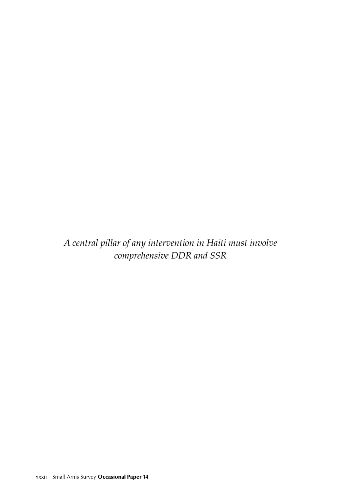*A central pillar of any intervention in Haiti must involve comprehensive DDR and SSR*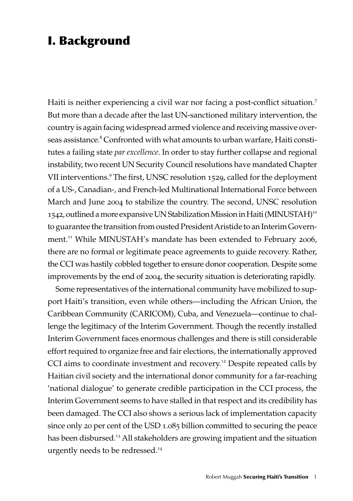# I. Background

Haiti is neither experiencing a civil war nor facing a post-conflict situation.<sup>7</sup> But more than a decade after the last UN-sanctioned military intervention, the country is again facing widespread armed violence and receiving massive overseas assistance.<sup>8</sup> Confronted with what amounts to urban warfare, Haiti constitutes a failing state *par excellence*. In order to stay further collapse and regional instability, two recent UN Security Council resolutions have mandated Chapter VII interventions.<sup>9</sup> The first, UNSC resolution 1529, called for the deployment of a US-, Canadian-, and French-led Multinational International Force between March and June 2004 to stabilize the country. The second, UNSC resolution 1542, outlined a more expansive UN Stabilization Mission in Haiti (MINUSTAH)<sup>10</sup> to guarantee the transition from ousted President Aristide to an Interim Government.<sup>11</sup> While MINUSTAH's mandate has been extended to February 2006, there are no formal or legitimate peace agreements to guide recovery. Rather, the CCI was hastily cobbled together to ensure donor cooperation. Despite some improvements by the end of 2004, the security situation is deteriorating rapidly.

Some representatives of the international community have mobilized to support Haiti's transition, even while others—including the African Union, the Caribbean Community (CARICOM), Cuba, and Venezuela—continue to challenge the legitimacy of the Interim Government. Though the recently installed Interim Government faces enormous challenges and there is still considerable effort required to organize free and fair elections, the internationally approved CCI aims to coordinate investment and recovery.<sup>12</sup> Despite repeated calls by Haitian civil society and the international donor community for a far-reaching 'national dialogue' to generate credible participation in the CCI process, the Interim Government seems to have stalled in that respect and its credibility has been damaged. The CCI also shows a serious lack of implementation capacity since only 20 per cent of the USD 1.085 billion committed to securing the peace has been disbursed.<sup>13</sup> All stakeholders are growing impatient and the situation urgently needs to be redressed.<sup>14</sup>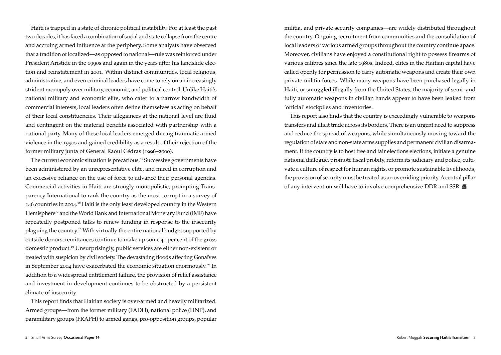Haiti is trapped in a state of chronic political instability. For at least the past two decades, it has faced a combination of social and state collapse from the centre and accruing armed influence at the periphery. Some analysts have observed that a tradition of localized—as opposed to national—rule was reinforced under President Aristide in the 1990s and again in the years after his landslide election and reinstatement in 2001. Within distinct communities, local religious, administrative, and even criminal leaders have come to rely on an increasingly strident monopoly over military, economic, and political control. Unlike Haiti's national military and economic elite, who cater to a narrow bandwidth of commercial interests, local leaders often define themselves as acting on behalf of their local constituencies. Their allegiances at the national level are fluid and contingent on the material benefits associated with partnership with a national party. Many of these local leaders emerged during traumatic armed violence in the 1990s and gained credibility as a result of their rejection of the former military junta of General Raoul Cédras (1996–2000).

The current economic situation is precarious.<sup>15</sup> Successive governments have been administered by an unrepresentative elite, and mired in corruption and an excessive reliance on the use of force to advance their personal agendas. Commercial activities in Haiti are strongly monopolistic, prompting Transparency International to rank the country as the most corrupt in a survey of 146 countries in 2004.<sup>16</sup> Haiti is the only least developed country in the Western Hemisphere<sup>17</sup> and the World Bank and International Monetary Fund (IMF) have repeatedly postponed talks to renew funding in response to the insecurity plaguing the country.<sup>18</sup> With virtually the entire national budget supported by outside donors, remittances continue to make up some 40 per cent of the gross domestic product.<sup>19</sup> Unsurprisingly, public services are either non-existent or treated with suspicion by civil society. The devastating floods affecting Gonaïves in September 2004 have exacerbated the economic situation enormously.<sup>20</sup> In addition to a widespread entitlement failure, the provision of relief assistance and investment in development continues to be obstructed by a persistent climate of insecurity.

This report finds that Haitian society is over-armed and heavily militarized. Armed groups—from the former military (FADH), national police (HNP), and paramilitary groups (FRAPH) to armed gangs, pro-opposition groups, popular militia, and private security companies—are widely distributed throughout the country. Ongoing recruitment from communities and the consolidation of local leaders of various armed groups throughout the country continue apace. Moreover, civilians have enjoyed a constitutional right to possess firearms of various calibres since the late 1980s. Indeed, elites in the Haitian capital have called openly for permission to carry automatic weapons and create their own private militia forces. While many weapons have been purchased legally in Haiti, or smuggled illegally from the United States, the majority of semi- and fully automatic weapons in civilian hands appear to have been leaked from 'official' stockpiles and inventories.

This report also finds that the country is exceedingly vulnerable to weapons transfers and illicit trade across its borders. There is an urgent need to suppress and reduce the spread of weapons, while simultaneously moving toward the regulation of state and non-state arms supplies and permanent civilian disarmament. If the country is to host free and fair elections elections, initiate a genuine national dialogue, promote fiscal probity, reform its judiciary and police, cultivate a culture of respect for human rights, or promote sustainable livelihoods, the provision of security must be treated as an overriding priority. A central pillar of any intervention will have to involve comprehensive DDR and SSR.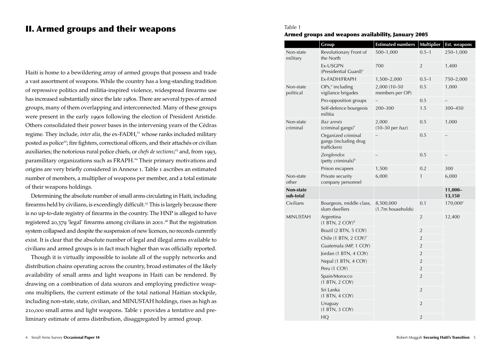## II. Armed groups and their weapons

Haiti is home to a bewildering array of armed groups that possess and trade a vast assortment of weapons. While the country has a long-standing tradition of repressive politics and militia-inspired violence, widespread firearms use has increased substantially since the late 1980s. There are several types of armed groups, many of them overlapping and interconnected. Many of these groups were present in the early 1990s following the election of President Aristide. Others consolidated their power bases in the intervening years of the Cédras regime. They include, *inter alia*, the ex-FADH,<sup>21</sup> whose ranks included military posted as police<sup>22</sup>; fire fighters, correctional officers, and their attachés or civilian auxiliaries; the notorious rural police chiefs, or *chefs de sections*; <sup>23</sup> and, from 1993, paramilitary organizations such as FRAPH.<sup>24</sup> Their primary motivations and origins are very briefly considered in Annexe 1. Table 1 ascribes an estimated number of members, a multiplier of weapons per member, and a total estimate of their weapons holdings.

Determining the absolute number of small arms circulating in Haiti, including firearms held by civilians, is exceedingly difficult.<sup>25</sup> This is largely because there is no up-to-date registry of firearms in the country. The HNP is alleged to have registered 20,379 'legal' firearms among civilians in 2001. <sup>26</sup> But the registration system collapsed and despite the suspension of new licences, no records currently exist. It is clear that the absolute number of legal and illegal arms available to civilians and armed groups is in fact much higher than was officially reported.

Though it is virtually impossible to isolate all of the supply networks and distribution chains operating across the country, broad estimates of the likely availability of small arms and light weapons in Haiti can be rendered. By drawing on a combination of data sources and employing predictive weapons multipliers, the current estimate of the total national Haitian stockpile, including non-state, state, civilian, and MINUSTAH holdings, rises as high as 210,000 small arms and light weapons. Table 1 provides a tentative and preliminary estimate of arms distribution, disaggregated by armed group.

# Table 1

### Armed groups and weapons availability, January 2005

|                        | Group                                                       | <b>Estimated numbers</b>        | <b>Multiplier</b> | Est. weapons      |
|------------------------|-------------------------------------------------------------|---------------------------------|-------------------|-------------------|
| Non-state<br>military  | Revolutionary Front of<br>the North                         | $500 - 1,000$                   | $0.5 - 1$         | 250-1,000         |
|                        | Ex-USGPN<br>(Presidential Guard) <sup>a</sup>               | 700                             | $\overline{2}$    | 1,400             |
|                        | Ex-FADH/FRAPH                                               | 1,500-2,000                     | $0.5 - 1$         | 750-2,000         |
| Non-state<br>political | $OPsra$ including<br>vigilance brigades                     | 2,000 (10-50<br>members per OP) | 0.5               | 1,000             |
|                        | Pro-opposition groups                                       |                                 | 0.5               |                   |
|                        | Self-defence bourgeois<br>militia                           | 200-300                         | 1.5               | 300-450           |
| Non-state<br>criminal  | Baz armés<br>$(criminal$ gangs) <sup>a</sup>                | 2,000<br>$(10-30$ per baz)      | 0.5               | 1,000             |
|                        | Organized criminal<br>gangs (including drug<br>traffickers) | 0.5                             |                   |                   |
|                        | Zenglendos<br>(petty criminals) <sup>b</sup>                |                                 | 0.5               |                   |
|                        | Prison escapees                                             | 1,500                           | 0.2               | 300               |
| Non-state<br>other     | Private security<br>company personnel                       | 6,000                           | $\mathbf{1}$      | 6,000             |
| Non-state<br>sub-total |                                                             |                                 |                   | 11,000-<br>13,150 |
| Civilians              | Bourgeois, middle class,<br>slum dwellers                   | 8,500,000<br>(1.7m households)  | 0.1               | $170,000^{\circ}$ |
| <b>MINUSTAH</b>        | Argentina<br>$(1 BTN, 2 COY)^d$                             |                                 | $\overline{2}$    | 12,400            |
|                        | Brazil (2 BTN, 5 COY)                                       |                                 | $\overline{2}$    |                   |
|                        | Chile (1 BTN, 2 COY) <sup>e</sup>                           |                                 | $\overline{2}$    |                   |
|                        | Guatemala (MP, 1 COY)                                       |                                 | $\overline{2}$    |                   |
|                        | Jordan (1 BTN, 4 COY)                                       |                                 | $\overline{2}$    |                   |
|                        | Nepal (1 BTN, 4 COY)                                        |                                 | $\overline{2}$    |                   |
|                        | Peru (1 COY)                                                |                                 | $\overline{2}$    |                   |
|                        | Spain/Morocco<br>(1 BTN, 2 COY)                             |                                 | $\overline{2}$    |                   |
|                        | Sri Lanka<br>(1 BTN, 4 COY)                                 |                                 | $\overline{2}$    |                   |
|                        | Uruguay<br>(1 BTN, 3 COY)                                   |                                 | $\overline{2}$    |                   |
|                        | HQ                                                          |                                 | $\overline{2}$    |                   |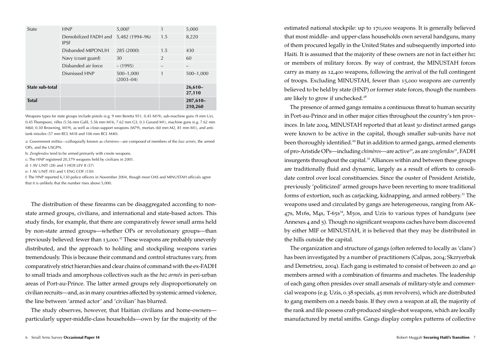| State           | <b>HNP</b>                          | $5,000^{\dagger}$              | 1              | 5,000                 |
|-----------------|-------------------------------------|--------------------------------|----------------|-----------------------|
|                 | Demobilized FADH and<br><b>IPSF</b> | 5,482 (1994-96)                | 1.5            | 8,220                 |
|                 | Disbanded MIPONUH                   | 285 (2000)                     | 1.5            | 430                   |
|                 | Navy (coast guard)                  | 30                             | $\overline{2}$ | 60                    |
|                 | Disbanded air force                 | $- (1995)$                     | -              |                       |
|                 | Dismissed HNP                       | $500 - 1,000$<br>$(2003 - 04)$ | 1              | 500-1,000             |
| State sub-total |                                     |                                |                | $26,610-$<br>27,110   |
| <b>Total</b>    |                                     |                                |                | $207,610-$<br>210,260 |

Weapons types for state groups include pistols (e.g. 9 mm Beretta 951, 0.45 M19), sub-machine guns (9 mm Uzi, 0.45 Thompson), rifles (5.56 mm Galil, 5.56 mm M16, 7.62 mm G3, 0.3 Garand M1), machine guns (e.g. 7.62 mm M60, 0.30 Browning, M19), as well as close-support weapons (M79), mortars (60 mm M2, 81 mm M1), and antitank missiles (57 mm RCL M18 and 106 mm RCL M40).

a: Government militia—colloquially known as *chimères*—are composed of members of the *baz armés*, the armed OPs, and the USGPN.

b: *Zenglendos* tend to be armed primarily with creole weapons.

c: The HNP registered 20,379 weapons held by civilians in 2001.

d: 1 AV UNIT (28) and 1 HOS LEV II (57)

e: 1 AV UNIT (93) and 1 ENG COY (150)

f: The HNP reported 6,130 police officers in November 2004, though most OAS and MINUSTAH officials agree that it is unlikely that the number rises above 5,000.

The distribution of these firearms can be disaggregated according to nonstate armed groups, civilians, and international and state-based actors. This study finds, for example, that there are comparatively fewer small arms held by non-state armed groups—whether OPs or revolutionary groups—than previously believed: fewer than 13,000. <sup>27</sup> These weapons are probably unevenly distributed, and the approach to holding and stockpiling weapons varies tremendously. This is because their command and control structures vary, from comparatively strict hierarchies and clear chains of command with the ex-FADH to small triads and amorphous collectives such as the *baz armés* in peri-urban areas of Port-au-Prince. The latter armed groups rely disproportionately on civilian recruits—and, as in many countries affected by systemic armed violence, the line between 'armed actor' and 'civilian' has blurred.

The study observes, however, that Haitian civilians and home-owners particularly upper-middle-class households—own by far the majority of the estimated national stockpile: up to 170,000 weapons. It is generally believed that most middle- and upper-class households own several handguns, many of them procured legally in the United States and subsequently imported into Haiti. It is assumed that the majority of these owners are not in fact either *baz* or members of military forces. By way of contrast, the MINUSTAH forces carry as many as 12,400 weapons, following the arrival of the full contingent of troops. Excluding MINUSTAH, fewer than 15,000 weapons are currently believed to be held by state (HNP) or former state forces, though the numbers are likely to grow if unchecked.<sup>28</sup>

The presence of armed gangs remains a continuous threat to human security in Port-au-Prince and in other major cities throughout the country's ten provinces. In late 2004, MINUSTAH reported that at least 30 distinct armed gangs were known to be active in the capital, though smaller sub-units have not been thoroughly identified.<sup>29</sup> But in addition to armed gangs, armed elements of pro-Aristide OPs—including *chimères*—are active<sup>30</sup>, as are *zenglendos*<sup>31</sup>, FADH insurgents throughout the capital.<sup>32</sup> Alliances within and between these groups are traditionally fluid and dynamic, largely as a result of efforts to consolidate control over local constituencies. Since the ouster of President Aristide, previously 'politicized' armed groups have been reverting to more traditional forms of extortion, such as carjacking, kidnapping, and armed robbery.<sup>33</sup> The weapons used and circulated by gangs are heterogeneous, ranging from AK-47s, M16s, M4s, T-65s<sup>34</sup>, M50s, and Uzis to various types of handguns (see Annexes 4 and 5). Though no significant weapons caches have been discovered by either MIF or MINUSTAH, it is believed that they may be distributed in the hills outside the capital.

The organization and structure of gangs (often referred to locally as 'clans') has been investigated by a number of practitioners (Calpas, 2004; Skzryerbak and Demetriou, 2004). Each gang is estimated to consist of between 20 and 40 members armed with a combination of firearms and machetes. The leadership of each gang often presides over small arsenals of military-style and commercial weapons (e.g. Uzis, 0.38 specials, 45 mm revolvers), which are distributed to gang members on a needs basis. If they own a weapon at all, the majority of the rank and file possess craft-produced single-shot weapons, which are locally manufactured by metal smiths. Gangs display complex patterns of collective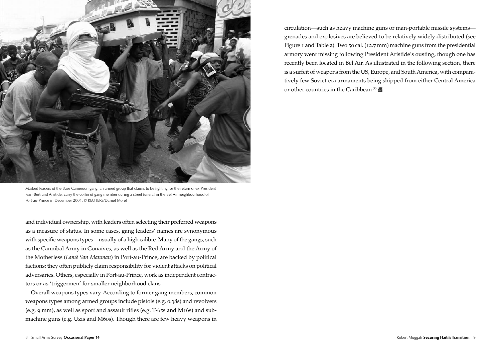

Masked leaders of the Base Cameroon gang, an armed group that claims to be fighting for the return of ex-President Jean-Bertrand Aristide, carry the coffin of gang member during a street funeral in the Bel Air neighbourhood of Port-au-Prince in December 2004. © REUTERS/Daniel Morel

and individual ownership, with leaders often selecting their preferred weapons as a measure of status. In some cases, gang leaders' names are synonymous with specific weapons types—usually of a high calibre. Many of the gangs, such as the Cannibal Army in Gonaïves, as well as the Red Army and the Army of the Motherless (*Lamè San Manman*) in Port-au-Prince, are backed by political factions; they often publicly claim responsibility for violent attacks on political adversaries. Others, especially in Port-au-Prince, work as independent contractors or as 'triggermen' for smaller neighborhood clans.

Overall weapons types vary. According to former gang members, common weapons types among armed groups include pistols (e.g. 0.38s) and revolvers (e.g. 9 mm), as well as sport and assault rifles (e.g. T-65s and M16s) and submachine guns (e.g. Uzis and M60s). Though there are few heavy weapons in circulation—such as heavy machine guns or man-portable missile systems grenades and explosives are believed to be relatively widely distributed (see Figure 1 and Table 2). Two 50 cal. (12.7 mm) machine guns from the presidential armory went missing following President Aristide's ousting, though one has recently been located in Bel Air. As illustrated in the following section, there is a surfeit of weapons from the US, Europe, and South America, with comparatively few Soviet-era armaments being shipped from either Central America or other countries in the Caribbean.<sup>35</sup>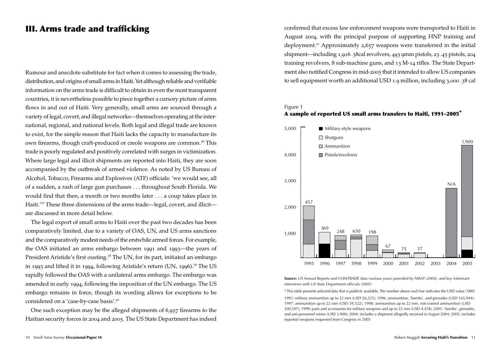### III. Arms trade and trafficking

Rumour and anecdote substitute for fact when it comes to assessing the trade, distribution, and origins of small arms in Haiti. Yet although reliable and verifiable information on the arms trade is difficult to obtain in even the most transparent countries, it is nevertheless possible to piece together a cursory picture of arms flows in and out of Haiti. Very generally, small arms are sourced through a variety of legal, covert, and illegal networks—themselves operating at the international, regional, and national levels. Both legal and illegal trade are known to exist, for the simple reason that Haiti lacks the capacity to manufacture its own firearms, though craft-produced or creole weapons are common.<sup>36</sup> This trade is poorly regulated and positively correlated with surges in victimization. Where large legal and illicit shipments are reported into Haiti, they are soon accompanied by the outbreak of armed violence. As noted by US Bureau of Alcohol, Tobacco, Firearms and Explosives (ATF) officials: 'we would see, all of a sudden, a rash of large gun purchases . . . throughout South Florida. We would find that then, a month or two months later . . . a coup takes place in Haiti.'<sup>37</sup> These three dimensions of the arms trade—legal, covert, and illicit are discussed in more detail below.

The legal export of small arms to Haiti over the past two decades has been comparatively limited, due to a variety of OAS, UN, and US arms sanctions and the comparatively modest needs of the erstwhile armed forces. For example, the OAS initiated an arms embargo between 1991 and 1993—the years of President Aristide's first ousting.<sup>38</sup> The UN, for its part, initiated an embargo in 1993 and lifted it in 1994, following Aristide's return (UN, 1996).<sup>39</sup> The US rapidly followed the OAS with a unilateral arms embargo. The embargo was amended in early 1994, following the imposition of the UN embargo. The US embargo remains in force, though its wording allows for exceptions to be considered on a 'case-by-case basis'.<sup>40</sup>

One such exception may be the alleged shipments of 6,957 firearms to the Haitian security forces in 2004 and 2005. The US State Department has indeed confirmed that excess law enforcement weapons were transported to Haiti in August 2004, with the principal purpose of supporting HNP training and deployment.<sup>41</sup> Approximately 2,657 weapons were transferred in the initial shipment—including 1,916 .38cal revolvers, 493 9mm pistols, 23 .45 pistols, 204 training revolvers, 8 sub-machine guns, and 13 M-14 rifles. The State Department also notified Congress in mid-2005 that it intended to allow US companies to sell equipment worth an additional USD 1.9 million, including 3,000 .38 cal

### Figure 1





**Source:** US Annual Reports and COMTRADE data (various years) provided by NISAT (2004), and key informant interviews with US State Department officials (2005)

\* This table presents selected data that is publicly available. The number above each bar indicates the USD value ('000) 1991: military ammunition up to 22 mm (USD 26,225); 1996: ammunition, 'bombs', and grenades (USD 165,944); 1997: ammunition up to 22 mm (USD 39,522); 1998: ammunition up to 22 mm, riot-control ammunition (USD 100,507); 1999: parts and accessories for military weapons and up to 22 mm (USD 4,478); 2001: 'bombs', grenades, and anti-personnel mines (USD 3,900); 2004: includes a shipment allegedly received in August 2004; 2005: includes reported weapons requested from Congress in 2005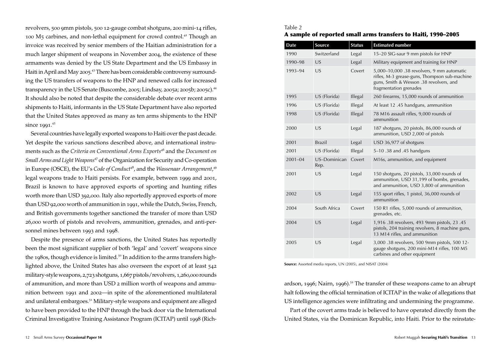revolvers, 500 9mm pistols, 500 12-gauge combat shotguns, 200 mini-14 rifles, 100 M5 carbines, and non-lethal equipment for crowd control.<sup>42</sup> Though an invoice was received by senior members of the Haitian administration for a much larger shipment of weapons in November 2004, the existence of these armaments was denied by the US State Department and the US Embassy in Haiti in April and May 2005.<sup>43</sup> There has been considerable controversy surrounding the US transfers of weapons to the HNP and renewed calls for increased transparency in the US Senate (Buscombe, 2005; Lindsay, 2005a; 2005b; 2005c).<sup>44</sup> It should also be noted that despite the considerable debate over recent arms shipments to Haiti, informants in the US State Department have also reported that the United States approved as many as ten arms shipments to the HNP since 1991. 45

Several countries have legally exported weapons to Haiti over the past decade. Yet despite the various sanctions described above, and international instruments such as the *Criteria on Conventional Arms Exports*<sup>46</sup> and the *Document on Small Arms and Light Weapons*<sup>47</sup> of the Organization for Security and Co-operation in Europe (OSCE), the EU's *Code of Conduct<sup>48</sup>*, and the *Wassenaar Arrangement*,<sup>49</sup> legal weapons trade to Haiti persists. For example, between 1999 and 2001, Brazil is known to have approved exports of sporting and hunting rifles worth more than USD 392,000. Italy also reportedly approved exports of more than USD 92,000 worth of ammunition in 1991, while the Dutch, Swiss, French, and British governments together sanctioned the transfer of more than USD 26,000 worth of pistols and revolvers, ammunition, grenades, and anti-personnel mines between 1993 and 1998.

Despite the presence of arms sanctions, the United States has reportedly been the most significant supplier of both 'legal' and 'covert' weapons since the 1980s, though evidence is limited.<sup>50</sup> In addition to the arms transfers highlighted above, the United States has also overseen the export of at least 542 military-style weapons, 2,723 shotguns, 1,667 pistols/revolvers, 1,260,000 rounds of ammunition, and more than USD 2 million worth of weapons and ammunition between 1991 and 2002—in spite of the aforementioned multilateral and unilateral embargoes.<sup>51</sup> Military-style weapons and equipment are alleged to have been provided to the HNP through the back door via the International Criminal Investigative Training Assistance Program (ICITAP) until 1998 (Rich-

### Table 2 A sample of reported small arms transfers to Haiti, 1990–2005

| <b>Date</b> | Source               | <b>Status</b> | <b>Estimated number</b>                                                                                                                                          |  |  |
|-------------|----------------------|---------------|------------------------------------------------------------------------------------------------------------------------------------------------------------------|--|--|
| 1990        | Switzerland          | Legal         | 15-20 SIG-saur 9 mm pistols for HNP                                                                                                                              |  |  |
| 1990-98     | US                   | Legal         | Military equipment and training for HNP                                                                                                                          |  |  |
| 1993-94     | US                   | Covert        | 5,000-10,000 .38 revolvers, 9 mm automatic<br>rifles, M-3 grease-guns, Thompson sub-machine<br>guns, Smith & Wesson .38 revolvers, and<br>fragmentation grenades |  |  |
| 1995        | US (Florida)         | Illegal       | 260 firearms, 15,000 rounds of ammunition                                                                                                                        |  |  |
| 1996        | US (Florida)         | Illegal       | At least 12 .45 handguns, ammunition                                                                                                                             |  |  |
| 1998        | US (Florida)         | Illegal       | 78 M16 assault rifles, 9,000 rounds of<br>ammunition                                                                                                             |  |  |
| 2000        | US                   | Legal         | 187 shotguns, 20 pistols, 86,000 rounds of<br>ammunition, USD 2,000 of pistols                                                                                   |  |  |
| 2001        | <b>Brazil</b>        | Legal         | USD 36,977 of shotguns                                                                                                                                           |  |  |
| 2001        | US (Florida)         | Illegal       | 5-10.38 and .45 handguns                                                                                                                                         |  |  |
| $2001 - 04$ | US-Dominican<br>Rep. | Covert        | M16s, ammunition, and equipment                                                                                                                                  |  |  |
| 2001        | US                   | Legal         | 150 shotguns, 20 pistols, 33,000 rounds of<br>ammunition, USD 31,199 of bombs, grenades,<br>and ammunition, USD 3,800 of ammunition                              |  |  |
| 2002        | US                   | Legal         | 155 sport rifles, 1 pistol, 36,000 rounds of<br>ammunition                                                                                                       |  |  |
| 2004        | South Africa         | Covert        | 150 R1 rifles, 5,000 rounds of ammunition,<br>grenades, etc.                                                                                                     |  |  |
| 2004        | US                   | Legal         | 1,916 .38 revolvers, 493 9mm pistols, 23 .45<br>pistols, 204 training revolvers, 8 machine guns,<br>13 M14 rifles, and ammunition                                |  |  |
| 2005        | US                   | Legal         | 3,000 .38 revolvers, 500 9mm pistols, 500 12-<br>gauge shotguns, 200 mini-M14 rifles, 100 M5<br>carbines and other equipment                                     |  |  |

**Source:** Assorted media reports, UN (2005), and NISAT (2004)

ardson, 1996; Nairn, 1996).<sup>52</sup> The transfer of these weapons came to an abrupt halt following the official termination of ICITAP in the wake of allegations that US intelligence agencies were infiltrating and undermining the programme.

Part of the covert arms trade is believed to have operated directly from the United States, via the Dominican Republic, into Haiti. Prior to the reinstate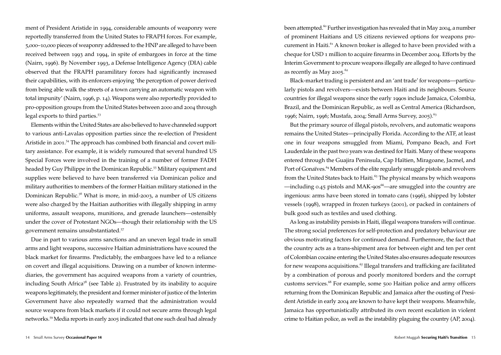ment of President Aristide in 1994, considerable amounts of weaponry were reportedly transferred from the United States to FRAPH forces. For example, 5,000–10,000 pieces of weaponry addressed to the HNP are alleged to have been received between 1993 and 1994, in spite of embargoes in force at the time (Nairn, 1996). By November 1993, a Defense Intelligence Agency (DIA) cable observed that the FRAPH paramilitary forces had significantly increased their capabilities, with its enforcers enjoying 'the perception of power derived from being able walk the streets of a town carrying an automatic weapon with total impunity' (Nairn, 1996, p. 14). Weapons were also reportedly provided to pro-opposition groups from the United States between 2000 and 2004 through legal exports to third parties.<sup>53</sup>

Elements within the United States are also believed to have channeled support to various anti-Lavalas opposition parties since the re-election of President Aristide in 2001.<sup>54</sup> The approach has combined both financial and covert military assistance. For example, it is widely rumoured that several hundred US Special Forces were involved in the training of a number of former FADH headed by Guy Philippe in the Dominican Republic.<sup>55</sup> Military equipment and supplies were believed to have been transferred via Dominican police and military authorities to members of the former Haitian military stationed in the Dominican Republic.<sup>56</sup> What is more, in mid-2003, a number of US citizens were also charged by the Haitian authorities with illegally shipping in army uniforms, assault weapons, munitions, and grenade launchers—ostensibly under the cover of Protestant NGOs—though their relationship with the US government remains unsubstantiated.<sup>57</sup>

Due in part to various arms sanctions and an uneven legal trade in small arms and light weapons, successive Haitian administrations have scoured the black market for firearms. Predictably, the embargoes have led to a reliance on covert and illegal acquisitions. Drawing on a number of known intermediaries, the government has acquired weapons from a variety of countries, including South Africa<sup>58</sup> (see Table 2). Frustrated by its inability to acquire weapons legitimately, the president and former minister of justice of the Interim Government have also repeatedly warned that the administration would source weapons from black markets if it could not secure arms through legal networks.<sup>59</sup> Media reports in early 2005 indicated that one such deal had already been attempted.<sup>60</sup> Further investigation has revealed that in May 2004, a number of prominent Haitians and US citizens reviewed options for weapons procurement in Haiti.<sup>61</sup> A known broker is alleged to have been provided with a cheque for USD 1 million to acquire firearms in December 2004. Efforts by the Interim Government to procure weapons illegally are alleged to have continued as recently as May 2005.<sup>62</sup>

Black-market trading is persistent and an 'ant trade' for weapons—particularly pistols and revolvers—exists between Haiti and its neighbours. Source countries for illegal weapons since the early 1990s include Jamaica, Colombia, Brazil, and the Dominican Republic, as well as Central America (Richardson, 1996; Nairn, 1996; Mustafa, 2004; Small Arms Survey, 2005).<sup>63</sup>

But the primary source of illegal pistols, revolvers, and automatic weapons remains the United States—principally Florida. According to the ATF, at least one in four weapons smuggled from Miami, Pompano Beach, and Fort Lauderdale in the past two years was destined for Haiti. Many of these weapons entered through the Guajira Peninsula, Cap Haïtien, Miragoane, Jacmel, and Port of Gonaïves.<sup>64</sup> Members of the elite regularly smuggle pistols and revolvers from the United States back to Haiti.<sup>65</sup> The physical means by which weapons —including 0.45 pistols and MAK-90s <sup>66</sup>—are smuggled into the country are ingenious: arms have been stored in tomato cans (1996), shipped by lobster vessels (1998), wrapped in frozen turkeys (2001), or packed in containers of bulk good such as textiles and used clothing.

As long as instability persists in Haiti, illegal weapons transfers will continue. The strong social preferences for self-protection and predatory behaviour are obvious motivating factors for continued demand. Furthermore, the fact that the country acts as a trans-shipment area for between eight and ten per cent of Colombian cocaine entering the United States also ensures adequate resources for new weapons acquisitions.<sup>67</sup> Illegal transfers and trafficking are facilitated by a combination of porous and poorly monitored borders and the corrupt customs services.<sup>68</sup> For example, some 500 Haitian police and army officers returning from the Dominican Republic and Jamaica after the ousting of President Aristide in early 2004 are known to have kept their weapons. Meanwhile, Jamaica has opportunistically attributed its own recent escalation in violent crime to Haitian police, as well as the instability plaguing the country (AP, 2004).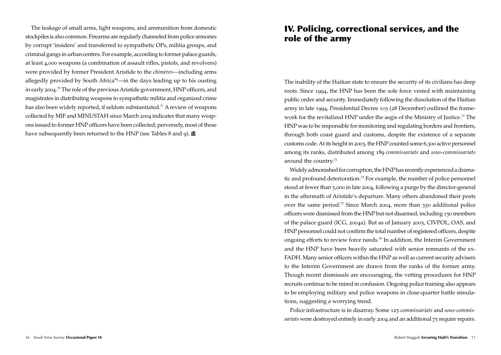The leakage of small arms, light weapons, and ammunition from domestic stockpiles is also common. Firearms are regularly channeled from police armories by corrupt 'insiders' and transferred to sympathetic OPs, militia groups, and criminal gangs in urban centres. For example, according to former palace guards, at least 4,000 weapons (a combination of assault rifles, pistols, and revolvers) were provided by former President Aristide to the *chimères*—including arms allegedly provided by South Africa $69$ —in the days leading up to his ousting in early 2004. <sup>70</sup> The role of the previous Aristide government, HNP officers, and magistrates in distributing weapons to sympathetic militia and organized crime has also been widely reported, if seldom substantiated.<sup>71</sup> A review of weapons collected by MIF and MINUSTAH since March 2004 indicates that many weapons issued to former HNP officers have been collected; perversely, most of these have subsequently been returned to the HNP (see Tables 8 and 9).

# IV. Policing, correctional services, and the role of the army

The inability of the Haitian state to ensure the security of its civilians has deep roots. Since 1994, the HNP has been the sole force vested with maintaining public order and security. Immediately following the dissolution of the Haitian army in late 1994, Presidential Decree 103 (28 December) outlined the framework for the revitalized HNP under the aegis of the Ministry of Justice.<sup>72</sup> The HNP was to be responsible for monitoring and regulating borders and frontiers, through both coast guard and customs, despite the existence of a separate customs code. At its height in 2003, the HNP counted some 6,300 active personnel among its ranks, distributed among 189 *commissariats* and *sous*-*commissariats* around the country.<sup>73</sup>

Widely admonished for corruption, the HNP has recently experienced a dramatic and profound deterioration.<sup>74</sup> For example, the number of police personnel stood at fewer than 5,000 in late 2004, following a purge by the director-general in the aftermath of Aristide's departure. Many others abandoned their posts over the same period.<sup>75</sup> Since March 2004, more than 350 additional police officers were dismissed from the HNP but not disarmed, including 150 members of the palace guard (ICG, 2004a). But as of January 2005, CIVPOL, OAS, and HNP personnel could not confirm the total number of registered officers, despite ongoing efforts to review force needs.<sup>76</sup> In addition, the Interim Government and the HNP have been heavily saturated with senior remnants of the ex-FADH. Many senior officers within the HNP as well as current security advisers to the Interim Government are drawn from the ranks of the former army. Though recent dismissals are encouraging, the vetting procedures for HNP recruits continue to be mired in confusion. Ongoing police training also appears to be employing military and police weapons in close-quarter battle simulations, suggesting a worrying trend.

Police infrastructure is in disarray. Some 125 *commissariats* and *sous-commissariats* were destroyed entirely in early 2004 and an additional 75 require repairs.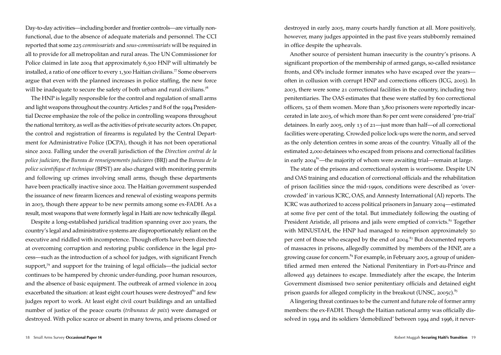Day-to-day activities—including border and frontier controls—are virtually nonfunctional, due to the absence of adequate materials and personnel. The CCI reported that some 225 *commissariats* and *sous-commissariats* will be required in all to provide for all metropolitan and rural areas. The UN Commissioner for Police claimed in late 2004 that approximately 6,500 HNP will ultimately be installed, a ratio of one officer to every 1,300 Haitian civilians.<sup>77</sup> Some observers argue that even with the planned increases in police staffing, the new force will be inadequate to secure the safety of both urban and rural civilians.<sup>78</sup>

The HNP is legally responsible for the control and regulation of small arms and light weapons throughout the country. Articles 7 and 8 of the 1994 Presidential Decree emphasize the role of the police in controlling weapons throughout the national territory, as well as the activities of private security actors. On paper, the control and registration of firearms is regulated by the Central Department for Administrative Police (DCPA), though it has not been operational since 2002. Falling under the overall jurisdiction of the *Direction central de la police judiciare*, the *Bureau de renseignements judiciares* (BRJ) and the *Bureau de la police scientifique et technique* (BPST) are also charged with monitoring permits and following up crimes involving small arms, though these departments have been practically inactive since 2002. The Haitian government suspended the issuance of new firearm licences and renewal of existing weapons permits in 2003, though there appear to be new permits among some ex-FADH. As a result, most weapons that were formerly legal in Haiti are now technically illegal.

Despite a long-established juridical tradition spanning over 200 years, the country's legal and administrative systems are disproportionately reliant on the executive and riddled with incompetence. Though efforts have been directed at overcoming corruption and restoring public confidence in the legal process—such as the introduction of a school for judges, with significant French support,<sup>79</sup> and support for the training of legal officials—the judicial sector continues to be hampered by chronic under-funding, poor human resources, and the absence of basic equipment. The outbreak of armed violence in 2004 exacerbated the situation: at least eight court houses were destroyed<sup>80</sup> and few judges report to work. At least eight civil court buildings and an untallied number of justice of the peace courts (*tribunaux de paix*) were damaged or destroyed. With police scarce or absent in many towns, and prisons closed or

destroyed in early 2005, many courts hardly function at all. More positively, however, many judges appointed in the past five years stubbornly remained in office despite the upheavals.

Another source of persistent human insecurity is the country's prisons. A significant proportion of the membership of armed gangs, so-called resistance fronts, and OPs include former inmates who have escaped over the years often in collusion with corrupt HNP and corrections officers (ICG, 2005). In 2003, there were some 21 correctional facilities in the country, including two penitentiaries. The OAS estimates that these were staffed by 600 correctional officers, 52 of them women. More than 3,800 prisoners were reportedly incarcerated in late 2003, of which more than 80 per cent were considered 'pre-trial' detainees. In early 2005, only 13 of 21—just more than half—of all correctional facilities were operating. Crowded police lock-ups were the norm, and served as the only detention centres in some areas of the country. Vitually all of the estimated 2,000 detainees who escaped from prisons and correctional facilities in early  $2004^{81}$ —the majority of whom were awaiting trial—remain at large.

The state of the prisons and correctional system is worrisome. Despite UN and OAS training and education of correctional officials and the rehabilitation of prison facilities since the mid-1990s, conditions were described as 'overcrowded' in various ICRC, OAS, and Amnesty International (AI) reports. The ICRC was authorized to access political prisoners in January 2004—estimated at some five per cent of the total. But immediately following the ousting of President Aristide, all prisons and jails were emptied of convicts.<sup>82</sup> Together with MINUSTAH, the HNP had managed to reimprison approximately 50 per cent of those who escaped by the end of 2004.<sup>83</sup> But documented reports of massacres in prisons, allegedly committed by members of the HNP, are a growing cause for concern.<sup>84</sup> For example, in February 2005, a group of unidentified armed men entered the National Penitentiary in Port-au-Prince and allowed 493 detainees to escape. Immediately after the escape, the Interim Government dismissed two senior penitentiary officials and detained eight prison guards for alleged complicity in the breakout (UNSC, 2005c). $85$ 

A lingering threat continues to be the current and future role of former army members: the ex-FADH. Though the Haitian national army was officially dissolved in 1994 and its soldiers 'demobilized' between 1994 and 1996, it never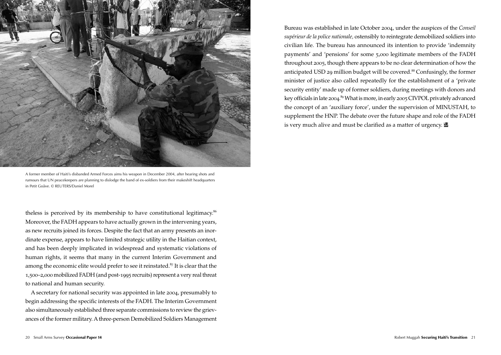

A former member of Haiti's disbanded Armed Forces aims his weapon in December 2004, after hearing shots and rumours that UN peacekeepers are planning to dislodge the band of ex-soldiers from their makeshift headquarters in Petit Goâve. © REUTERS/Daniel Morel

theless is perceived by its membership to have constitutional legitimacy.<sup>86</sup> Moreover, the FADH appears to have actually grown in the intervening years, as new recruits joined its forces. Despite the fact that an army presents an inordinate expense, appears to have limited strategic utility in the Haitian context, and has been deeply implicated in widespread and systematic violations of human rights, it seems that many in the current Interim Government and among the economic elite would prefer to see it reinstated.<sup>87</sup> It is clear that the 1,500–2,000 mobilized FADH (and post-1995 recruits) represent a very real threat to national and human security.

A secretary for national security was appointed in late 2004, presumably to begin addressing the specific interests of the FADH. The Interim Government also simultaneously established three separate commissions to review the grievances of the former military. A three-person Demobilized Soldiers Management

Bureau was established in late October 2004, under the auspices of the *Conseil supérieur de la police nationale,* ostensibly to reintegrate demobilized soldiers into civilian life. The bureau has announced its intention to provide 'indemnity payments' and 'pensions' for some 5,000 legitimate members of the FADH throughout 2005, though there appears to be no clear determination of how the anticipated USD 29 million budget will be covered.<sup>88</sup> Confusingly, the former minister of justice also called repeatedly for the establishment of a 'private security entity' made up of former soldiers, during meetings with donors and key officials in late 2004.<sup>89</sup> What is more, in early 2005 CIVPOL privately advanced the concept of an 'auxiliary force', under the supervision of MINUSTAH, to supplement the HNP. The debate over the future shape and role of the FADH is very much alive and must be clarified as a matter of urgency.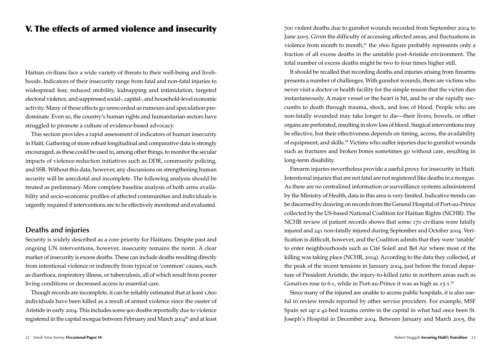# V. The effects of armed violence and insecurity

Haitian civilians face a wide variety of threats to their well-being and livelihoods. Indicators of their insecurity range from fatal and non-fatal injuries to widespread fear, reduced mobility, kidnapping and intimidation, targeted electoral violence, and suppressed social-, capital-, and household-level economic activity. Many of these effects go unrecorded as rumours and speculation predominate. Even so, the country's human rights and humanitarian sectors have struggled to promote a culture of evidence-based advocacy.

This section provides a rapid assessment of indicators of human insecurity in Haiti. Gathering of more robust longitudinal and comparative data is strongly encouraged, as these could be used to, among other things, to monitor the secular impacts of violence-reduction initiatives such as DDR, community policing, and SSR. Without this data, however, any discussions on strengthening human security will be anecdotal and incomplete. The following analysis should be treated as preliminary. More complete baseline analysis of both arms availability and socio-economic profiles of affected communities and individuals is urgently required if interventions are to be effectively monitored and evaluated.

### **Deaths and injuries**

Security is widely described as a core priority for Haitians. Despite past and ongoing UN interventions, however, insecurity remains the norm. A clear marker of insecurity is excess deaths. These can include deaths resulting directly from intentional violence or indirectly from typical or 'common' causes, such as diarrhoea, respiratory illness, or tuberculosis, all of which result from poorer living conditions or decreased access to essential care.

Though records are incomplete, it can be reliably estimated that at least 1,600 individuals have been killed as a result of armed violence since the ouster of Aristide in early 2004. This includes some 900 deaths reportedly due to violence registered in the capital morgue between February and March 2004<sup>90</sup> and at least

700 violent deaths due to gunshot wounds recorded from September 2004 to June 2005. Given the difficulty of accessing affected areas, and fluctuations in violence from month to month, $91$  the 1600 figure probably represents only a fraction of all excess deaths in the unstable post-Aristide environment. The total number of excess deaths might be two to four times higher still.

It should be recalled that recording deaths and injuries arising from firearms presents a number of challenges. With gunshot wounds, there are victims who never visit a doctor or health facility for the simple reason that the victim dies instantaneously. A major vessel or the heart is hit, and he or she rapidly succumbs to death through trauma, shock, and loss of blood. People who are non-fatally wounded may take longer to die—their livers, bowels, or other organs are perforated, resulting in slow loss of blood. Surgical interventions may be effective, but their effectiveness depends on timing, access, the availability of equipment, and skills.<sup>92</sup> Victims who suffer injuries due to gunshot wounds such as fractures and broken bones sometimes go without care, resulting in long-term disability.

Firearm injuries nevertheless provide a useful proxy for insecurity in Haiti. Intentional injuries that are not fatal are not registered like deaths in a morgue. As there are no centralized information or surveillance systems administered by the Ministry of Health, data in this area is very limited. Indicative trends can be discerned by drawing on records from the General Hospital of Port-au-Prince collected by the US-based National Coalition for Haitian Rights (NCHR). The NCHR review of patient records shows that some 170 civilians were fatally injured and 241 non-fatally injured during September and October 2004. Verification is difficult, however, and the Coalition admits that they were 'unable' to enter neighbourhoods such as Cité Soleil and Bel Air where most of the killing was taking place (NCHR, 2004). According to the data they collected, at the peak of the recent tensions in January 2004, just before the forced departure of President Aristide, the injury-to-killed ratio in northern areas such as Gonaïves rose to 6:1, while in Port-au-Prince it was as high as  $15:1.^{92}$ 

Since many of the injured are unable to access public hospitals, it is also useful to review trends reported by other service providers. For example, MSF Spain set up a 42-bed trauma centre in the capital in what had once been St. Joseph's Hospital in December 2004. Between January and March 2005, the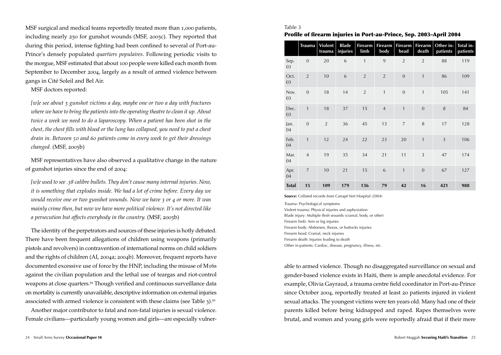MSF surgical and medical teams reportedly treated more than 1,000 patients, including nearly 250 for gunshot wounds (MSF, 2005c). They reported that during this period, intense fighting had been confined to several of Port-au-Prince's densely populated *quartiers populaires*. Following periodic visits to the morgue, MSF estimated that about 100 people were killed each month from September to December 2004, largely as a result of armed violence between gangs in Cité Soleil and Bel Air.

MSF doctors reported:

*[w]e see about 3 gunshot victims a day, maybe one or two a day with fractures where we have to bring the patients into the operating theatre to clean it up. About twice a week we need to do a laparoscopy. When a patient has been shot in the chest, the chest fills with blood or the lung has collapsed, you need to put a chest drain in. Between 50 and 60 patients come in every week to get their dressings changed.* (MSF, 2005b)

MSF representatives have also observed a qualitative change in the nature of gunshot injuries since the end of 2004:

*[w]e used to see .38 calibre bullets. They don't cause many internal injuries. Now, it is something that explodes inside. We had a lot of crime before. Every day we would receive one or two gunshot wounds. Now we have 3 or 4 or more. It was mainly crime then, but now we have more political violence. It's not directed like a persecution but affects everybody in the country.* (MSF, 2005b)

The identity of the perpetrators and sources of these injuries is hotly debated. There have been frequent allegations of children using weapons (primarily pistols and revolvers) in contravention of international norms on child soldiers and the rights of children (AI, 2004a; 2004b). Moreover, frequent reports have documented excessive use of force by the HNP, including the misuse of M16s against the civilian population and the lethal use of teargas and riot-control weapons at close quarters.<sup>94</sup> Though verified and continuous surveillance data on mortality is currently unavailable, descriptive information on external injuries associated with armed violence is consistent with these claims (see Table 3).<sup>95</sup>

Another major contributor to fatal and non-fatal injuries is sexual violence. Female civilians—particularly young women and girls—are especially vulner-

### Table 3

Profile of firearm injuries in Port-au-Prince, Sep. 2003–April 2004

|              | <b>Trauma</b>  | <b>Violent</b><br>trauma | <b>Blade</b><br>injuries | <b>Firearm</b><br>limb | <b>Firearm</b><br>body | <b>Firearm</b><br>head | <b>Firearm</b><br>death | Other in-<br>patients | Total in-<br>patients |
|--------------|----------------|--------------------------|--------------------------|------------------------|------------------------|------------------------|-------------------------|-----------------------|-----------------------|
| Sep.<br>03   | $\mathbf{0}$   | 20                       | 6                        | $\mathbf{1}$           | 9                      | $\overline{2}$         | $\overline{2}$          | 88                    | 119                   |
| Oct.<br>03   | $\overline{2}$ | 10                       | 6                        | $\overline{2}$         | $\overline{2}$         | $\overline{0}$         | $\mathbf{1}$            | 86                    | 109                   |
| Nov.<br>03   | $\overline{0}$ | 18                       | 14                       | $\overline{2}$         | $\mathbf{1}$           | $\mathbf{0}$           | $\mathbf{1}$            | 105                   | 141                   |
| Dec.<br>03   | $\mathbf{1}$   | 18                       | 37                       | 15                     | $\overline{4}$         | 1                      | $\mathbf{0}$            | 8                     | 84                    |
| Jan.<br>04   | $\mathbf{0}$   | $\overline{2}$           | 36                       | 45                     | 13                     | $\overline{7}$         | 8                       | 17                    | 128                   |
| Feb.<br>04   | $\mathbf{1}$   | 12                       | 24                       | 22                     | 23                     | 20                     | $\mathbf{1}$            | $\overline{3}$        | 106                   |
| Mar.<br>04   | $\overline{4}$ | 19                       | 35                       | 34                     | 21                     | 11                     | $\overline{3}$          | 47                    | 174                   |
| Apr.<br>04   | $\overline{7}$ | 10                       | 21                       | 15                     | 6                      | $\mathbf{1}$           | $\mathbf{0}$            | 67                    | 127                   |
| <b>Total</b> | 15             | 109                      | 179                      | 136                    | 79                     | 42                     | 16                      | 421                   | 988                   |

**Source:** Collated records from Canapé Vert Hospital (2004)

Trauma: Psychological symptoms Violent trauma: Physical injuries and asphyxiation Blade injury: Multiple flesh wounds (cranial, body, or other) Firearm limb: Arm or leg injuries Firearm body: Abdomen, thorax, or buttocks injuries Firearm head: Cranial, neck injuries Firearm death: Injuries leading to death Other in-patients: Cardiac, disease, pregnancy, illness, etc.

able to armed violence. Though no disaggregated surveillance on sexual and gender-based violence exists in Haiti, there is ample anecdotal evidence. For example, Olivia Gayraud, a trauma centre field coordinator in Port-au-Prince since October 2004, reportedly treated at least 20 patients injured in violent sexual attacks. The youngest victims were ten years old. Many had one of their parents killed before being kidnapped and raped. Rapes themselves were brutal, and women and young girls were reportedly afraid that if their mere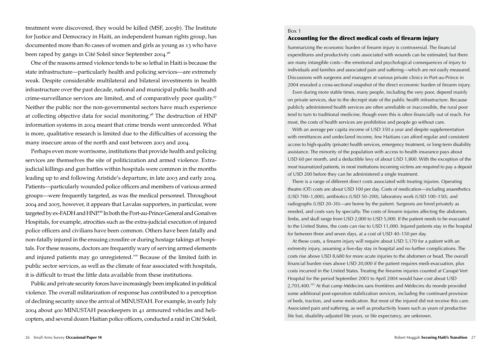treatment were discovered, they would be killed (MSF, 2005b). The Institute for Justice and Democracy in Haiti, an independent human rights group, has documented more than 80 cases of women and girls as young as 13 who have been raped by gangs in Cité Soleil since September 2004. 96

One of the reasons armed violence tends to be so lethal in Haiti is because the state infrastructure—particularly health and policing services—are extremely weak. Despite considerable multilateral and bilateral investments in health infrastructure over the past decade, national and municipal public health and crime-surveillance services are limited, and of comparatively poor quality.<sup>97</sup> Neither the public nor the non-governmental sectors have much experience at collecting objective data for social monitoring.<sup>98</sup> The destruction of HNP information systems in 2004 meant that crime trends went unrecorded. What is more, qualitative research is limited due to the difficulties of accessing the many insecure areas of the north and east between 2003 and 2004.

Perhaps even more worrisome, institutions that provide health and policing services are themselves the site of politicization and armed violence. Extrajudicial killings and gun battles within hospitals were common in the months leading up to and following Aristide's departure, in late 2003 and early 2004. Patients—particularly wounded police officers and members of various armed groups—were frequently targeted, as was the medical personnel. Throughout 2004 and 2005, however, it appears that Lavalas supporters, in particular, were targeted by ex-FADH and HNP.<sup>99</sup> In both the Port-au-Prince General and Gonaïves Hospitals, for example, atrocities such as the extra-judicial execution of injured police officers and civilians have been common. Others have been fatally and non-fatally injured in the ensuing crossfire or during hostage takings at hospitals. For these reasons, doctors are frequently wary of serving armed elements and injured patients may go unregistered.<sup>100</sup> Because of the limited faith in public sector services, as well as the climate of fear associated with hospitals, it is difficult to trust the little data available from these institutions.

Public and private security forces have increasingly been implicated in political violence. The overall militarization of response has contributed to a perception of declining security since the arrival of MINUSTAH. For example, in early July 2004 about 400 MINUSTAH peacekeepers in 41 armoured vehicles and helicopters, and several dozen Haitian police officers, conducted a raid in Cité Soleil,

### Box 1

### Accounting for the direct medical costs of firearm injury

Summarizing the economic burden of firearm injury is controversial. The financial expenditures and productivity costs associated with wounds can be estimated, but there are many intangible costs—the emotional and psychological consequences of injury to individuals and families and associated pain and suffering—which are not easily measured. Discussions with surgeons and managers at various private clinics in Port-au-Prince in 2004 revealed a cross-sectional snapshot of the direct economic burden of firearm injury.

 Even during more stable times, many people, including the very poor, depend mainly on private services, due to the decrepit state of the public health infrastructure. Because publicly administered health services are often unreliable or inaccessible, the rural poor tend to turn to traditional medicine, though even this is often financially out of reach. For most, the costs of health services are prohibitive and people go without care.

 With an average per capita income of USD 350 a year and despite supplementation with remittances and undeclared income, few Haitians can afford regular and consistent access to high-quality (private) health services, emergency treatment, or long-term disability assistance. The minority of the population with access to health insurance pays about USD 60 per month, and a deductible levy of about USD 1,800. With the exception of the most traumatized patients, in most institutions incoming victims are required to pay a deposit of USD 200 before they can be administered a single treatment.

 There is a range of different direct costs associated with treating injuries. Operating theatre (OT) costs are about USD 100 per day. Costs of medication—including anaesthetics (USD 700–1,000), antibiotics (USD 50–200), laboratory work (USD 100–150), and radiographs (USD 20–30)—are borne by the patient. Surgeons are hired privately as needed, and costs vary by specialty. The costs of firearm injuries affecting the abdomen, limbs, and skull range from USD 2,000 to USD 5,000. If the patient needs to be evacuated to the United States, the costs can rise to USD 11,000. Injured patients stay in the hospital for between three and seven days, at a cost of USD 40–150 per day.

 At these costs, a firearm injury will require about USD 5,170 for a patient with an extremity injury, assuming a five-day stay in hospital and no further complications. The costs rise above USD 8,680 for more acute injuries to the abdomen or head. The overall financial burden rises above USD 20,000 if the patient requires medi-evacuation, plus costs incurred in the United States. Treating the firearms injuries counted at Canapé Vert Hospital for the period September 2003 to April 2004 would have cost about USD 2,703,400.<sup>101</sup> At that camp Médecins sans frontières and Médecins du monde provided some additional post-operation stabilization services, including the continued provision of beds, traction, and some medication. But most of the injured did not receive this care. Associated pain and suffering, as well as productivity losses such as years of productive life lost, disability-adjusted life years, or life expectancy, are unknown.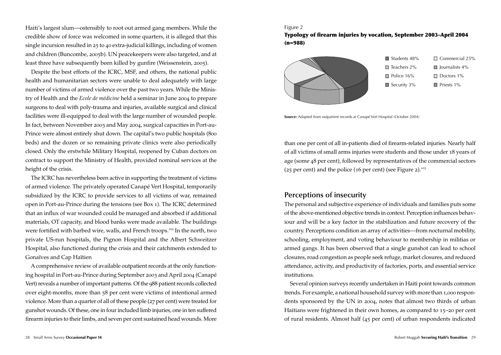Haiti's largest slum—ostensibly to root out armed gang members. While the credible show of force was welcomed in some quarters, it is alleged that this single incursion resulted in 25 to 40 extra-judicial killings, including of women and children (Buncombe, 2005b). UN peacekeepers were also targeted, and at least three have subsequently been killed by gunfire (Weissenstein, 2005).

Despite the best efforts of the ICRC, MSF, and others, the national public health and humanitarian sectors were unable to deal adequately with large number of victims of armed violence over the past two years. While the Ministry of Health and the *Ecole de médicine* held a seminar in June 2004 to prepare surgeons to deal with poly-trauma and injuries, available surgical and clinical facilities were ill-equipped to deal with the large number of wounded people. In fact, between November 2003 and May 2004, surgical capacities in Port-au-Prince were almost entirely shut down. The capital's two public hospitals (800 beds) and the dozen or so remaining private clinics were also periodically closed. Only the erstwhile Military Hospital, reopened by Cuban doctors on contract to support the Ministry of Health, provided nominal services at the height of the crisis.

The ICRC has nevertheless been active in supporting the treatment of victims of armed violence. The privately operated Canapé Vert Hospital, temporarily subsidized by the ICRC to provide services to all victims of war, remained open in Port-au-Prince during the tensions (see Box 1). The ICRC determined that an influx of war wounded could be managed and absorbed if additional materials, OT capacity, and blood banks were made available. The buildings were fortified with barbed wire, walls, and French troops.<sup>102</sup> In the north, two private US-run hospitals, the Pignon Hospital and the Albert Schweitzer Hospital, also functioned during the crisis and their catchments extended to Gonaïves and Cap Haïtien

A comprehensive review of available outpatient records at the only functioning hospital in Port-au-Prince during September 2003 and April 2004 (Canapé Vert) reveals a number of important patterns. Of the 988 patient records collected over eight-months, more than 58 per cent were victims of intentional armed violence. More than a quarter of all of these people (27 per cent) were treated for gunshot wounds. Of these, one in four included limb injuries, one in ten suffered firearm injuries to their limbs, and seven per cent sustained head wounds. More

### Figure 2

Typology of firearm injuries by vocation, September 2003–April 2004 (n=988)



**Source:** Adapted from outpatient records at Canapé Vert Hospital (October 2004)

than one per cent of all in-patients died of firearm-related injuries. Nearly half of all victims of small arms injuries were students and those under 18 years of age (some 48 per cent), followed by representatives of the commercial sectors (25 per cent) and the police (16 per cent) (see Figure 2).<sup>103</sup>

### **Perceptions of insecurity**

The personal and subjective experience of individuals and families puts some of the above-mentioned objective trends in context. Perception influences behaviour and will be a key factor in the stabilization and future recovery of the country. Perceptions condition an array of activities—from nocturnal mobility, schooling, employment, and voting behaviour to membership in militias or armed gangs. It has been observed that a single gunshot can lead to school closures, road congestion as people seek refuge, market closures, and reduced attendance, activity, and productivity of factories, ports, and essential service institutions.

Several opinion surveys recently undertaken in Haiti point towards common trends. For example, a national household survey with more than 1,000 respondents sponsored by the UN in 2004, notes that almost two thirds of urban Haitians were frightened in their own homes, as compared to 15–20 per cent of rural residents. Almost half (45 per cent) of urban respondents indicated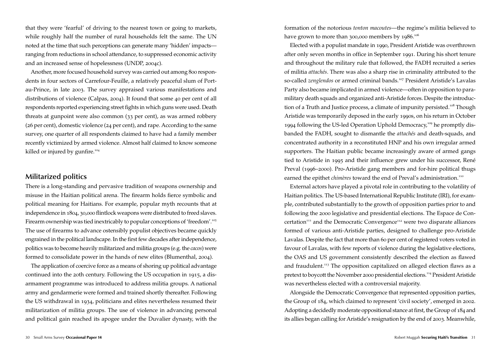that they were 'fearful' of driving to the nearest town or going to markets, while roughly half the number of rural households felt the same. The UN noted at the time that such perceptions can generate many 'hidden' impacts ranging from reductions in school attendance, to suppressed economic activity and an increased sense of hopelessness (UNDP, 2004c).

Another, more focused household survey was carried out among 800 respondents in four sectors of Carrefour-Feuille, a relatively peaceful slum of Portau-Prince, in late 2003. The survey appraised various manifestations and distributions of violence (Calpas, 2004). It found that some 40 per cent of all respondents reported experiencing street fights in which guns were used. Death threats at gunpoint were also common (33 per cent), as was armed robbery (26 per cent), domestic violence (24 per cent), and rape. According to the same survey, one quarter of all respondents claimed to have had a family member recently victimized by armed violence. Almost half claimed to know someone killed or injured by gunfire.<sup>104</sup>

### **Militarized politics**

There is a long-standing and pervasive tradition of weapons ownership and misuse in the Haitian political arena. The firearm holds fierce symbolic and political meaning for Haitians. For example, popular myth recounts that at independence in 1804, 30,000 flintlock weapons were distributed to freed slaves. Firearm ownership was tied inextricably to popular conceptions of 'freedom'.<sup>105</sup> The use of firearms to advance ostensibly populist objectives became quickly engrained in the political landscape. In the first few decades after independence, politics was to become heavily militarized and militia groups (e.g. the *cacos*) were formed to consolidate power in the hands of new elites (Blumenthal, 2004).

The application of coercive force as a means of shoring up political advantage continued into the 20th century. Following the US occupation in 1915, a disarmament programme was introduced to address militia groups. A national army and gendarmerie were formed and trained shortly thereafter. Following the US withdrawal in 1934, politicians and elites nevertheless resumed their militarization of militia groups. The use of violence in advancing personal and political gain reached its apogee under the Duvalier dynasty, with the formation of the notorious *tonton macoutes*—the regime's militia believed to have grown to more than 300,000 members by 1986.<sup>106</sup>

Elected with a populist mandate in 1990, President Aristide was overthrown after only seven months in office in September 1991. During his short tenure and throughout the military rule that followed, the FADH recruited a series of militia *attachés*. There was also a sharp rise in criminality attributed to the so-called *zenglendos* or armed criminal bands.<sup>107</sup> President Aristide's Lavalas Party also became implicated in armed violence—often in opposition to paramilitary death squads and organized anti-Aristide forces. Despite the introduction of a Truth and Justice process, a climate of impunity persisted.<sup>108</sup> Though Aristide was temporarily deposed in the early 1990s, on his return in October 1994 following the US-led Operation Uphold Democracy,<sup>109</sup> he promptly disbanded the FADH, sought to dismantle the *attachés* and death-squads, and concentrated authority in a reconstituted HNP and his own irregular armed supporters. The Haitian public became increasingly aware of armed gangs tied to Aristide in 1995 and their influence grew under his successor, René Preval (1996–2000). Pro-Aristide gang members and for-hire political thugs earned the epithet *chimères* toward the end of Preval's administration.<sup>110</sup>

External actors have played a pivotal role in contributing to the volatility of Haitian politics. The US-based International Republic Institute (IRI), for example, contributed substantially to the growth of opposition parties prior to and following the 2000 legislative and presidential elections. The Espace de Concertation<sup>111</sup> and the Democratic Convergence<sup>112</sup> were two disparate alliances formed of various anti-Aristide parties, designed to challenge pro-Aristide Lavalas. Despite the fact that more than 60 per cent of registered voters voted in favour of Lavalas, with few reports of violence during the legislative elections, the OAS and US government consistently described the election as flawed and fraudulent.<sup>113</sup> The opposition capitalized on alleged election flaws as a pretext to boycott the November 2000 presidential elections.<sup>114</sup> President Aristide was nevertheless elected with a controversial majority.

Alongside the Democratic Convergence that represented opposition parties, the Group of 184, which claimed to represent 'civil society', emerged in 2002. Adopting a decidedly moderate oppositional stance at first, the Group of 184 and its allies began calling for Aristide's resignation by the end of 2003. Meanwhile,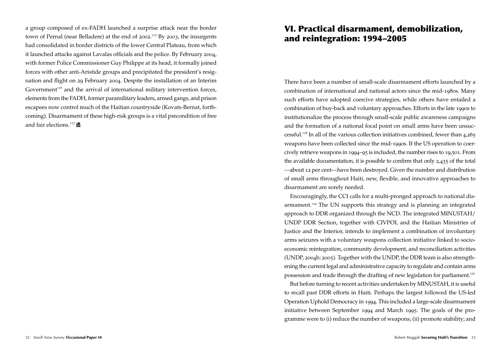a group composed of ex-FADH launched a surprise attack near the border town of Pernal (near Belladere) at the end of 2002.<sup>115</sup> By 2003, the insurgents had consolidated in border districts of the lower Central Plateau, from which it launched attacks against Lavalas officials and the police. By February 2004, with former Police Commissioner Guy Philippe at its head, it formally joined forces with other anti-Aristide groups and precipitated the president's resignation and flight on 29 February 2004. Despite the installation of an Interim Government $116}$  and the arrival of international military intervention forces, elements from the FADH, former paramilitary leaders, armed gangs, and prison escapees now control much of the Haitian countryside (Kovats-Bernat, forthcoming). Disarmament of these high-risk groups is a vital precondition of free and fair elections.<sup>117</sup>

# VI. Practical disarmament, demobilization, and reintegration: 1994–2005

There have been a number of small-scale disarmament efforts launched by a combination of international and national actors since the mid-1980s. Many such efforts have adopted coercive strategies, while others have entailed a combination of buy-back and voluntary approaches. Efforts in the late 1990s to institutionalize the process through small-scale public awareness campaigns and the formation of a national focal point on small arms have been unsuccessful.<sup>118</sup> In all of the various collection initiatives combined, fewer than 4,265 weapons have been collected since the mid-1990s. If the US operation to coercively retrieve weapons in 1994–95 is included, the number rises to 19,501. From the available documentation, it is possible to confirm that only 2,435 of the total *—*about 12 per cent—have been destroyed. Given the number and distribution of small arms throughout Haiti, new, flexible, and innovative approaches to disarmament are sorely needed.

Encouragingly, the CCI calls for a multi-pronged approach to national disarmament.<sup>119</sup> The UN supports this strategy and is planning an integrated approach to DDR organized through the NCD. The integrated MINUSTAH/ UNDP DDR Section, together with CIVPOL and the Haitian Ministries of Justice and the Interior, intends to implement a combination of involuntary arms seizures with a voluntary weapons collection initiative linked to socioeconomic reintegration, community development, and reconciliation activities (UNDP, 2004b; 2005). Together with the UNDP, the DDR team is also strengthening the current legal and administrative capacity to regulate and contain arms possession and trade through the drafting of new legislation for parliament.<sup>120</sup>

But before turning to recent activities undertaken by MINUSTAH, it is useful to recall past DDR efforts in Haiti. Perhaps the largest followed the US-led Operation Uphold Democracy in 1994. This included a large-scale disarmament initiative between September 1994 and March 1995. The goals of the programme were to (i) reduce the number of weapons; (ii) promote stability; and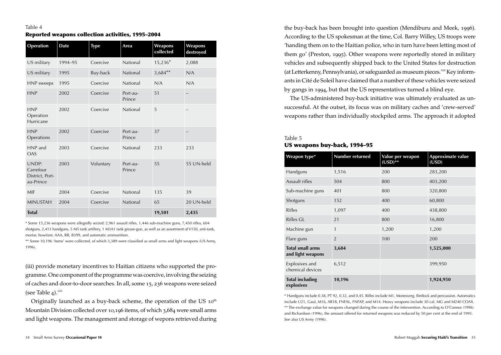| Operation                                          | <b>Date</b>      | <b>Type</b> | Area               | Weapons<br>collected | Weapons<br>destroyed |
|----------------------------------------------------|------------------|-------------|--------------------|----------------------|----------------------|
| US military                                        | 1994-95          | Coercive    | National           | 15,236*              | 2,088                |
| US military                                        | 1995             | Buy-back    | National           | $3,684**$            | N/A                  |
| HNP sweeps                                         | 1995             | Coercive    | National           | N/A                  | N/A                  |
| <b>HNP</b>                                         | Coercive<br>2002 |             | Port-au-<br>Prince | 51                   | -                    |
| <b>HNP</b><br>Operation<br>Hurricane               | 2002             | Coercive    | National           | 5                    |                      |
| <b>HNP</b><br>Operations                           | 2002             | Coercive    | Port-au-<br>Prince | 37                   |                      |
| HNP and<br><b>OAS</b>                              | 2003             |             | National           | 233                  | 233                  |
| UNDP:<br>Carrefour<br>District, Port-<br>au-Prince | 2003             | Voluntary   | Port-au-<br>Prince | 55                   | 55 UN-held           |
| MIF                                                | 2004             | Coercive    | National           | 135                  | 39                   |
| <b>MINUSTAH</b>                                    | 2004             | Coercive    | National           | 65                   | 20 UN-held           |
| <b>Total</b>                                       |                  |             |                    | 19,501               | 2,435                |

\* Some 15,236 weapons were allegedly seized: 2,961 assault rifles, 1,446 sub-machine guns, 7,450 rifles, 604 shotguns, 2,413 handguns, 5 M5 tank artillery, 1 M3A1 tank grease-gun, as well as an assortment ofV150, anti-tank, mortar, howitzer, AAA, RR, B399, and automatic ammunition.

\*\* Some 10,196 'items' were collected, of which 3,389 were classified as small arms and light weapons (US Army, 1996).

(iii) provide monetary incentives to Haitian citizens who supported the programme. One component of the programme was coercive, involving the seizing of caches and door-to-door searches. In all, some 15, 236 weapons were seized (see Table 4). $121$ 

Originally launched as a buy-back scheme, the operation of the US  $10<sup>th</sup>$ Mountain Division collected over 10,196 items, of which 3,684 were small arms and light weapons. The management and storage of wepons retrieved during

the buy-back has been brought into question (Mendiburu and Meek, 1996). According to the US spokesman at the time, Col. Barry Willey, US troops were 'handing them on to the Haitian police, who in turn have been letting most of them go' (Preston, 1995). Other weapons were reportedly stored in military vehicles and subsequently shipped back to the United States for destruction (at Letterkenny, Pennsylvania), or safeguarded as museum pieces.<sup>122</sup> Key informants in Cité de Soleil have claimed that a number of these vehicles were seized by gangs in 1994, but that the US representatives turned a blind eye.

The US-administered buy-back initiative was ultimately evaluated as unsuccessful. At the outset, its focus was on military caches and 'crew-served' weapons rather than individually stockpiled arms. The approach it adopted

### Table 5 US weapons buy-back, 1994–95

| Weapon type*                                 | <b>Number returned</b> | Value per weapon<br>$(USD)**$ | Approximate value<br>(USD) |
|----------------------------------------------|------------------------|-------------------------------|----------------------------|
| Handguns                                     | 1,516                  | 200                           | 283,200                    |
| Assault rifles                               | 504                    | 800                           | 403,200                    |
| Sub-machine guns                             | 401                    | 800                           | 320,800                    |
| Shotguns                                     | 152                    | 400                           | 60,800                     |
| <b>Rifles</b><br>Rifles GL<br>Machine gun    | 1,097                  | 400                           | 438,800                    |
|                                              | 21                     | 800                           | 16,800                     |
|                                              | $\mathbf{1}$           | 1,200                         | 1,200                      |
| Flare guns                                   | $\overline{2}$         | 100                           | 200                        |
| <b>Total small arms</b><br>and light weapons | 3,684                  |                               | 1,525,000                  |
| Explosives and<br>chemical devices           | 6,512                  |                               | 399,950                    |
| <b>Total including</b><br>explosives         | 10,196                 |                               | 1,924,950                  |

\* Handguns include 0.38, PT 92, 0.32, and 0.45. Rifles include M1, Monesverg, flintlock and percussion. Automatics include U21, Gaul, M16, AR18, FNFAL, FNFAP, and M14. Heavy weapons include 30 cal. MG and M240 COAX. \*\* The exchange value for weapons changed during the course of the intervention. According to O'Connor (1996) and Richardson (1996), the amount offered for returned weapons was reduced by 50 per cent at the end of 1995. See also US Army (1996).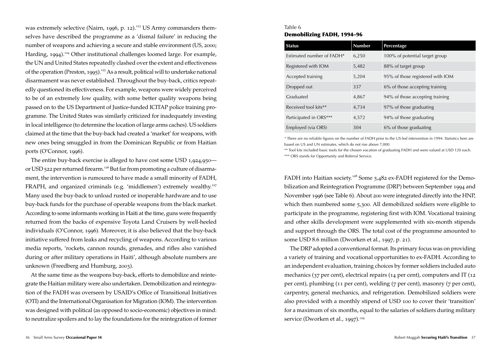was extremely selective (Nairn, 1996, p. 12).<sup>123</sup> US Army commanders themselves have described the programme as a 'dismal failure' in reducing the number of weapons and achieving a secure and stable environment (US, 2000; Harding, 1994).<sup>124</sup> Other institutional challenges loomed large. For example, the UN and United States repeatedly clashed over the extent and effectiveness of the operation (Preston, 1995).<sup>125</sup> As a result, political will to undertake national disarmament was never established. Throughout the buy-back, critics repeatedly questioned its effectiveness. For example, weapons were widely perceived to be of an extremely low quality, with some better quality weapons being passed on to the US Department of Justice-funded ICITAP police training programme. The United States was similarly criticized for inadequately investing in local intelligence (to determine the location of large arms caches). US soldiers claimed at the time that the buy-back had created a 'market' for weapons, with new ones being smuggled in from the Dominican Republic or from Haitian ports (O'Connor, 1996).

The entire buy-back exercise is alleged to have cost some USD 1,924,950 or USD 522 per returned firearm.<sup>126</sup> But far from promoting a culture of disarmament, the intervention is rumoured to have made a small minority of FADH, FRAPH, and organized criminals (e.g. 'middlemen') extremely wealthy.<sup>127</sup> Many used the buy-back to unload rusted or inoperable hardware and to use buy-back funds for the purchase of operable weapons from the black market. According to some informants working in Haiti at the time, guns were frequently returned from the backs of expensive Toyota Land Cruisers by well-heeled individuals (O'Connor, 1996). Moreover, it is also believed that the buy-back initiative suffered from leaks and recycling of weapons. According to various media reports, 'rockets, cannon rounds, grenades, and rifles also vanished during or after military operations in Haiti', although absolute numbers are unknown (Freedberg and Humburg, 2003).

At the same time as the weapons buy-back, efforts to demobilize and reintegrate the Haitian military were also undertaken. Demobilization and reintegration of the FADH was overseen by USAID's Office of Transitional Initiatives (OTI) and the International Organisation for Migration (IOM). The intervention was designed with political (as opposed to socio-economic) objectives in mind: to neutralize spoilers and to lay the foundations for the reintegration of former

### Table 6 Demobilizing FADH, 1994–96

| <b>Status</b>             | <b>Number</b> | Percentage                       |
|---------------------------|---------------|----------------------------------|
| Estimated number of FADH* | 6,250         | 100% of potential target group   |
| Registered with IOM       | 5,482         | 88% of target group              |
| Accepted training         | 5,204         | 95% of those registered with IOM |
| Dropped out               | 337           | 6% of those accepting training   |
| Graduated                 | 4,867         | 94% of those accepting training  |
| Received tool kits**      | 4,734         | 97% of those graduating          |
| Participated in ORS***    | 4,572         | 94% of those graduating          |
| Employed (via ORS)        | 304           | 6% of those graduating           |

*\** There are no reliable figures on the number of FADH prior to the US-led intervention in 1994. Statistics here are based on US and UN estimates, which do not rise above 7,000.

\*\* Tool kits included basic tools for the chosen vocation of graduating FADH and were valued at USD 120 each. \*\*\* ORS stands for Opportunity and Referral Service.

FADH into Haitian society.<sup>128</sup> Some 5,482 ex-FADH registered for the Demobilization and Reintegration Programme (DRP) between September 1994 and November 1996 (see Table 6). About 200 were integrated directly into the HNP, which then numbered some 5,300. All demobilized soldiers were eligible to participate in the programme, registering first with IOM. Vocational training and other skills development were supplemented with six-month stipends and support through the ORS. The total cost of the programme amounted to some USD 8.6 million (Dworken et al*.*, 1997, p. 21).

The DRP adopted a conventional format. Its primary focus was on providing a variety of training and vocational opportunities to ex-FADH. According to an independent evaluation, training choices by former soldiers included auto mechanics (37 per cent), electrical repairs (14 per cent), computers and IT (12 per cent), plumbing (11 per cent), welding (7 per cent), masonry (7 per cent), carpentry, general mechanics, and refrigeration. Demobilized soldiers were also provided with a monthly stipend of USD 100 to cover their 'transition' for a maximum of six months, equal to the salaries of soldiers during military service (Dworken et al., 1997).<sup>129</sup>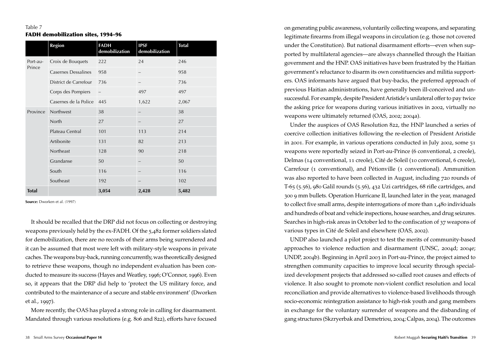### Table 7 FADH demobilization sites, 1994–96

|              | <b>Region</b>         | <b>FADH</b><br>demobilization | <b>IPSF</b><br>demobilization | <b>Total</b> |
|--------------|-----------------------|-------------------------------|-------------------------------|--------------|
| Port-au-     | Croix de Bouquets     | 222                           | 24                            | 246          |
| Prince       | Casernes Dessalines   | 958                           |                               | 958          |
|              | District de Carrefour | 736                           |                               | 736          |
|              | Corps des Pompiers    | $\qquad \qquad -$             | 497                           | 497          |
|              | Casernes de la Police | 445                           | 1,622                         | 2,067        |
| Province     | Northwest             | 38                            |                               | 38           |
|              | North                 | 27                            |                               | 27           |
|              | Plateau Central       | 101                           | 113                           | 214          |
|              | Artibonite            | 131                           | 82                            | 213          |
|              | Northeast             | 128                           | 90                            | 218          |
|              | Grandanse             | 50                            |                               | 50           |
|              | South                 | 116                           |                               | 116          |
|              | Southeast             | 192                           |                               | 102          |
| <b>Total</b> |                       | 3,054                         | 2,428                         | 5,482        |

**Source:** Dworken et al. (1997)

It should be recalled that the DRP did not focus on collecting or destroying weapons previously held by the ex-FADH. Of the 5,482 former soldiers slated for demobilization, there are no records of their arms being surrendered and it can be assumed that most were left with military-style weapons in private caches. The weapons buy-back, running concurrently, was theoretically designed to retrieve these weapons, though no independent evaluation has been conducted to measure its success (Hayes and Weatley, 1996; O'Connor, 1996). Even so, it appears that the DRP did help to 'protect the US military force, and contributed to the maintenance of a secure and stable environment' (Dworken et al*.*, 1997).

More recently, the OAS has played a strong role in calling for disarmament. Mandated through various resolutions (e.g. 806 and 822), efforts have focused

on generating public awareness, voluntarily collecting weapons, and separating legitimate firearms from illegal weapons in circulation (e.g. those not covered under the Constitution). But national disarmament efforts—even when supported by multilateral agencies—are always channelled through the Haitian government and the HNP. OAS initiatives have been frustrated by the Haitian government's reluctance to disarm its own constituencies and militia supporters. OAS informants have argued that buy-backs, the preferred approach of previous Haitian administrations, have generally been ill-conceived and unsuccessful. For example, despite President Aristide's unilateral offer to pay twice the asking price for weapons during various initiatives in 2002, virtually no weapons were ultimately returned (OAS, 2002; 2004a).

Under the auspices of OAS Resolution 822, the HNP launched a series of coercive collection initiatives following the re-election of President Aristide in 2001. For example, in various operations conducted in July 2002, some 51 weapons were reportedly seized in Port-au-Prince (6 conventional, 2 creole), Delmas (14 conventional, 11 creole), Cité de Soleil (10 conventional, 6 creole), Carrefour (1 conventional), and Pétionville (1 conventional). Ammunition was also reported to have been collected in August, including 720 rounds of T-65 (5.56), 980 Galil rounds (5.56), 432 Uzi cartridges, 68 rifle cartridges, and 300 9 mm bullets. Operation Hurricane II, launched later in the year, managed to collect five small arms, despite interrogations of more than 1,480 individuals and hundreds of boat and vehicle inspections, house searches, and drug seizures. Searches in high-risk areas in October led to the confiscation of 37 weapons of various types in Cité de Soleil and elsewhere (OAS, 2002).

UNDP also launched a pilot project to test the merits of community-based approaches to violence reduction and disarmament (UNSC, 2004d; 2004e; UNDP, 2004b). Beginning in April 2003 in Port-au-Prince, the project aimed to strengthen community capacities to improve local security through specialized development projects that addressed so-called root causes and effects of violence. It also sought to promote non-violent conflict resolution and local reconciliation and provide alternatives to violence-based livelihoods through socio-economic reintegration assistance to high-risk youth and gang members in exchange for the voluntary surrender of weapons and the disbanding of gang structures (Skzryerbak and Demetriou, 2004; Calpas, 2004). The outcomes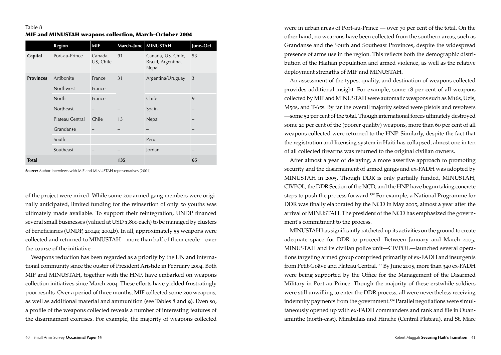|                  | Region          | <b>MIF</b>           | March-June MINUSTAH |                                                   | June-Oct. |
|------------------|-----------------|----------------------|---------------------|---------------------------------------------------|-----------|
| Capital          | Port-au-Prince  | Canada,<br>US, Chile | 91                  | Canada, US, Chile,<br>Brazil, Argentina,<br>Nepal | 53        |
| <b>Provinces</b> | Artibonite      | France               | 31                  | Argentina/Uruguay                                 | 3         |
|                  | Northwest       | France               |                     |                                                   |           |
|                  | North           | France               |                     | Chile                                             | 9         |
|                  | Northeast       |                      |                     | Spain                                             |           |
|                  | Plateau Central | Chile                | 13                  | Nepal                                             |           |
|                  | Grandanse       |                      |                     |                                                   |           |
|                  | South           |                      |                     | Peru                                              |           |
|                  | Southeast       | -                    |                     | Jordan                                            |           |
| <b>Total</b>     |                 |                      | 135                 |                                                   | 65        |

**Source:** Author interviews with MIF and MINUSTAH representatives (2004)

of the project were mixed. While some 200 armed gang members were originally anticipated, limited funding for the reinsertion of only 50 youths was ultimately made available. To support their reintegration, UNDP financed several small businesses (valued at USD 1,800 each) to be managed by clusters of beneficiaries (UNDP, 2004a; 2004b). In all, approximately 55 weapons were collected and returned to MINUSTAH—more than half of them creole—over the course of the initiative.

Weapons reduction has been regarded as a priority by the UN and international community since the ouster of President Aristide in February 2004. Both MIF and MINUSTAH, together with the HNP, have embarked on weapons collection initiatives since March 2004. These efforts have yielded frustratingly poor results. Over a period of three months, MIF collected some 200 weapons, as well as additional material and ammunition (see Tables 8 and 9). Even so, a profile of the weapons collected reveals a number of interesting features of the disarmament exercises. For example, the majority of weapons collected were in urban areas of Port-au-Prince — over 70 per cent of the total. On the other hand, no weapons have been collected from the southern areas, such as Grandanse and the South and Southeast Provinces, despite the widespread presence of arms use in the region. This reflects both the demographic distribution of the Haitian population and armed violence, as well as the relative deployment strengths of MIF and MINUSTAH.

An assessment of the types, quality, and destination of weapons collected provides additional insight. For example, some 18 per cent of all weapons collected by MIF and MINUSTAH were automatic weapons such as M16s, Uzis, M50s, and T-65s. By far the overall majority seized were pistols and revolvers —some 52 per cent of the total. Though international forces ultimately destroyed some 20 per cent of the (poorer quality) weapons, more than 60 per cent of all weapons collected were returned to the HNP. Similarly, despite the fact that the registration and licensing system in Haiti has collapsed, almost one in ten of all collected firearms was returned to the original civilian owners.

After almost a year of delaying, a more assertive approach to promoting security and the disarmament of armed gangs and ex-FADH was adopted by MINUSTAH in 2005. Though DDR is only partially funded, MINUSTAH, CIVPOL, the DDR Section of the NCD, and the HNP have begun taking concrete steps to push the process forward.<sup>130</sup> For example, a National Programme for DDR was finally elaborated by the NCD in May 2005, almost a year after the arrival of MINUSTAH. The president of the NCD has emphasized the government's commitment to the process.

MINUSTAH has significantly ratcheted up its activities on the ground to create adequate space for DDR to proceed. Between January and March 2005, MINUSTAH and its civilian police unit—CIVPOL—launched several operations targeting armed group comprised primarily of ex-FADH and insurgents from Petit-Goâve and Plateau Central.<sup>131</sup> By June 2005, more than 340 ex-FADH were being supported by the Office for the Management of the Disarmed Military in Port-au-Prince. Though the majority of these erstwhile soldiers were still unwilling to enter the DDR process, all were nevertheless receiving indemnity payments from the government.<sup>132</sup> Parallel negotiations were simultaneously opened up with ex-FADH commanders and rank and file in Ouanaminthe (north-east), Mirabalais and Hinche (Central Plateau), and St. Marc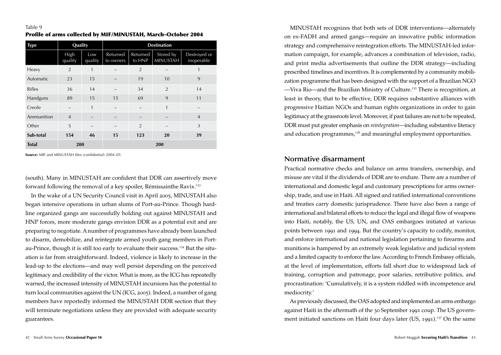### Table 9 Profile of arms collected by MIF/MINUSTAH, March–October 2004

| <b>Type</b>   | Quality         |                          | <b>Destination</b>       |                    |                              |                            |
|---------------|-----------------|--------------------------|--------------------------|--------------------|------------------------------|----------------------------|
|               | High<br>quality | Low<br>quality           | Returned<br>to owners    | Returned<br>to HNP | Stored by<br><b>MINUSTAH</b> | Destroyed or<br>inoperable |
| Heavy         | $\overline{2}$  | 1                        |                          | $\overline{2}$     |                              | 1                          |
| Automatic     | 23              | 15                       |                          | 19                 | 10                           | 9                          |
| <b>Rifles</b> | 36              | 14                       |                          | 34                 | $\overline{2}$               | 14                         |
| Handguns      | 89              | 15                       | 15                       | 69                 | 9                            | 11                         |
| Creole        |                 | 1                        |                          |                    | 1                            |                            |
| Ammunition    | $\overline{4}$  | $\overline{\phantom{a}}$ | $\overline{\phantom{0}}$ | -                  |                              | $\overline{4}$             |
| Other         | 5               | -                        | -                        | $\overline{2}$     | -                            | 3                          |
| Sub-total     | 154             | 46                       | 15                       | 123                | 20                           | 39                         |
| <b>Total</b>  | 200             |                          |                          |                    | 200                          |                            |

**Source:** MIF and MINUSTAH files (confidential) 2004–05

(south). Many in MINUSTAH are confident that DDR can assertively move forward following the removal of a key spoiler, Rémissainthe Ravix.<sup>133</sup>

In the wake of a UN Security Council visit in April 2005, MINUSTAH also began intensive operations in urban slums of Port-au-Prince. Though hardline organized gangs are successfully holding out against MINUSTAH and HNP forces, more moderate gangs envision DDR as a potential exit and are preparing to negotiate. A number of programmes have already been launched to disarm, demobilize, and reintegrate armed youth gang members in Portau-Prince, though it is still too early to evaluate their success.<sup>134</sup> But the situation is far from straightforward. Indeed, violence is likely to increase in the lead-up to the elections—and may well persist depending on the perceived legitimacy and credibility of the victor. What is more, as the ICG has repeatedly warned, the increased intensity of MINUSTAH incursions has the potential to turn local communities against the UN (ICG, 2005). Indeed, a number of gang members have reportedly informed the MINUSTAH DDR section that they will terminate negotiations unless they are provided with adequate security guarantees.

MINUSTAH recognizes that both sets of DDR interventions—alternately on ex-FADH and armed gangs—require an innovative public information strategy and comprehensive reintegration efforts. The MINUSTAH-led information campaign, for example, advances a combination of television, radio, and print media advertisements that outline the DDR strategy—including prescribed timelines and incentives. It is complemented by a community mobilization programme that has been designed with the support of a Brazilian NGO —Viva Rio—and the Brazilian Ministry of Culture.<sup>135</sup> There is recognition, at least in theory, that to be effective, DDR requires substantive alliances with progressive Haitian NGOs and human rights organizations in order to gain legitimacy at the grassroots level. Moreover, if past failures are not to be repeated, DDR must put greater emphasis on *reintegration*—including substantive literacy and education programmes, $136$  and meaningful employment opportunities.

### **Normative disarmament**

Practical normative checks and balance on arms transfers, ownership, and misuse are vital if the dividends of DDR are to endure. There are a number of international and domestic legal and customary prescriptions for arms ownership, trade, and use in Haiti. All signed and ratified international conventions and treaties carry domestic jurisprudence. There have also been a range of international and bilateral efforts to reduce the legal and illegal flow of weapons into Haiti, notably, the US, UN, and OAS embargoes initiated at various points between 1991 and 1994. But the country's capacity to codify, monitor, and enforce international and national legislation pertaining to firearms and munitions is hampered by an extremely weak legislative and judicial system and a limited capacity to enforce the law. According to French Embassy officials, at the level of implementation, efforts fall short due to widespread lack of training, corruption and patronage, poor salaries, retributive politics, and procrastination: 'Cumulatively, it is a system riddled with incompetence and mediocrity.'

As previously discussed, the OAS adopted and implemented an arms embargo against Haiti in the aftermath of the 30 September 1991 coup. The US government initiated sanctions on Haiti four days later (US, 1991).<sup>137</sup> On the same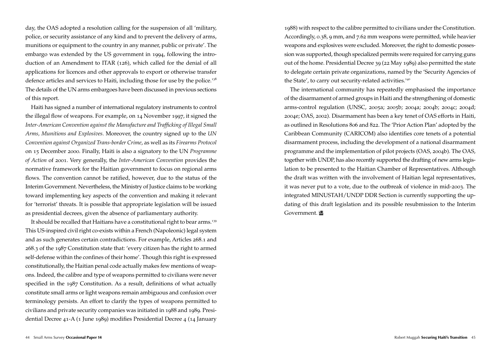day, the OAS adopted a resolution calling for the suspension of all 'military, police, or security assistance of any kind and to prevent the delivery of arms, munitions or equipment to the country in any manner, public or private'. The embargo was extended by the US government in 1994, following the introduction of an Amendment to ITAR (126), which called for the denial of all applications for licences and other approvals to export or otherwise transfer defence articles and services to Haiti, including those for use by the police.<sup>138</sup> The details of the UN arms embargoes have been discussed in previous sections of this report.

Haiti has signed a number of international regulatory instruments to control the illegal flow of weapons. For example, on 14 November 1997, it signed the *Inter-American Convention against the Manufacture and Trafficking of Illegal Small Arms, Munitions and Explosives*. Moreover, the country signed up to the *UN Convention against Organized Trans-border Crime*, as well as its *Firearms Protocol* on 15 December 2000. Finally, Haiti is also a signatory to the UN *Programme of Action* of 2001. Very generally, the *Inter-American Convention* provides the normative framework for the Haitian government to focus on regional arms flows. The convention cannot be ratified, however, due to the status of the Interim Government. Nevertheless, the Ministry of Justice claims to be working toward implementing key aspects of the convention and making it relevant for 'terrorist' threats. It is possible that appropriate legislation will be issued as presidential decrees, given the absence of parliamentary authority.

It should be recalled that Haitians have a constitutional right to bear arms.<sup>139</sup> This US-inspired civil right co-exists within a French (Napoleonic) legal system and as such generates certain contradictions. For example, Articles 268.1 and 268.3 of the 1987 Constitution state that: 'every citizen has the right to armed self-defense within the confines of their home'. Though this right is expressed constitutionally, the Haitian penal code actually makes few mentions of weapons. Indeed, the calibre and type of weapons permitted to civilians were never specified in the 1987 Constitution. As a result, definitions of what actually constitute small arms or light weapons remain ambiguous and confusion over terminology persists. An effort to clarify the types of weapons permitted to civilians and private security companies was initiated in 1988 and 1989. Presidential Decree 41-A (1 June 1989) modifies Presidential Decree 4 (14 January 1988) with respect to the calibre permitted to civilians under the Constitution. Accordingly, 0.38, 9 mm, and 7.62 mm weapons were permitted, while heavier weapons and explosives were excluded. Moreover, the right to domestic possession was supported, though specialized permits were required for carrying guns out of the home. Presidential Decree 39 (22 May 1989) also permitted the state to delegate certain private organizations, named by the 'Security Agencies of the State', to carry out security-related activities.<sup>140</sup>

The international community has repeatedly emphasised the importance of the disarmament of armed groups in Haiti and the strengthening of domestic arms-control regulation (UNSC, 2005a; 2005b; 2004a; 2004b; 2004c; 2004d; 2004e; OAS, 2002). Disarmament has been a key tenet of OAS efforts in Haiti, as outlined in Resolutions 806 and 822. The 'Prior Action Plan' adopted by the Caribbean Community (CARICOM) also identifies core tenets of a potential disarmament process, including the development of a national disarmament programme and the implementation of pilot projects (OAS, 2004b). The OAS, together with UNDP, has also recently supported the drafting of new arms legislation to be presented to the Haitian Chamber of Representatives. Although the draft was written with the involvement of Haitian legal representatives, it was never put to a vote, due to the outbreak of violence in mid-2003. The integrated MINUSTAH/UNDP DDR Section is currently supporting the updating of this draft legislation and its possible resubmission to the Interim Government.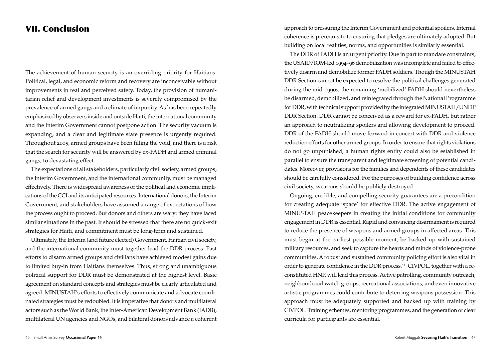### VII. Conclusion

The achievement of human security is an overriding priority for Haitians. Political, legal, and economic reform and recovery are inconceivable without improvements in real and perceived safety. Today, the provision of humanitarian relief and development investments is severely compromised by the prevalence of armed gangs and a climate of impunity. As has been repeatedly emphasized by observers inside and outside Haiti, the international community and the Interim Government cannot postpone action. The security vacuum is expanding, and a clear and legitimate state presence is urgently required. Throughout 2005, armed groups have been filling the void, and there is a risk that the search for security will be answered by ex-FADH and armed criminal gangs, to devastating effect.

The expectations of all stakeholders, particularly civil society, armed groups, the Interim Government, and the international community, must be managed effectively. There is widespread awareness of the political and economic implications of the CCI and its anticipated resources. International donors, the Interim Government, and stakeholders have assumed a range of expectations of how the process ought to proceed. But donors and others are wary: they have faced similar situations in the past. It should be stressed that there are no quick-exit strategies for Haiti, and commitment must be long-term and sustained.

Ultimately, the Interim (and future elected) Government, Haitian civil society, and the international community must together lead the DDR process. Past efforts to disarm armed groups and civilians have achieved modest gains due to limited buy-in from Haitians themselves. Thus, strong and unambiguous political support for DDR must be demonstrated at the highest level. Basic agreement on standard concepts and strategies must be clearly articulated and agreed. MINUSTAH's efforts to effectively communicate and advocate coordinated strategies must be redoubled. It is imperative that donors and multilateral actors such as the World Bank, the Inter-American Development Bank (IADB), multilateral UN agencies and NGOs, and bilateral donors advance a coherent

approach to pressuring the Interim Government and potential spoilers. Internal coherence is prerequisite to ensuring that pledges are ultimately adopted. But building on local realities, norms, and opportunities is similarly essential.

The DDR of FADH is an urgent priority. Due in part to mandate constraints, the USAID/IOM-led 1994–96 demobilization was incomplete and failed to effectively disarm and demobilize former FADH soldiers. Though the MINUSTAH DDR Section cannot be expected to resolve the political challenges generated during the mid-1990s, the remaining 'mobilized' FADH should nevertheless be disarmed, demobilized, and reintegrated through the National Programme for DDR, with technical support provided by the integrated MINUSTAH/UNDP DDR Section. DDR cannot be conceived as a reward for ex-FADH, but rather an approach to neutralizing spoilers and allowing development to proceed. DDR of the FADH should move forward in concert with DDR and violence reduction efforts for other armed groups. In order to ensure that rights violations do not go unpunished, a human rights entity could also be established in parallel to ensure the transparent and legitimate screening of potential candidates. Moreover, provisions for the families and dependents of these candidates should be carefully considered. For the purposes of building confidence across civil society, weapons should be publicly destroyed.

Ongoing, credible, and compelling security guarantees are a precondition for creating adequate 'space' for effective DDR. The active engagement of MINUSTAH peacekeepers in creating the initial conditions for community engagement in DDR is essential. Rapid and convincing disarmament is required to reduce the presence of weapons and armed groups in affected areas. This must begin at the earliest possible moment, be backed up with sustained military resources, and seek to capture the hearts and minds of violence-prone communities. A robust and sustained community policing effort is also vital in order to generate confidence in the DDR process.<sup>141</sup> CIVPOL, together with a reconstituted HNP, will lead this process. Active patrolling, community outreach, neighbourhood watch groups, recreational associations, and even innovative artistic programmes could contribute to deterring weapons possession. This approach must be adequately supported and backed up with training by CIVPOL. Training schemes, mentoring programmes, and the generation of clear curricula for participants are essential.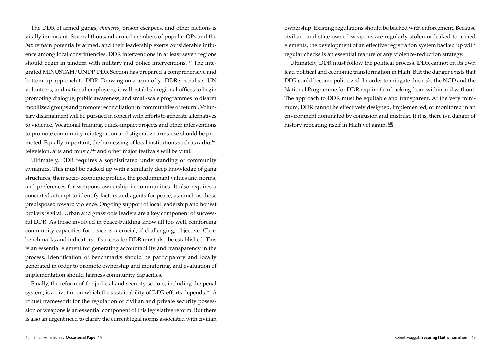The DDR of armed gangs, *chimères*, prison escapees, and other factions is vitally important. Several thousand armed members of popular OPs and the *baz* remain potentially armed, and their leadership exerts considerable influence among local constituencies. DDR interventions in at least seven regions should begin in tandem with military and police interventions.<sup>142</sup> The integrated MINUSTAH/UNDP DDR Section has prepared a comprehensive and bottom-up approach to DDR. Drawing on a team of 50 DDR specialists, UN volunteers, and national employees, it will establish regional offices to begin promoting dialogue, public awareness, and small-scale programmes to disarm mobilized groups and promote reconciliation in 'communities of return'. Voluntary disarmament will be pursued in concert with efforts to generate alternatives to violence. Vocational training, quick-impact projects and other interventions to promote community reintegration and stigmatize arms use should be promoted. Equally important, the harnessing of local institutions such as radio, $143$ television, arts and music,<sup>144</sup> and other major festivals will be vital.

Ultimately, DDR requires a sophisticated understanding of community dynamics. This must be backed up with a similarly deep knowledge of gang structures, their socio-economic profiles, the predominant values and norms, and preferences for weapons ownership in communities. It also requires a concerted attempt to identify factors and agents for peace, as much as those predisposed toward violence. Ongoing support of local leadership and honest brokers is vital. Urban and grassroots leaders are a key component of successful DDR. As those involved in peace-building know all too well, reinforcing community capacities for peace is a crucial, if challenging, objective. Clear benchmarks and indicators of success for DDR must also be established. This is an essential element for generating accountability and transparency in the process. Identification of benchmarks should be participatory and locally generated in order to promote ownership and monitoring, and evaluation of implementation should harness community capacities.

Finally, the reform of the judicial and security sectors, including the penal system, is a pivot upon which the sustainability of DDR efforts depends.<sup>145</sup> A robust framework for the regulation of civilian and private security possession of weapons is an essential component of this legislative reform. But there is also an urgent need to clarify the current legal norms associated with civilian

ownership. Existing regulations should be backed with enforcement. Because civilian- and state-owned weapons are regularly stolen or leaked to armed elements, the development of an effective registration system backed up with regular checks is an essential feature of any violence-reduction strategy.

Ultimately, DDR must follow the political process. DDR cannot on its own lead political and economic transformation in Haiti. But the danger exists that DDR could become politicized. In order to mitigate this risk, the NCD and the National Programme for DDR require firm backing from within and without. The approach to DDR must be equitable and transparent. At the very minimum, DDR cannot be effectively designed, implemented, or monitored in an environment dominated by confusion and mistrust. If it is, there is a danger of history repeating itself in Haiti yet again.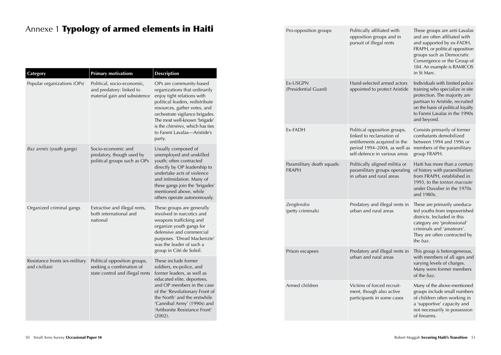# Annexe 1 Typology of armed elements in Haiti

| <b>Category</b>                                 | <b>Primary motivations</b>                                                                  | <b>Description</b>                                                                                                                                                                                                                                                                                        |
|-------------------------------------------------|---------------------------------------------------------------------------------------------|-----------------------------------------------------------------------------------------------------------------------------------------------------------------------------------------------------------------------------------------------------------------------------------------------------------|
| Popular organizations (OPs)                     | Political, socio-economic,<br>and predatory: linked to<br>material gain and subsistence     | OPs are community-based<br>organizations that ordinarily<br>enjoy tight relations with<br>political leaders, redistribute<br>resources, gather votes, and<br>orchestrate vigilance brigades.<br>The most well-known 'brigade'<br>is the chimères, which has ties<br>to Fanmi Lavalas-Aristide's<br>party. |
| <i>Baz armés</i> (youth gangs)                  | Socio-economic and<br>predatory, though used by<br>political groups such as OPs             | Usually composed of<br>unemployed and unskilled<br>youth; often contracted<br>directly by OP leadership to<br>undertake acts of violence<br>and intimidation. Many of<br>these gangs join the 'brigades'<br>mentioned above, while<br>others operate autonomously.                                        |
| Organized criminal gangs                        | Extractive and illegal rents,<br>both international and<br>national                         | These groups are generally<br>involved in narcotics and<br>weapons trafficking and<br>organize youth gangs for<br>defensive and commercial<br>purposes. 'Dread Mackenzie'<br>was the leader of such a<br>group in Cité de Soleil.                                                                         |
| Resistance fronts (ex-military<br>and civilian) | Political opposition groups,<br>seeking a combination of<br>state control and illegal rents | These include former<br>soldiers, ex-police, and<br>former leaders, as well as<br>educated elite, deportees,<br>and OP members in the case<br>of the 'Revolutionary Front of<br>the North' and the erstwhile<br>'Cannibal Army' (1990s) and<br>'Artibonite Resistance Front'<br>(2002).                   |

| Pro-opposition groups                      | Politically affiliated with<br>opposition groups and in<br>pursuit of illegal rents                                                                       | These groups are anti-Lavalas<br>and are often affiliated with<br>and supported by ex-FADH,<br>FRAPH, or political opposition<br>groups such as Democratic<br>Convergence or the Group of<br>184. An example is RAMICOS<br>in St Marc. |
|--------------------------------------------|-----------------------------------------------------------------------------------------------------------------------------------------------------------|----------------------------------------------------------------------------------------------------------------------------------------------------------------------------------------------------------------------------------------|
| Ex-USGPN<br>(Presidential Guard)           | Hand-selected armed actors<br>appointed to protect Aristide                                                                                               | Individuals with limited police<br>training who specialize in site<br>protection. The majority are<br>partisan to Aristide, recruited<br>on the basis of political loyalty<br>to Fanmi Lavalas in the 1990s<br>and beyond.             |
| <b>Fx-FADH</b>                             | Political opposition groups,<br>linked to reclamation of<br>entitlements acquired in the<br>period 1994-2004, as well as<br>self-defence in various areas | Consists primarily of former<br>combatants demobilized<br>between 1994 and 1996 or<br>members of the paramilitary<br>group FRAPH.                                                                                                      |
| Paramilitary death squads:<br><b>FRAPH</b> | Politically aligned militia or<br>paramilitary groups operating<br>in urban and rural areas                                                               | Haiti has more than a century<br>of history with paramilitarism:<br>from FRAPH, established in<br>1993, to the tonton macoute<br>under Duvalier in the 1970s<br>and 1980s.                                                             |
| Zenglendos<br>(petty criminals)            | Predatory and illegal rents in<br>urban and rural areas                                                                                                   | These are primarily uneduca-<br>ted youths from impoverished<br>districts. Included in this<br>category are 'professional'<br>criminals and 'amateurs'.<br>They are often contracted by<br>the baz.                                    |
| Prison escapees                            | Predatory and illegal rents in<br>urban and rural areas                                                                                                   | This group is heterogeneous,<br>with members of all ages and<br>varying levels of charges.<br>Many were former members<br>of the baz.                                                                                                  |
| Armed children                             | Victims of forced recruit-<br>ment, though also active<br>participants in some cases                                                                      | Many of the above-mentioned<br>groups include small numbers<br>of children often working in<br>a 'supportive' capacity and<br>not necessarily in possession<br>of firearms.                                                            |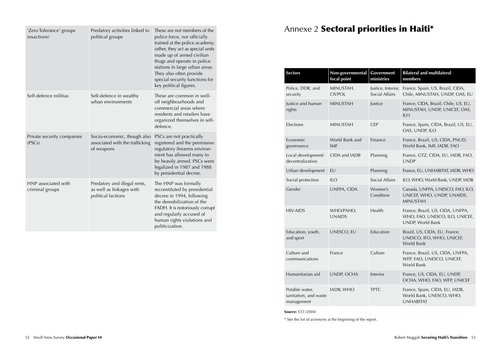| 'Zero Tolerance' groups<br>(exactions) | Predatory activities linked to<br>political groups                             | These are not members of the<br>police force, nor officially<br>trained at the police academy;<br>rather, they act as special units<br>made up of armed civilian<br>thugs and operate in police<br>stations in large urban areas.<br>They also often provide<br>special security functions for<br>key political figures. |
|----------------------------------------|--------------------------------------------------------------------------------|--------------------------------------------------------------------------------------------------------------------------------------------------------------------------------------------------------------------------------------------------------------------------------------------------------------------------|
| Self-defence militias                  | Self-defence in wealthy<br>urban environments                                  | These are common in well-<br>off neighbourhoods and<br>commercial areas where<br>residents and retailers have<br>organized themselves in self-<br>defence.                                                                                                                                                               |
| Private security companies<br>(PSCs)   | Socio-economic, though also<br>associated with the trafficking<br>of weapons   | PSCs are not practically<br>registered and the permissive<br>regulatory firearms environ-<br>ment has allowed many to<br>be heavily armed. PSCs were<br>legalized in 1987 and 1988<br>by presidential decree.                                                                                                            |
| HNP associated with<br>criminal groups | Predatory and illegal rents,<br>as well as linkages with<br>political factions | The HNP was formally<br>reconstituted by presidential<br>decree in 1994, following<br>the demobilization of the<br>FADH. It is notoriously corrupt<br>and regularly accused of<br>human rights violations and<br>politicization.                                                                                         |

# Annexe 2 Sectoral priorities in Haiti\*

**State State** 

an di

| <b>Sectors</b>                                        | Non-governmental<br>focal point | Government<br>ministries             | <b>Bilateral and multilateral</b><br>members                                           |
|-------------------------------------------------------|---------------------------------|--------------------------------------|----------------------------------------------------------------------------------------|
| Police, DDR, and<br>security                          | MINUSTAH,<br><b>CIVPOL</b>      | Justice, Interior,<br>Social Affairs | France, Spain, US, Brazil, CIDA,<br>Chile, MINUSTAH, UNDP, OAS, EU                     |
| lustice and human<br>rights                           | <b>MINUSTAH</b>                 | Justice                              | France, CIDA, Brazil, Chile, US, EU,<br>MINUSTAH, UNDP, UNICEF, OAS,<br><b>ILO</b>     |
| Elections                                             | <b>MINUSTAH</b>                 | <b>CEP</b>                           | France, Spain, CIDA, Brazil, US, EU,<br>OAS, UNDP, ILO                                 |
| Economic<br>governance                                | World Bank and<br><b>IMF</b>    | Finance                              | France, Brazil, US, CIDA, PNUD,<br>World Bank, IMF, IADB, FAO                          |
| Local development/<br>decentralization                | CIDA and IADB                   | Planning                             | France, GTZ, CIDA, EU, IADB, FAO,<br><b>UNDP</b>                                       |
| Urban development                                     | EU                              | Planning                             | France, EU, UNHABITAT, IADB, WHO                                                       |
| Social protection                                     | $\overline{11}$ $\overline{O}$  | Social Affairs                       | ILO, WHO, World Bank, UNDP, IADB                                                       |
| Gender                                                | UNFPA, CIDA                     | Women's<br>Condition                 | Canada, UNFPA, UNESCO, FAO, ILO,<br>UNICEF, WHO, UNDP, UNAIDS,<br><b>MINUSTAH</b>      |
| <b>HIV-AIDS</b>                                       | WHO/PAHO,<br><b>UNAIDS</b>      | Health                               | France, Brazil, US, CIDA, UNFPA,<br>WHO, FAO, UNESCO, ILO, UNICEF,<br>UNDP, World Bank |
| Education, youth,<br>and sport                        | UNESCO, EU                      | Education                            | Brazil, US, CIDA, EU, France,<br>UNESCO, IFO, WHO, UNICEF,<br>World Bank               |
| Culture and<br>communications                         | France                          | Culture                              | France, Brazil, US, CIDA, UNFPA,<br>WFP, FAO, UNESCO, UNICEF,<br>World Bank            |
| Humanitarian aid                                      | UNDP, OCHA                      | Interior                             | France, US, CIDA, EU, UNDP,<br>OCHA, WHO, FAO, WFP, UNICEF                             |
| Potable water,<br>sanitation, and waste<br>management | IADB, WHO                       | <b>TPTC</b>                          | France, Spain, CIDA, EU, IADB,<br>World Bank, UNESCO, WHO,<br><b>UNHABITAT</b>         |

**Source:** CCI (2004)

\* See the list of acronyms at the beginning of the report.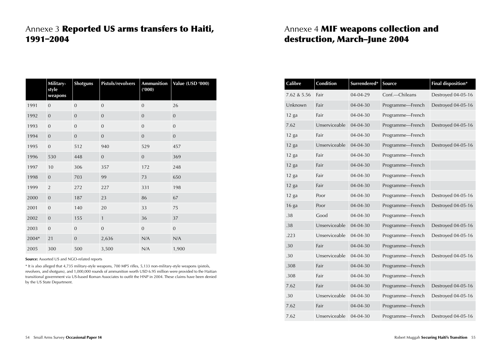# Annexe 3 Reported US arms transfers to Haiti, 1991–2004

|       | Military-<br>style<br>weapons | <b>Shotguns</b> | Pistols/revolvers | <b>Ammunition</b><br>(000) | Value (USD '000) |
|-------|-------------------------------|-----------------|-------------------|----------------------------|------------------|
| 1991  | $\mathbf{0}$                  | $\mathbf{0}$    | $\mathbf{0}$      | $\mathbf{0}$               | 26               |
| 1992  | $\mathbf{0}$                  | $\mathbf{0}$    | $\mathbf{0}$      | $\mathbf{0}$               | $\mathbf{0}$     |
| 1993  | $\overline{0}$                | $\overline{0}$  | $\mathbf{0}$      | $\overline{0}$             | $\overline{0}$   |
| 1994  | $\mathbf{0}$                  | $\overline{0}$  | $\overline{0}$    | $\overline{0}$             | $\overline{0}$   |
| 1995  | $\mathbf{0}$                  | 512             | 940               | 529                        | 457              |
| 1996  | 530                           | 448             | $\overline{0}$    | $\overline{0}$             | 369              |
| 1997  | 10                            | 306             | 357               | 172                        | 248              |
| 1998  | $\mathbf{0}$                  | 703             | 99                | 73                         | 650              |
| 1999  | $\overline{2}$                | 272             | 227               | 331                        | 198              |
| 2000  | $\boldsymbol{0}$              | 187             | 23                | 86                         | 67               |
| 2001  | $\mathbf{0}$                  | 140             | 20                | 33                         | 75               |
| 2002  | $\mathbf{0}$                  | 155             | $\mathbf{1}$      | 36                         | 37               |
| 2003  | $\mathbf{0}$                  | $\mathbf{0}$    | $\mathbf{0}$      | $\overline{0}$             | $\overline{0}$   |
| 2004* | 21                            | $\mathbf{0}$    | 2,636             | N/A                        | N/A              |
| 2005  | 300                           | 500             | 3,500             | N/A                        | 1,900            |

**Source:** Assorted US and NGO-related reports

\* It is also alleged that 4,735 military-style weapons, 700 MP5 rifles, 5,133 non-military-style weapons (pistols, revolvers, and shotguns), and 1,000,000 rounds of ammunition worth USD 6.95 million were provided to the Haitian transitional government via US-based Roman Associates to outfit the HNP in 2004. These claims have been denied by the US State Department.

# Annexe 4 MIF weapons collection and destruction, March–June 2004

| Calibre     | <b>Condition</b> | Surrendered*   | Source           | Final disposition* |
|-------------|------------------|----------------|------------------|--------------------|
| 7.62 & 5.56 | Fair             | 04-04-29       | Conf.-Chileans   | Destroyed 04-05-16 |
| Unknown     | Fair             | 04-04-30       | Programme-French | Destroyed 04-05-16 |
| 12 ga       | Fair             | 04-04-30       | Programme-French |                    |
| 7.62        | Unserviceable    | $04 - 04 - 30$ | Programme-French | Destroyed 04-05-16 |
| 12 ga       | Fair             | 04-04-30       | Programme-French |                    |
| 12 ga       | Unserviceable    | $04 - 04 - 30$ | Programme-French | Destroyed 04-05-16 |
| $12$ ga     | Fair             | 04-04-30       | Programme-French |                    |
| 12 ga       | Fair             | $04 - 04 - 30$ | Programme-French |                    |
| $12$ ga     | Fair             | 04-04-30       | Programme-French |                    |
| $12$ ga     | Fair             | 04-04-30       | Programme-French |                    |
| $12$ ga     | Poor             | 04-04-30       | Programme-French | Destroyed 04-05-16 |
| 16 ga       | Poor             | $04 - 04 - 30$ | Programme-French | Destroyed 04-05-16 |
| .38         | Good             | $04 - 04 - 30$ | Programme-French |                    |
| .38         | Unserviceable    | $04 - 04 - 30$ | Programme-French | Destroyed 04-05-16 |
| .223        | Unserviceable    | $04 - 04 - 30$ | Programme-French | Destroyed 04-05-16 |
| .30         | Fair             | 04-04-30       | Programme-French |                    |
| .30         | Unserviceable    | $04 - 04 - 30$ | Programme-French | Destroyed 04-05-16 |
| .308        | Fair             | 04-04-30       | Programme-French |                    |
| .308        | Fair             | 04-04-30       | Programme-French |                    |
| 7.62        | Fair             | $04 - 04 - 30$ | Programme-French | Destroyed 04-05-16 |
| .30         | Unserviceable    | 04-04-30       | Programme-French | Destroyed 04-05-16 |
| 7.62        | Fair             | $04 - 04 - 30$ | Programme-French |                    |
| 7.62        | Unserviceable    | $04 - 04 - 30$ | Programme-French | Destroyed 04-05-16 |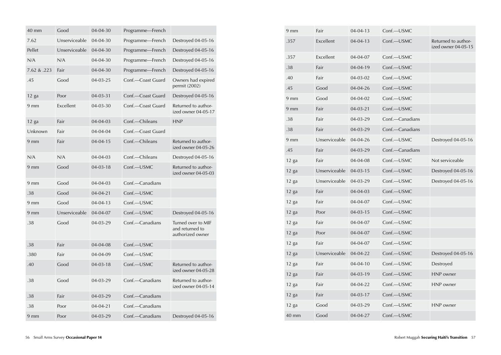| 40 mm           | Good          | 04-04-30       | Programme-French  |                                                           |
|-----------------|---------------|----------------|-------------------|-----------------------------------------------------------|
| 7.62            | Unserviceable | 04-04-30       | Programme-French  | Destroyed 04-05-16                                        |
| Pellet          | Unserviceable | $04 - 04 - 30$ | Programme-French  | Destroyed 04-05-16                                        |
| N/A             | N/A           | $04 - 04 - 30$ | Programme-French  | Destroyed 04-05-16                                        |
| 7.62 & .223     | Fair          | $04 - 04 - 30$ | Programme-French  | Destroyed 04-05-16                                        |
| .45             | Good          | 04-03-25       | Conf.-Coast Guard | Owners had expired<br>permit (2002)                       |
| $12$ ga         | Poor          | $04 - 03 - 31$ | Conf.—Coast Guard | Destroyed 04-05-16                                        |
| 9 <sub>mm</sub> | Excellent     | $04 - 03 - 30$ | Conf.-Coast Guard | Returned to author-<br>ized owner 04-05-17                |
| $12$ ga         | Fair          | 04-04-03       | Conf.-Chileans    | <b>HNP</b>                                                |
| Unknown         | Fair          | 04-04-04       | Conf.-Coast Guard |                                                           |
| 9 <sub>mm</sub> | Fair          | $04 - 04 - 15$ | Conf.-Chileans    | Returned to author-<br>ized owner 04-05-26                |
| N/A             | N/A           | 04-04-03       | Conf.-Chileans    | Destroyed 04-05-16                                        |
| 9 <sub>mm</sub> | Good          | $04 - 03 - 18$ | Conf.-USMC        | Returned to author-<br>ized owner 04-05-03                |
| 9 <sub>mm</sub> | Good          | 04-04-03       | Conf.-Canadians   |                                                           |
| .38             | Good          | $04 - 04 - 21$ | Conf.-USMC        |                                                           |
| 9 <sub>mm</sub> | Good          | $04 - 04 - 13$ | Conf.-USMC        |                                                           |
| $9 \text{ mm}$  | Unserviceable | 04-04-07       | Conf.-USMC        | Destroyed 04-05-16                                        |
| .38             | Good          | 04-03-29       | Conf.-Canadians   | Turned over to MIF<br>and returned to<br>authorized owner |
| .38             | Fair          | 04-04-08       | Conf.-USMC        |                                                           |
| .380            | Fair          | 04-04-09       | Conf.-USMC        |                                                           |
| .40             | Good          | $04 - 03 - 18$ | Conf.-USMC        | Returned to author-<br>ized owner 04-05-28                |
| .38             | Good          | 04-03-29       | Conf.-Canadians   | Returned to author-<br>ized owner 04-05-14                |
| .38             | Fair          | 04-03-29       | Conf.—Canadians   |                                                           |
| .38             | Poor          | $04 - 04 - 21$ | Conf.—Canadians   |                                                           |
| 9 <sub>mm</sub> | Poor          | 04-03-29       | Conf.-Canadians   | Destroyed 04-05-16                                        |

| 9 <sub>mm</sub> | Fair          | $04 - 04 - 13$ | Conf.-USMC      |                                            |
|-----------------|---------------|----------------|-----------------|--------------------------------------------|
| .357            | Excellent     | $04 - 04 - 13$ | Conf.-USMC      | Returned to author-<br>ized owner 04-05-15 |
| .357            | Excellent     | 04-04-07       | Conf.-USMC      |                                            |
| .38             | Fair          | 04-04-19       | Conf.-USMC      |                                            |
| .40             | Fair          | $04 - 03 - 02$ | Conf.-USMC      |                                            |
| .45             | Good          | $04 - 04 - 26$ | Conf.-USMC      |                                            |
| 9 <sub>mm</sub> | Good          | $04 - 04 - 02$ | Conf.-USMC      |                                            |
| 9 <sub>mm</sub> | Fair          | $04 - 03 - 21$ | Conf.-USMC      |                                            |
| .38             | Fair          | 04-03-29       | Conf.-Canadians |                                            |
| .38             | Fair          | 04-03-29       | Conf.—Canadians |                                            |
| 9 <sub>mm</sub> | Unserviceable | $04 - 04 - 26$ | Conf.-USMC      | Destroyed 04-05-16                         |
| .45             | Fair          | 04-03-29       | Conf.-Canadians |                                            |
| $12$ ga         | Fair          | $04 - 04 - 08$ | Conf.-USMC      | Not serviceable                            |
| $12$ ga         | Unserviceable | $04 - 03 - 15$ | Conf.-USMC      | Destroyed 04-05-16                         |
| 12 ga           | Unserviceable | 04-03-29       | Conf.-USMC      | Destroyed 04-05-16                         |
| $12$ ga         | Fair          | 04-04-03       | Conf.-USMC      |                                            |
| $12$ ga         | Fair          | 04-04-07       | Conf.-USMC      |                                            |
| $12$ ga         | Poor          | $04 - 03 - 15$ | Conf.-USMC      |                                            |
| $12$ ga         | Fair          | 04-04-07       | Conf.-USMC      |                                            |
| $12$ ga         | Poor          | $04 - 04 - 07$ | Conf.-USMC      |                                            |
| $12$ ga         | Fair          | 04-04-07       | Conf.-USMC      |                                            |
| $12$ ga         | Unserviceable | 04-04-22       | Conf.-USMC      | Destroyed 04-05-16                         |
| $12$ ga         | Fair          | $04 - 04 - 10$ | Conf.-USMC      | Destroyed                                  |
| $12$ ga         | Fair          | $04 - 03 - 19$ | Conf.-USMC      | HNP owner                                  |
| $12$ ga         | Fair          | $04 - 04 - 22$ | Conf.-USMC      | HNP owner                                  |
| $12$ ga         | Fair          | $04 - 03 - 17$ | Conf.-USMC      |                                            |
| $12$ ga         | Good          | 04-03-29       | Conf.-USMC      | HNP owner                                  |
| 40 mm           | Good          | 04-04-27       | Conf.-USMC      |                                            |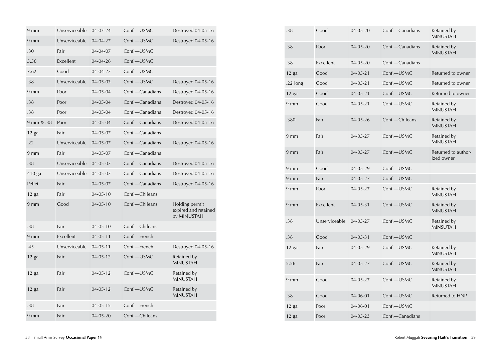| $9 \text{ mm}$  | Unserviceable | 04-03-24       | Conf.-USMC      | Destroyed 04-05-16                                    |
|-----------------|---------------|----------------|-----------------|-------------------------------------------------------|
| 9 <sub>mm</sub> | Unserviceable | 04-04-27       | Conf.-USMC      | Destroyed 04-05-16                                    |
| .30             | Fair          | 04-04-07       | Conf.-USMC      |                                                       |
| 5.56            | Excellent     | $04 - 04 - 26$ | Conf.-USMC      |                                                       |
| 7.62            | Good          | 04-04-27       | Conf.-USMC      |                                                       |
| .38             | Unserviceable | $04 - 05 - 03$ | Conf.-USMC      | Destroyed 04-05-16                                    |
| $9 \text{ mm}$  | Poor          | $04 - 05 - 04$ | Conf.—Canadians | Destroyed 04-05-16                                    |
| .38             | Poor          | $04 - 05 - 04$ | Conf.-Canadians | Destroyed 04-05-16                                    |
| .38             | Poor          | $04 - 05 - 04$ | Conf.-Canadians | Destroyed 04-05-16                                    |
| 9 mm & .38      | Poor          | 04-05-04       | Conf.—Canadians | Destroyed 04-05-16                                    |
| $12$ ga         | Fair          | $04 - 05 - 07$ | Conf.-Canadians |                                                       |
| .22             | Unserviceable | 04-05-07       | Conf.-Canadians | Destroyed 04-05-16                                    |
| 9 <sub>mm</sub> | Fair          | $04 - 05 - 07$ | Conf.—Canadians |                                                       |
| .38             | Unserviceable | 04-05-07       | Conf.-Canadians | Destroyed 04-05-16                                    |
| 410 ga          | Unserviceable | 04-05-07       | Conf.—Canadians | Destroyed 04-05-16                                    |
| Pellet          | Fair          | 04-05-07       | Conf.-Canadians | Destroyed 04-05-16                                    |
| $12$ ga         | Fair          | $04 - 05 - 10$ | Conf.-Chileans  |                                                       |
| 9 <sub>mm</sub> | Good          | $04 - 05 - 10$ | Conf.-Chileans  | Holding permit<br>expired and retained<br>by MINUSTAH |
| .38             | Fair          | $04 - 05 - 10$ | Conf.-Chileans  |                                                       |
| $9 \text{ mm}$  | Excellent     | $04 - 05 - 11$ | Conf.—French    |                                                       |
| .45             | Unserviceable | $04 - 05 - 11$ | Conf.—French    | Destroyed 04-05-16                                    |
| $12$ ga         | Fair          | $04 - 05 - 12$ | Conf.-USMC      | Retained by<br><b>MINUSTAH</b>                        |
| $12$ ga         | Fair          | $04 - 05 - 12$ | Conf.-USMC      | Retained by<br><b>MINUSTAH</b>                        |
| $12$ ga         | Fair          | 04-05-12       | Conf.-USMC      | Retained by<br><b>MINUSTAH</b>                        |
| .38             | Fair          | $04 - 05 - 15$ | Conf.-French    |                                                       |
| 9 <sub>mm</sub> | Fair          | $04 - 05 - 20$ | Conf.-Chileans  |                                                       |

| .38             | Good          | 04-05-20       | Conf.-Canadians | Retained by<br><b>MINUSTAH</b>    |
|-----------------|---------------|----------------|-----------------|-----------------------------------|
| .38             | Poor          | $04 - 05 - 20$ | Conf.-Canadians | Retained by<br><b>MINUSTAH</b>    |
| .38             | Excellent     | $04 - 05 - 20$ | Conf.-Canadians |                                   |
| $12$ ga         | Good          | $04 - 05 - 21$ | Conf.-USMC      | Returned to owner                 |
| .22 $long$      | Good          | $04 - 05 - 21$ | Conf.-USMC      | Returned to owner                 |
| $12$ ga         | Good          | $04 - 05 - 21$ | Conf.-USMC      | Returned to owner                 |
| 9 <sub>mm</sub> | Good          | $04 - 05 - 21$ | Conf.-USMC      | Retained by<br><b>MINUSTAH</b>    |
| .380            | Fair          | $04 - 05 - 26$ | Conf.-Chileans  | Retained by<br><b>MINUSTAH</b>    |
| $9 \text{ mm}$  | Fair          | $04 - 05 - 27$ | $Conf$ —USMC    | Retained by<br><b>MINUSTAH</b>    |
| $9 \text{ mm}$  | Fair          | $04 - 05 - 27$ | Conf.-USMC      | Returned to author-<br>ized owner |
| $9 \text{ mm}$  | Good          | $04 - 05 - 29$ | $Conf$ —USMC    |                                   |
| 9 <sub>mm</sub> | Fair          | $04 - 05 - 27$ | Conf.-USMC      |                                   |
| 9 <sub>mm</sub> | Poor          | 04-05-27       | Conf.-USMC      | Retained by<br><b>MINUSTAH</b>    |
| 9 <sub>mm</sub> | Excellent     | $04 - 05 - 31$ | Conf.-USMC      | Retained by<br><b>MINUSTAH</b>    |
| .38             | Unserviceable | 04-05-27       | Conf.-USMC      | Retained by<br><b>MINSUTAH</b>    |
| .38             | Good          | $04 - 05 - 31$ | Conf.-USMC      |                                   |
| $12$ ga         | Fair          | $04 - 05 - 29$ | Conf.-USMC      | Retained by<br><b>MINUSTAH</b>    |
| 5.56            | Fair          | 04-05-27       | Conf.-USMC      | Retained by<br><b>MINUSTAH</b>    |
| 9 <sub>mm</sub> | Good          | $04 - 05 - 27$ | Conf.-USMC      | Retained by<br><b>MINUSTAH</b>    |
| .38             | Good          | $04 - 06 - 01$ | Conf.-USMC      | Returned to HNP                   |
| $12$ ga         | Poor          | $04 - 06 - 01$ | Conf.-USMC      |                                   |
| 12 ga           | Poor          | $04 - 05 - 23$ | Conf.-Canadians |                                   |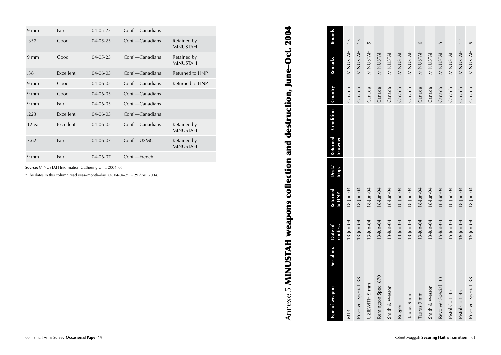| $9 \text{ mm}$ | Fair      | $04 - 05 - 23$ | Conf.—Canadians |                                |
|----------------|-----------|----------------|-----------------|--------------------------------|
| .357           | Good      | $04 - 05 - 25$ | Conf.—Canadians | Retained by<br><b>MINUSTAH</b> |
| $9 \text{ mm}$ | Good      | $04 - 05 - 25$ | Conf.-Canadians | Retained by<br><b>MINUSTAH</b> |
| .38            | Excellent | 04-06-05       | Conf.—Canadians | Returned to HNP                |
| $9 \text{ mm}$ | Good      | 04-06-05       | Conf.—Canadians | Returned to HNP                |
| $9 \text{ mm}$ | Good      | 04-06-05       | Conf.—Canadians |                                |
| $9 \text{ mm}$ | Fair      | 04-06-05       | Conf.—Canadians |                                |
| .223           | Excellent | 04-06-05       | Conf.—Canadians |                                |
| $12$ ga        | Excellent | 04-06-05       | Conf.—Canadians | Retained by<br><b>MINUSTAH</b> |
| 7.62           | Fair      | 04-06-07       | $Conf$ —USMC    | Retained by<br><b>MINUSTAH</b> |
| $9 \text{ mm}$ | Fair      | 04-06-07       | Conf.—French    |                                |

**Source:** MINUSTAH Information Gathering Unit, 200 4–0 5

\* The dates in this column read year–month–day, i.e. 0 4-0 4 - 2 9 = 2 9 April 200 4 *.*

# Annexe 5 MINUSTAH weapons collection and destruction, June-Oct. 2004  $\wedge$ nnexe 5 MINUSTAH weapons collection and destruction, June–Oct. 2004

| Type of weapon       | Serial no. | confisc.<br>Date of | Returned<br>to HNP | Dest./<br>Inop. | to owner | Returned Condition Country |        | <b>Remarks</b>  | Rounds  |
|----------------------|------------|---------------------|--------------------|-----------------|----------|----------------------------|--------|-----------------|---------|
| M14                  |            | 13-Jun-04           | $18$ -Jun-04       |                 |          |                            | Canada | MINUSTAH 13     |         |
| Revolver Special .38 |            | $13$ -Jun-04        | 18-Jun-04          |                 |          |                            | Canada | MINUSTAH 13     |         |
| UZIEWITH 9 mm        |            | $13$ -Jun-04        | $18 - Jun - 04$    |                 |          |                            | Canada | MINUSTAH        | LN,     |
| Remington Spec. 870  |            | $13$ -Jun-04        | $18 - Jun - 04$    |                 |          |                            | Canada | MINUSTAH        |         |
| Smith & Wesson       |            | $13$ -Jun-04        | $18 - Jun - 04$    |                 |          |                            | Canada | MINUSTAH        |         |
| Rugger               |            | 13-Jun-04           | 18-Jun-04          |                 |          |                            | Canada | MINUSTAH        |         |
| Taurus 9 mm          |            | $13$ -Jun-04        | $18 -$ Jun-04      |                 |          |                            | Canada | MINUSTAH        |         |
| Taurus 9 mm          |            | $13$ -Jun-04        | 18-Jun-04          |                 |          |                            | Canada | <b>MINUSTAH</b> | $\circ$ |
| Smith & Wesson       |            | $13$ -Jun-04        | $18 - Jun - 04$    |                 |          |                            | Canada | MINUSTAH        |         |
| Revolver Special .38 |            | $15$ -Jun-04        | 18-Jun-04          |                 |          |                            | Canada | <b>MINUSTAH</b> | LN      |
| Pistol Colt .45      |            | $15$ -Jun-04        | $18$ -Jun-04       |                 |          |                            | Canada | MINUSTAH        |         |
| Pistol Colt.45       |            | $16$ -Jun-04        | $18$ -Jun-04       |                 |          |                            | Canada | MINUSTAH 12     |         |
| Revolver Special .38 |            | $16$ -Jun-04        | 18-Jun-04          |                 |          |                            | Canada | <b>MINUSTAH</b> | LŊ      |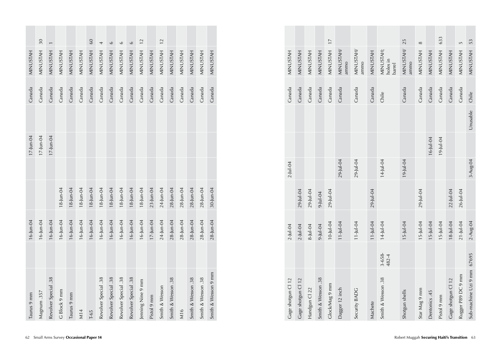| MINUSTAH     | 30<br>MINUSTAH | MINUSTAH             | MINUSTAH        | MINUSTAH        | <b>MINUSTAH</b> | 60<br>MINUSTAH | 4<br>MINUSTAH        | $\circ$<br>MINUSTAH  | $\circ$<br>MINUSTAH  | $\circ$<br>MINUSTAH  | MINUSTAH 12       | MINUSTAH        | MINUSTAH 12    | <b>MINUSTAH</b>    | MINUSTAH        | MINUSTAH           | <b>MINUSTAH</b>    |                     |
|--------------|----------------|----------------------|-----------------|-----------------|-----------------|----------------|----------------------|----------------------|----------------------|----------------------|-------------------|-----------------|----------------|--------------------|-----------------|--------------------|--------------------|---------------------|
| Canada       | Canada         | Canada               | Canada          | Canada          | Canada          | Canada         | Canada               | Canada               | Canada               | Canada               | Canada            | Canada          | Canada         | Canada             | Canada          | Canada             | Canada             | MINUSTAH<br>Canada  |
|              |                |                      |                 |                 |                 |                |                      |                      |                      |                      |                   |                 |                |                    |                 |                    |                    |                     |
| $17$ -Jun-04 | $17$ -Jun-04   | $17$ -Jun-04         |                 |                 |                 |                |                      |                      |                      |                      |                   |                 |                |                    |                 |                    |                    |                     |
|              |                |                      |                 |                 |                 |                |                      |                      |                      |                      |                   |                 |                |                    |                 |                    |                    |                     |
|              |                |                      | $18 - Jun - 04$ | $18 - Jun - 04$ | $18 - Jun - 04$ | 18-Jun-04      | $18 - Jun - 04$      | $18$ -Jun-04         | $18$ -Jun-04         | $18$ -Jun-04         | $18$ -Jun-04      | $23$ -Jun-04    | 24-Jun-04      | $28$ -Jun-04       | $28$ -Jun-04    | $28$ -Jun-04       | $28$ -Jun-04       | 30-Jun-04           |
| 16-Jun-04    | 16-Jun-04      | $16$ -Jun-04         | 16-Jun-04       | $16$ -Jun-04    | 16-Jun-04       | 16-Jun-04      | 16-Jun-04            | 16-Jun-04            | 16-Jun-04            | 16-Jun-04            | 16-Jun-04         | $17 - Jun - 04$ | 24-Jun-04      | $28$ -Jun-04       | $28 - Jun - 04$ | $28$ -Jun-04       | $28$ -Jun-04       | $28$ -Jun-04        |
|              |                |                      |                 |                 |                 |                |                      |                      |                      |                      |                   |                 |                |                    |                 |                    |                    |                     |
|              |                | Revolver Special .38 |                 |                 |                 |                | Revolver Special .38 | Revolver Special .38 | Revolver Special .38 | Revolver Special .38 | Jenning Nine 9 mm |                 | Smith & Wesson | Smith & Wesson .38 |                 | Smith & Wesson .38 | Smith & Wesson .38 | Smith & Wesson 9 mm |
| Taurus 9 mm  | Magnum .357    |                      | G Block 9 mm    | Taurus 9 mm     | M14             | $T - 65$       |                      |                      |                      |                      |                   | Pistol 9 mm     |                |                    | M16             |                    |                    |                     |

| Gage shotgun Cl 12         |                      |                 |               |                 |                 |          |        |                                 |          |
|----------------------------|----------------------|-----------------|---------------|-----------------|-----------------|----------|--------|---------------------------------|----------|
|                            |                      | $2 -$ Jul-04    |               | $2 -$ Jul-04    |                 |          | Canada | MINUSTAH                        |          |
|                            |                      | $2 -$ Jul-04    | 29-Jul-04     |                 |                 |          | Canada | MINUSTAH                        |          |
|                            |                      | $8 -  u  - 04$  | 29-Jul-04     |                 |                 |          | Canada | MINUSTAH                        |          |
|                            |                      | $9 -  u  - 04$  | $9 -$ Jul-04  |                 |                 |          | Canada | MINUSTAH                        |          |
|                            |                      | $10 -  u  - 04$ | 29-Jul-04     |                 |                 |          | Canada | MINUSTAH 17                     |          |
|                            |                      | $11$ -Jul-04    |               | $29$ -Jul-04    |                 |          | Canada | MINUSTAH/<br>ammo               |          |
|                            |                      | $11$ -Jul-04    |               | $29$ -Jul-04    |                 |          | Canada | MINUSTAH/<br>ammo               |          |
|                            |                      | 11-Jul-04       | $29$ -Jul-04  |                 |                 |          | Canada | MINUSTAH                        |          |
|                            | $3 - 658 -$<br>482-4 | 14-Jul-04       |               | 14-Jul-04       |                 |          | Chile  | MINUSTAH;<br>holes in<br>barrel |          |
|                            |                      | $15 -$ Jul-04   |               | $19 -  u  - 04$ |                 |          | Canada | MINUSTAH/ 25<br>ammo            |          |
|                            |                      | $15 -$ Jul-04   | $29 -$ Jul-04 |                 |                 |          | Canada | MINUSTAH                        | $\infty$ |
|                            |                      | $15 - Ju - 04$  |               |                 | $16 -  u  - 04$ |          | Canada | MINUSTAH                        |          |
|                            |                      | $15 - Ju - 04$  |               |                 | $19 -  u  - 04$ |          | Canada | MINUSTAH                        | 633      |
|                            |                      | $18 - Ju - 04$  | $22$ -Jul-04  |                 |                 |          | Canada | MINUSTAH                        |          |
|                            |                      | $21 -$ Jul-04   | 26-Jul-04     |                 |                 |          | Canada | MINUSTAH                        | LŊ       |
| Sub-machine Uzi 9 mm 67695 |                      | 2-Aug-04        |               | 3-Aug-04        |                 | Unusable | Chile  | MINUSTAH                        | 53       |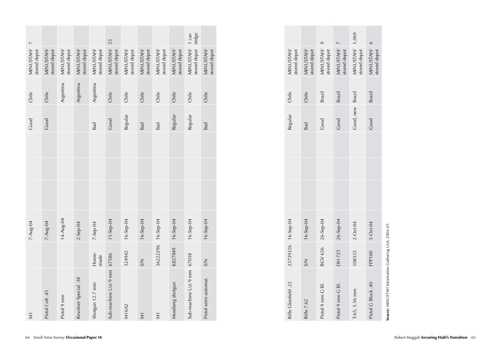| $\overline{a}$            |                           |                           |                           |                           |                              |                           |                           |                           |                           |                                         |                           |
|---------------------------|---------------------------|---------------------------|---------------------------|---------------------------|------------------------------|---------------------------|---------------------------|---------------------------|---------------------------|-----------------------------------------|---------------------------|
| MINUSTAH/<br>stored depot | MINUSTAH/<br>stored depot | MINUSTAH/<br>stored depot | MINUSTAH/<br>stored depot | MINUSTAH/<br>stored depot | MINUSTAH/ 53<br>stored depot | MINUSTAH/<br>stored depot | MINUSTAH/<br>stored depot | MINUSTAH/<br>stored depot | MINUSTAH/<br>stored depot | stored depot tridge<br>MINUSTAH/ 1 car- | MINUSTAH/<br>stored depot |
| Chile                     | Chile                     | Argentina                 | Argentina                 | Argentina                 | Chile                        | Chile                     | Chile                     | Chile                     | Chile                     | Chile                                   | Chile                     |
| Good                      | Good                      |                           |                           | Bad                       | Good                         | Regular                   | Bad                       | Bad                       | Regular                   | Regular                                 | Bad                       |
|                           |                           |                           |                           |                           |                              |                           |                           |                           |                           |                                         |                           |
|                           |                           |                           |                           |                           |                              |                           |                           |                           |                           |                                         |                           |
|                           |                           |                           |                           |                           |                              |                           |                           |                           |                           |                                         |                           |
| 7-Aug-04                  | 7-Aug-04                  | 14-Aug-04                 | $2-$ Sep-04               | 7-Sep-04                  | 15-Sep-04                    | $16-5ep-04$               | 16-Sep-04                 |                           | $16 - \text{Sep-04}$      | $16 - \text{Sep-04}$                    | 16-Sep-04                 |
|                           |                           |                           |                           | Home-<br>made             |                              | 324942                    | SSM                       | 36222296 16-Sep-04        | K827849                   |                                         | S/N                       |
| $\overline{\mathbf{z}}$   | Pistol Colt .45           | Pistol 9 mm               | Revolver Special .38      | Shotgun 12.7 mm           | Sub-machine Uzi 9 mm 67586   | M16A2                     | $\overline{\mathsf{x}}$   | $\overline{z}$            | Mossberg shotgun          | Sub-machine Uzi 9 mm 67038              | Pistol semi-automat.      |

| MINUSTAH/<br>stored depot | MINUSTAH/<br>stored depot | MINUSTAH/ 9<br>stored depot | MINUSTAH/ 7<br>stored depot | MINUSTAH/ 1,069<br>stored depot | MINUSTAH/ 6<br>stored depot |  |
|---------------------------|---------------------------|-----------------------------|-----------------------------|---------------------------------|-----------------------------|--|
| Chile                     | Chile                     | <b>Brazil</b>               | <b>Brazil</b>               |                                 | Brazil                      |  |
| Regular                   | Bad                       | Good                        | Good                        | Good, new Brazil                | Good                        |  |
|                           |                           |                             |                             |                                 |                             |  |
|                           |                           |                             |                             |                                 |                             |  |
|                           |                           |                             |                             |                                 |                             |  |
| 23739326 16-Sep-04        | 16-Sep-04                 | BCV 656 26-Sep-04           | 26-Sep-04                   | $2 - Oct - 04$                  | 5-Oct-04                    |  |
|                           | SSM                       |                             | DH 725                      | 108335                          | FPP100                      |  |
| Rifle Clenfield .22       | Rifle 7.62                | Pistol 9 mm G Bl.           | Pistol 9 mm G Bl.           | T-65; 5.56 mm                   | Pistol G Block .40          |  |

Source: MINUSTAH Information Gathering Unit, 2004-05 **Source:** MINUSTAH Information Gathering Unit, 2004–05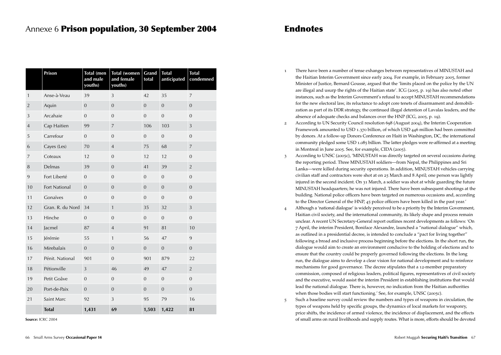### Annexe 6 Prison population, 30 September 2004

|                | Prison           | <b>Total</b> (men<br>and male<br>youths) | <b>Total (women</b><br>and female<br>youths) | Grand<br>total   | <b>Total</b><br>anticipated | <b>Total</b><br>condemned |
|----------------|------------------|------------------------------------------|----------------------------------------------|------------------|-----------------------------|---------------------------|
| $\mathbf{1}$   | Anse-à-Veau      | 39                                       | 3                                            | 42               | 35                          | $\overline{7}$            |
| $\sqrt{2}$     | Aquin            | $\boldsymbol{0}$                         | $\mathbf{0}$                                 | $\boldsymbol{0}$ | $\boldsymbol{0}$            | $\mathbf 0$               |
| 3              | Arcahaie         | $\overline{0}$                           | $\overline{0}$                               | $\overline{0}$   | $\boldsymbol{0}$            | $\overline{0}$            |
| $\overline{4}$ | Cap Haitien      | 99                                       | $\boldsymbol{7}$                             | 106              | 103                         | 3                         |
| 5              | Carrefour        | $\mathbf{0}$                             | $\mathbf{0}$                                 | $\overline{0}$   | $\mathbf{0}$                | $\overline{0}$            |
| 6              | Cayes (Les)      | 70                                       | $\overline{4}$                               | 75               | 68                          | $\overline{7}$            |
| 7              | Coteaux          | 12                                       | $\overline{0}$                               | 12               | 12                          | $\overline{0}$            |
| 8              | Delmas           | 39                                       | $\overline{0}$                               | 41               | 39                          | $\overline{2}$            |
| 9              | Fort Liberté     | $\overline{0}$                           | $\mathbf 0$                                  | $\overline{0}$   | $\mathbf{0}$                | $\overline{0}$            |
| 10             | Fort National    | $\mathbf{0}$                             | $\overline{0}$                               | $\overline{0}$   | $\overline{0}$              | $\overline{0}$            |
| 11             | Gonaïves         | $\boldsymbol{0}$                         | $\mathbf{0}$                                 | $\boldsymbol{0}$ | $\boldsymbol{0}$            | $\overline{0}$            |
| 12             | Gran. R. du Nord | 34                                       | $\mathbf{1}$                                 | 35               | 32                          | 3                         |
| 13             | Hinche           | $\overline{0}$                           | $\overline{0}$                               | $\overline{0}$   | $\mathbf{0}$                | $\overline{0}$            |
| 14             | Jacmel           | 87                                       | $\overline{4}$                               | 91               | 81                          | 10                        |
| 15             | Jérémie          | 55                                       | $\mathbf{1}$                                 | 56               | 47                          | 9                         |
| 16             | Mirebalais       | $\overline{0}$                           | $\overline{0}$                               | $\overline{0}$   | $\overline{0}$              | $\overline{0}$            |
| 17             | Pénit. National  | 901                                      | $\mathbf{0}$                                 | 901              | 879                         | 22                        |
| 18             | Pétionville      | 3                                        | 46                                           | 49               | 47                          | $\overline{2}$            |
| 19             | Petit Goâve      | $\boldsymbol{0}$                         | $\boldsymbol{0}$                             | $\boldsymbol{0}$ | $\mathbf{0}$                | $\mathbf 0$               |
| 20             | Port-de-Paix     | $\mathbf{0}$                             | $\overline{0}$                               | $\overline{0}$   | $\mathbf{0}$                | $\overline{0}$            |
| 21             | Saint Marc       | 92                                       | 3                                            | 95               | 79                          | 16                        |
|                | <b>Total</b>     | 1,431                                    | 69                                           | 1,503            | 1,422                       | 81                        |

**Source:** ICRC 2004

### **Endnotes**

- 1 There have been a number of tense exhanges between representatives of MINUSTAH and the Haitian Interim Government since early 2004. For example, in February 2005, former Minister of Justice, Bernard Gousse, argued that the 'limits placed on the police by the UN are illegal and usurp the rights of the Haitian state'. ICG (2005, p. 19) has also noted other instances, such as the Interim Government's refusal to accept MINUSTAH recommendations for the new electoral law, its reluctance to adopt core tenets of disarmament and demobilization as part of its DDR strategy, the continued illegal detention of Lavalas leaders, and the absence of adequate checks and balances over the HNP (ICG, 2005, p. 19).
- 2 According to UN Security Council resolution 698 (August 2004), the Interim Cooperation Framework amounted to USD 1.370 billion, of which USD 446 million had been committed by donors. At a follow-up Donors Conference on Haiti in Washington, DC, the international community pledged some USD 1.085 billion. The latter pledges were re-affirmed at a meeting in Montreal in June 2005. See, for example, CIDA (2005).
- 3 According to UNSC (2005c), 'MINUSTAH was directly targeted on several occasions during the reporting period. Three MINUSTAH soldiers—from Nepal, the Philippines and Sri Lanka—were killed during security operations. In addition, MINUSTAH vehicles carrying civilian staff and contractors were shot at on 25 March and 8 April; one person was lightly injured in the second incident. On 31 March, a soldier was shot at while guarding the future MINUSTAH headquarters; he was not injured. There have been subsequent shootings at the building. National police officers have been targeted on numerous occasions and, according to the Director General of the HNP, 45 police officers have been killed in the past year.'
- 4 Although a 'national dialogue' is widely perceived to be a priority by the Interim Government, Haitian civil society, and the international community, its likely shape and process remain unclear. A recent UN Secretary-General report outlines recent developments as follows: 'On 7 April, the interim President, Boniface Alexandre, launched a "national dialogue" which, as outlined in a presidential decree, is intended to conclude a "pact for living together" following a broad and inclusive process beginning before the elections. In the short run, the dialogue would aim to create an environment conducive to the holding of elections and to ensure that the country could be properly governed following the elections. In the long run, the dialogue aims to develop a clear vision for national development and to reinforce mechanisms for good governance. The decree stipulates that a 12-member preparatory commission, composed of religious leaders, political figures, representatives of civil society and the executive, would assist the interim President in establishing institutions that would lead the national dialogue. There is, however, no indication from the Haitian authorities when those bodies will start functioning.' See, for example, UNSC (2005c).
- 5 Such a baseline survey could review the numbers and types of weapons in circulation, the types of weapons held by specific groups, the dynamics of local markets for weaponry, price shifts, the incidence of armed violence, the incidence of displacement, and the effects of small arms on rural livelihoods and supply routes. What is more, efforts should be devoted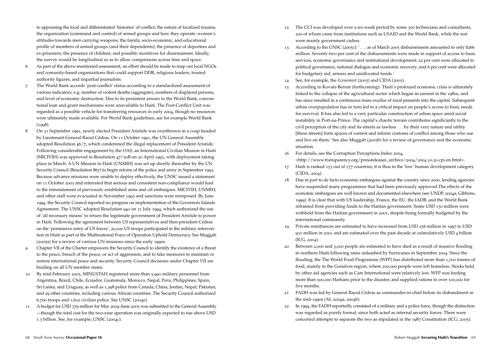to appraising the local and differentiated 'histories' of conflict; the nature of localized trauma; the organization (command and control) of armed groups and how they operate; women's attitudes towards men carrying weapons; the family, socio-economic, and educational profile of members of armed groups (and their dependents); the presence of deportees and ex-prisoners; the presence of children; and possible incentives for disarmament. Ideally, the survey would be longitudinal so as to allow comparisons across time and space.

- 6 As part of the above-mentioned assessment, an effort should be made to map out local NGOs and comunity-based organizations that could support DDR, religious leaders, trusted authority figures, and impartial journalists.
- 7 The World Bank accords 'post-conflict' status according to a standardized assessment of various indicators, e.g. number of violent deaths (aggregate), numbers of displaced persons, and level of economic destruction. Due to its persistent arrears to the World Bank, conventional loan and grant mechanisms were unavailable to Haiti. The Post-Conflict Unit was regarded as a possible vehicle for transferring resources in early 2004, though no resources were ultimately made available. For World Bank guidelines, see for example World Bank  $(1998)$ .
- 8 On 31 September 1991, newly elected President Aristide was overthrown in a coup headed by Lieutenant-General Raoul Cédras. On 11 October 1991, the UN General Assembly adopted Resolution 46/7, which condemned the illegal replacement of President Aristide. Following considerable engagement by the OAS, an International Civilian Mission in Haiti (MICIVIH) was approved in Resolution 47/20B on 20 April 1993, with deployment taking place in March. A UN Mission in Haiti (UNMIH) was set up shortly thereafter by the UN Security Council (Resolution 867) to begin reform of the police and army in September 1993. Because advance missions were unable to deploy effectively, the UNSC issued a statement on 11 October 2003 and reiterated that serious and consistent non-compliance would lead to the reinstatement of previously established arms and oil embargoes. MICIVIH, UNMIH, and other staff were evacuated in November 1993 and sanctions were reimposed. By June 1994, the Security Council reported no progress on implementation of the Governors Islands Agreement. The UNSC adopted Resolution 940 on 31 July 1994, which authorized the use of 'all necessary means' to return the legitimate government of President Aristide to power in Haiti. Following the agreement between US representatives and then president Cédras on the 'permissive entry of US forces', 20,000 US troops participated in the military intervention in Haiti as part of the Multinational Force of Operation Uphold Democracy. See Muggah (2005a) for a review of various UN missions since the early 1990s.
- 9 Chapter VII of the Charter empowers the Security Council to identify the existence of a threat to the peace, breach of the peace, or act of aggression, and to take measures to maintain or restore international peace and security. Security Council decisions under Chapter VII are binding on all UN member states.
- 10 By mid-February 2005, MINUSTAH registered more than 5,991 military personnel from Argentina, Brazil, Chile, Ecuador, Guatemala, Morocco, Nepal, Peru, Philippines, Spain, Sri Lanka, and Uruguay, as well as 1,398 police from Canada, China, Jordan, Nepal, Pakistan, and 29 other countries, including various African countries. The Security Council authorized 6,700 troops and 1,622 civilian police. See UNSC (2004e).
- 11 A budget for USD 379 million for May 2004–June 2005 was submitted to the General Assembly —though the total cost for the two-year operation was originally expected to rise above USD 1.3 billion. See, for example, UNSC (2004c).
- 12 The CCI was developed over a six-week period by some 300 technicians and consultants, 200 of whom came from institutions such as USAID and the World Bank, while the rest were mainly government cadres.
- 13 According to the UNSC (2005c): ' . . . as of March 2005 disbursements amounted to only \$266 million. Seventy-two per cent of the disbursements were made in support of access to basic services, economic governance and institutional development; 22 per cent were allocated to political governance, national dialogue and economic recovery; and 6 per cent were allocated for budgetary aid, arrears and unallocated funds.'
- 14 See, for example, the *Economist* (2005) and CIDA (2005).
- 15 According to Kovats-Bernat (forthcoming): 'Haiti's profound economic crisis is ultimately linked to the collapse of the agricultural sector which began in earnest in the 1980s, and has since resulted in a continuous mass exodus of rural peasants into the capital. Subsequent urban overpopulation has in turn led to a critical impact on people's access to basic needs for survival. It has also led to a very particular construction of urban space amid social instability in Port-au-Prince. The capital's chaotic terrain contributes significantly to the civil perception of the city and its streets as lawless . . . by their very nature and utility [these streets] form spaces of contest and inform customs of conflict among those who use and live on them.' See also Muggah (2005b) for a review of governance and the economic situation.
- 16 For details, see the Corruption Perceptions Index 2004,

<http://www.transparency.org/pressreleases\_archive/2004/2004.10.20.cpi.en.html>.

- 17 Haiti is ranked 153 out of 177 countries; it is thus in the 'low' human development category (CIDA, 2004).
- 18 Due in part to de facto economic embargoes against the country since 2000, lending agencies have suspended many programmes that had been previously approved.The effects of the economic embargoes are well known and documented elsewhere (see UNDP, 2004a; Gibbons, 1999). It is clear that with US leadership, France, the EU, the IADB, and the World Bank refrained from providing funds to the Haitian government. Some USD 150 million were withheld from the Haitian government in 2001, despite being formally budgeted by the international community.
- 19 Private remittances are estimated to have increased from USD 256 million in 1997 to USD 931 million in 2001 and are estimated over the past decade at culmulatively USD 4 billion (ICG, 2004).
- 20 Between 2,000 and 3,000 people are estimated to have died as a result of massive flooding in northern Haiti following rains unleashed by hurricanes in September 2004. Since the flooding, the The World Food Programme (WFP) has distributed more than 1,700 tonnes of food, mainly in the Gonaïves region, where 200,000 people were left homeless. Stocks held by other aid agencies such as Care International were relatively low. WFP was feeding more than 500,000 Haitians prior to the disaster, and supplied rations to over 100,000 for five months.
- 21 FADH was led by General Raoul Cédras as commander-in-chief before its disbandment in the mid-1990s (AI, 2004a; 2004b).
- 22 In 1994, the FADH reportedly consisted of a military and a police force, though the distinction was regarded as purely formal, since both acted as internal security forces. There were concerted attempts to separate the two as stipulated in the 1987 Constitution (ICG, 2005).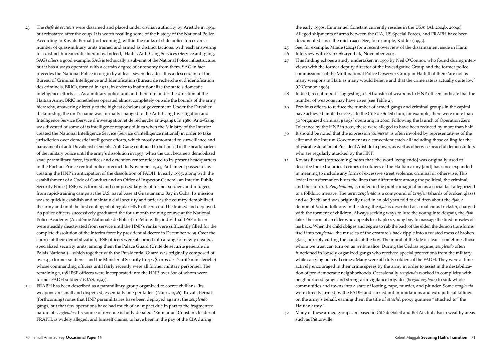- 23 The *chefs de sections* were disarmed and placed under civilian authority by Aristide in 1994 but reinstated after the coup. It is worth recalling some of the history of the National Police. According to Kovats-Bernat (forthcoming), within the ranks of state police forces are a number of quasi-military units trained and armed as distinct factions, with each answering to a distinct bureaucratic hierarchy. Indeed, 'Haiti's Anti-Gang Services (Service anti-gang, SAG) offers a good example. SAG is technically a sub-unit of the National Police infrastructure, but it has always operated with a certain degree of autonomy from them. SAG in fact precedes the National Police in origin by at least seven decades. It is a descendant of the Bureau of Criminal Intelligence and Identification (Bureau de recherche et d'identification des criminels, BRIC), formed in 1921, in order to institutionalize the state's domestic intelligence efforts . . . As a military police unit and therefore under the direction of the Haitian Army, BRIC nonetheless operated almost completely outside the bounds of the army hierarchy, answering directly to the highest echelons of government. Under the Duvalier dictatorship, the unit's name was formally changed to the Anti-Gang Investigation and Intelligence Service (Service d'investigation et de recherche anti-gang). In 1986, Anti-Gang was divested of some of its intelligence responsibilities when the Ministry of the Interior created the National Intelligence Service (Service d'intelligence national) in order to take jurisdiction over domestic intelligence efforts, which mostly amounted to surveillance and harassment of anti-Duvalierist elements. Anti-Gang continued to be housed in the headquarters of the military police until the army's dissolution in 1995, when the unit became a demobilized state paramilitary force, its offices and detention center relocated to its present headquarters in the Port-au-Prince central police precinct. In November 1994, Parliament passed a law creating the HNP in anticipation of the dissolution of FADH. In early 1995, along with the establishment of a Code of Conduct and an Office of Inspector-General, an Interim Public Security Force (IPSF) was formed and composed largely of former soldiers and refugees from rapid-training camps at the U.S. naval base at Guantanamo Bay in Cuba. Its mission was to quickly establish and maintain civil security and order as the country demobilized the army and until the first contingent of regular HNP officers could be trained and deployed. As police officers successively graduated the four-month training course at the National Police Academy (Académie Nationale de Police) in Pétionville, individual IPSF officers were steadily deactivated from service until the HNP's ranks were sufficiently filled for the complete dissolution of the interim force by presidential decree in December 1995. Over the course of their demobilization, IPSF officers were absorbed into a range of newly created, specialized security units, among them the Palace Guard (Unité de sécurité générale du Palais National)—which together with the Presidential Guard was originally composed of over 450 former soldiers—and the Ministerial Security Corps (Corps de sécurité ministérielle) whose commanding officers until fairly recently were all former military personnel. The remaining 1,598 IPSF officers were incorporated into the HNP, over 600 of whom were former FADH soldiers' (OAS, 1997). 24 FRAPH has been described as a paramilitary group organized to coerce civilians: 'its
- weapons are small and dispersed, essentially one per killer' (Nairn, 1996). Kovats-Bernat (forthcoming) notes that HNP paramilitaries have been deployed against the *zenglendo* gangs, but that few operations have had much of an impact due in part to the fragmented nature of *zenglendo*s. Its source of revenue is hotly debated: 'Emmanuel Constant, leader of FRAPH, is widely alleged, and himself claims, to have been in the pay of the CIA during

the early 1990s. Emmanuel Constant currently resides in the USA' (AI, 2004b; 2004c). Alleged shipments of arms between the CIA, US Special Forces, and FRAPH have been documented since the mid-1990s. See, for example, Kidder (1995).

- 25 See, for example, Mlade (2004) for a recent overview of the disarmament issue in Haiti.
- 26 Interview with Frank Skzryerbak, November 2004.
- 27 This finding echoes a study undertaken in 1996 by Neil O'Connor, who found during interviews with the former deputy director of the Investigative Group and the former police commissioner of the Multinational Police Observer Group in Haiti that there 'are not as many weapons in Haiti as many would believe and that the crime rate is actually quite low' (O'Connor, 1996).
- 28 Indeed, recent reports suggesting a US transfer of weapons to HNP officers indicate that the number of weapons may have risen (see Table 2).
- 29 Previous efforts to reduce the number of armed gangs and criminal groups in the capital have achieved limited success. In the Cité de Soleil slum, for example, there were more than 30 'organized criminal gangs' operating in 2000. Following the launch of Operation Zero Tolerance by the HNP in 2001, these were alleged to have been reduced by more than half.
- 30 It should be noted that the expression *'chimères'* is often invoked by representatives of the elite and the Interim Government as a convenient catch-all including those calling for the physical restoration of President Aristide to power, as well as otherwise peaceful demonstrators who are regularly attacked by the HNP.
- 31 Kovats-Bernat (forthcoming) notes that 'the word [zenglendo] was originally used to describe the extrajudicial crimes of soldiers of the Haitian army [and] has since expanded in meaning to include any form of excessive street violence, criminal or otherwise. This lexical transformation blurs the lines that differentiate among the political, the criminal, and the cultural. *Zenglendinaj* is rooted in the public imagination as a social fact allegorized to a folkloric menace. The term z*englendo* is a compound of *zenglen* (shards of broken glass) and *do* (back) and was originally used in an old yarn told to children about the *djab*, a demon of Vodou folklore. In the story, the *djab* is described as a malicious trickster, charged with the torment of children. Always seeking ways to lure the young into despair, the *djab*  takes the form of an elder who appeals to a hapless young boy to massage the tired muscles of his back. When the child obliges and begins to rub the back of the elder, the demon transforms itself into *zenglendo*: the muscles of the creature's back ripple into a twisted mess of broken glass, horribly cutting the hands of the boy. The moral of the tale is clear – sometimes those whom we trust can turn on us with malice. During the Cédras regime, *zenglendo* often functioned in loosely organized gangs who received special protections from the military while carrying out civil crimes. Many were off-duty soldiers of the FADH. They were at times actively encouraged in their crime sprees by the army in order to assist in the destabilization of pro-democratic neighborhoods. Occasionally *zenglendo* worked in complicity with neighborhood gangs and strong-arm vigilance brigades (*brigad vigilanz*) to sink whole communities and towns into a state of looting, rape, murder, and plunder. Some *zenglendo* were directly armed by the FADH and carried out intimidations and extrajudicial killings on the army's behalf, earning them the title of *attaché*, proxy gunmen "attached to" the Haitian army.'
- 32 Many of these armed groups are based in Cité de Soleil and Bel Air, but also in wealthy areas such as P**é**tionville.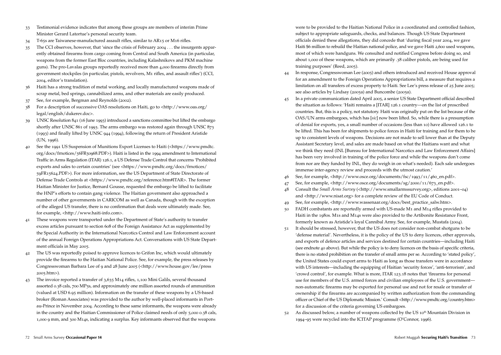- 33 Testimonial evidence indicates that among these groups are members of interim Prime Minister Gerard Latortue's personal security team.
- 34 T-65s are Taiwanese-manufactured assault rifles, similar to AR15 or M16 rifles.
- 35 The CCI observes, however, that 'since the crisis of February 2004 . . . the insurgents apparently obtained firearms from cargo coming from Central and South America (in particular, weapons from the former East Bloc countries, including Kalashnikovs and PKM machine guns). The pro-Lavalas groups reportedly received more than 4,000 firearms directly from government stockpiles (in particular, pistols, revolvers, M1 rifles, and assault rifles') (CCI, 2004, editor's translation).
- 36 Haiti has a strong tradition of metal working, and locally manufactured weapons made of scrap metal, bed springs, cannabilized arms, and other materials are easily produced.
- 37 See, for example, Bergman and Reynolds (2002).
- 38 For a description of successive OAS resolutions on Haiti, go to <http://www.oas.org/ legal/english/dukerev.doc>.
- 39 UNSC Resolution 841 (16 June 1993) introduced a sanctions committee but lifted the embargo shortly after UNSC 861 of 1993. The arms embargo was restored again through UNSC 873 (1993) and finally lifted by UNSC 944 (1994), following the return of President Aristide (UN, 1996).
- 40 See the 1991 US Suspension of Munitions Export Licenses to Haiti (<https://www.pmdtc. org/docs/frnotices/56FR50968.PDF>). Haiti is listed in the 1994 amendment to International Traffic in Arms Regulation (ITAR) 126.1, a US Defense Trade Control that concerns 'Prohibited exports and sales to certain countries' (see <https://www.pmdtc.org/docs/frnotices/ 59FR15624.PDF>). For more information, see the US Department of State Directorate of Defense Trade Controls at <https://www.pmdtc.org/reference.htm#ITAR>. The former Haitian Minister for Justice, Bernard Gousse, requested the embargo be lifted to facilitate the HNP's efforts to contain gang violence. The Haitian government also approached a number of other governments in CARICOM as well as Canada, though with the exception of the alleged US transfer, there is no confirmation that deals were ultimately made. See, for example, <http://www.haiti-info.com>.
- 41 These weapons were transported under the Department of State's authority to transfer excess articles pursuant to section 608 of the Foreign Assistance Act as supplemented by the Special Authority in the International Narcotics Control and Law Enforcement account of the annual Foreign Operations Appropriations Act. Conversations with US State Department officials in May 2005.
- 42 The US was reportedly poised to approve licences to Grifon Inc, which would ultimately provide the firearms to the Haitian National Police. See, for example, the press releases by Congresswoman Barbara Lee of 9 and 28 June 2005 (<http://www.house.gov/lee/press 2005.htm>).
- 43 The invoice reported a transfer of 3,635 M14 rifles, 1,100 Mini Galils, several thousand assorted 0.38 cals, 700 MP5s, and approximately one million assorted rounds of ammunition (valued at USD 6.95 million). Information on the transfer of these weapons by a US-based broker (Roman Associates) was provided to the author by well-placed informants in Portau-Prince in November 2004. According to these same informants, the weapons were already in the country and the Haitian Commissioner of Police claimed needs of only 5,000 0.38 cals, 1,000 9 mm, and 300 M14s, indicating a surplus. Key informants observed that the weapons

were to be provided to the Haitian National Police in a coordinated and controlled fashion, subject to appropriate safeguards, checks, and balances. Though US State Department officials denied these allegations, they did concede that 'during fiscal year 2004, we gave Haiti \$6 million to rebuild the Haitian national police, and we gave Haiti 2,600 used weapons, most of which were handguns. We consulted and notified Congress before doing so, and about 1,000 of these weapons, which are primarily .38 caliber pistols, are being used for training purposes' (Reed, 2005).

- 44 In response, Congresswoman Lee (2005) and others introduced and received House approval for an amendment to the Foreign Operations Appropriations bill, a measure that requires a limitation on all transfers of excess property to Haiti. See Lee's press release of 25 June 2005; see also articles by Lindsay (2005a) and Buncombe (2005a).
- 45 In a private communication dated April 2005, a senior US State Department official described the situation as follows: 'Haiti remains a [ITAR] 126.1 country—on the list of proscribed countries. But, this is a policy, not statutory. Haiti was originally put on the list because of the OAS/UN arms embargoes, which has [*sic*] now been lifted. So, while there is a presumption of denial for exports, yes, a small number of occasions (less than 10) have allowed 126.1 to be lifted. This has been for shipments to police forces in Haiti for training and for them to be up to consistent levels of weapons. Decisions are not made to sell lower than at the Deputy Assistant Secretary level, and sales are made based on what the Haitians want and what we think they need (INL [Bureau for International Narcotics and Law Enforcement Affairs] has been very involved in training of the police force and while the weapons don't come from nor are they funded by INL, they do weigh in on what's needed). Each sale undergoes immense inter-agency review and proceeds with the utmost caution.'
- 46 See, for example, <http://www.osce.org/documents/fsc/1993/11/460\_en.pdf>.
- 47 See, for example, <http://www.osce.org/documents/sg/2000/11/673\_en.pdf>.
- 48 Consult the *Small Arms Survey* (<http://www.smallarmssurvey.org>, editions 2001–04) and <http://www.nisat.org> for a complete review of the EU Code of Conduct.
- 49 See, for example, <http://www.wassenaar.org/docs/best\_practice\_salw.htm>.
- 50 FADH combatants are reportedly armed with US-made M1 and M14 rifles provided to Haiti in the 1980s. M1s and M14s were also provided to the Artibonite Resistance Front, formerly known as Aristide's loyal Cannibal Army. See, for example, Mustafa (2004).
- 51 It should be stressed, however, that the US does not consider non-combat shotguns to be 'defense material'. Nevertheless, it is the policy of the US to deny licences, other approvals, and exports of defence articles and services destined for certain countries—including Haiti (see endnote 40 above). But while the policy is to deny licences on the basis of specific criteria, there is no stated prohibition on the transfer of small arms per se*.* According to 'stated policy', the United States could export arms to Haiti as long as those transfers were in accordance with US interests—including the equipping of Haitian 'security forces', 'anti-terrorism', and 'crowd control', for example. What is more, ITAR 123.18 notes that 'firearms for personal use for members of the U.S. armed forces and civilian employees of the U.S. government non-automatic firearms may be exported for personal use and not for resale or transfer of ownership if the firearms are accompanied by written authorization from the commanding officer or Chief of the US Diplomatic Mission.' Consult <http://www.pmdtc.org/country.htm> for a discussion of the criteria governing US embargoes.
- As discussed below, a number of weapons collected by the US  $10<sup>th</sup>$  Mountain Division in 1994–95 were recycled into the ICITAP programme (O'Connor, 1996).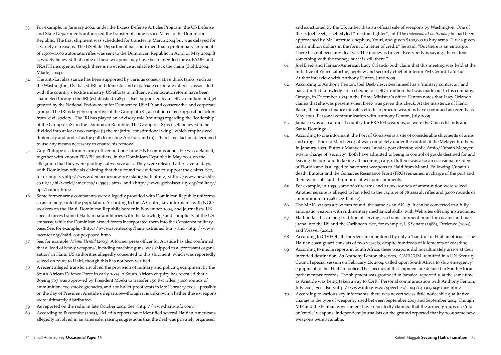- 53 For example, in January 2002, under the Excess Defense Articles Program, the US Defense and State Departments authorized the transfer of some 20,000 M16s to the Dominican Republic. The first shipment was scheduled for transfer in March 2004 but was delayed for a variety of reasons. The US State Department has confirmed that a preliminary shipment of 1,500–1,600 automatic rifles was sent to the Dominican Republic in April or May 2004. It is widely believed that some of these weapons may have been intended for ex-FADH and FRAPH insurgents, though there is no evidence available to back the claim (Stohl, 2004; Mlade, 2004).
- 54 The anti-Lavalas stance has been supported by various conservative think tanks, such as the Washington, DC-based IRI and domestic and expatriate corporate interests associated with the country's textile industry. US efforts to influence democratic reform have been channeled through the IRI (established 1983)—itself supported by a USD 20 million budget granted by the National Endowment for Democracy, USAID, and conservative and corporate groups. The IRI is largely supportive of the Group of 184, a coalition of 600 opposition actors from 'civil society'. The IRI has played an advisory role (training) regarding the 'leadership' of the Group of 184 in the Dominican Republic. The Group of 184 is itself believed to be divided into at least two camps: (i) the majority 'constitutional wing', which emphasized diplomacy and protest as the path to ousting Aristide; and (ii) a 'hard-line' faction determined to use any means necessary to ensure his removal.
- 55 Guy Philippe is a former army officer and one-time HNP commissioner. He was detained, together with known FRAPH soldiers, in the Dominican Republic in May 2003 on the allegation that they were plotting subversive acts. They were released after several days, with Dominican officials claiming that they found no evidence to support the claims. See, for example, <http://www.democracynow.org/static/haiti.html>, <http://www.news.bbc. co.uk/1/hi/world/americas/3495944.stm>, and <http://www.globalsecurity.org/military/ ops/haiti04.htm>.
- 56 Some former army combatants were allegedly provided with Dominican Republic uniforms so as to merge into the population. According to the IA Centre, key informants with NGO workers on the Haiti–Dominican Republic border in November 2004, and journalists, US special forces trained Haitian paramilitaries with the knowledge and complicity of the US embassy, while the Dominican armed forces incorporated them into the Constanza military base. See, for example, <http://www.iacenter.org/haiti\_ustrained.htm> and <http://www. iacenter.org/haiti\_coupexposed.htm>.
- 57 See, for example, *Miami Herald* (2003). A former press officer for Aristide has also confirmed that a 'load of heavy weapons', incuding machine guns, was shipped to a 'protestant organization' in Haiti. US authorities allegedly consented to this shipment, which was reportedly seized on route to Haiti, though this has not been verified.
- 58 A recent alleged transfer involved the provision of military and policing equipment by the South African Defence Force in early 2004. A South African enquiry has revealed that a Boeing 707 was approved by President Mbeki to transfer 150 R-1 rifles, 5,000 rounds of ammunition, 200 smoke grenades, and 200 bullet-proof vests in late February 2004—possibly on the day of President Aristide's departure—though it is unknown whether these weapons were ultimately distributed.
- 59 As reported on the radio in late October 2004. See <http://www.haiti-info.com>.
- 60 According to Buscombe (2005), '[M]edia reports have identified several Haitian Americans allegedly involved in an arms sale, raising suggestions that the deal was privately organised

and sanctioned by the US, rather than an official sale of weapons by Washington. One of these, Joel Deeb, a self-styled "freedom fighter", told *The Independent on Sunday* he had been approached by Mr Latortue's nephew, Youri, and given \$500,000 to buy arms. "I was given half a million dollars in the form of a letter of credit," he said. "But there is an embargo. There has not been any deal yet. The money is frozen. Everybody is saying I have done something with the money, but it is still there."'

- 61 Joel Deeb and Haitian-American Lucy Orlando both claim that this meeting was held at the initiative of Youri Latortue, nephew and security chief of interim PM Gerard Latortue. Author interview with Anthony Fenton, June 2005.
- 62 According to Anthony Fenton, Joel Deeb describes himself as a 'military contractor'and has admitted knowledge of a cheque for USD 1 million that was made out to his company, Omega, in December 2004 in the Prime Minister's office. Fenton notes that Lucy Orlando claims that she was present when Deeb was given this check. At the insistence of Henri Bazin, the interim finance minsiter, efforts to procure weapons have continued as recently as May 2005. Personal communication with Anthony Fenton, July 2005.
- 63 Jamaica was also a transit country for FRAPH weapons, as were the Caicos Islands and Santo Domingo.
- 64 According to one informant, the Port of Gonaïves is a site of considerable shipments of arms and drugs. Prior to March 2004, it was completely under the control of the Metayer brothers. In Janaury 2003, Butteur Matayer was Lavalas port director, while Amio/Cubain Metayer was in charge of 'security'. Both have admitted to being in control of goods destined for and leaving the port and to taxing all incoming cargo. Butteur was also an occasional resident of Florida and is alleged to have sent weapons to Haiti from Miami. Following Cubain's death, Butteur and the Gonaïves Resistance Front (FRG) remained in charge of the port and there were substantial rumours of weapon shipments.
- 65 For example, in 1995, some 260 firearms and 15,000 rounds of ammunition were seized. Another seizure is alleged to have led to the capture of 78 assault rifles and 9,000 rounds of ammunition in 1998 (see Table 2).
- 66 The MAK-90 uses a 7.62 mm round, the same as an AK-47. It can be converted to a fully automatic weapon with rudimentary mechanical skills, with Web sites offering instructions.
- 67 Haiti in fact has a long tradition of serving as a trans-shipment point for cocaine and marijuana into the US and the Caribbean. See, for example, US Senate (1988), Derienzo (1994), and Weaver (2004).
- 68 According to CIVPOL, the borders are monitored by only a 'handful' of Haitian officials. The Haitian coast guard consists of two vessels, despite hundreds of kilometres of coastline.
- 69 According to media reports in South Africa, these weapons did not ultimately arrive at their intended destination. As Anthony Fenton observes, 'CARICOM, rebuffed in a UN Security Council special session on February 26, 2004, called upon South Africa to ship emergency equipment to the [Haitian] police. The specifics of this shipment are detailed in South African parliamentary records. The shipment was grounded in Jamaica, reportedly, at the same time as Aristide was being taken away to CAR.' Personal communication with Anthony Fenton, July 2005. See also <http://www.info.gov.za/speeches/2004/04030909461006.htm>
- 70 According to various key informants, there was nevertheless little noticeable qualitative change in the type of weaponry used between September 2003 and September 2004. Though MIF and the Haitian government have repeatedly claimed that the armed groups use 'old' or 'creole' weapons, independent journalists on the ground reported that by 2005 some new weapons were available.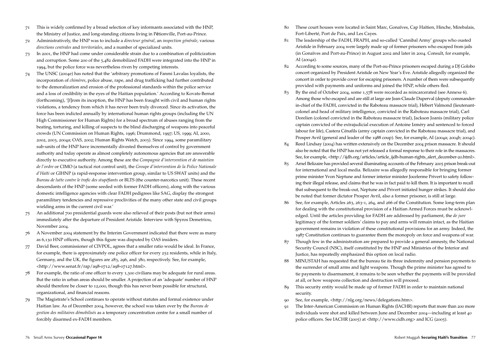- 71 This is widely confirmed by a broad selection of key informants associated with the HNP, the Ministry of Justice, and long-standing citizens living in P**é**tionville, Port-au-Prince.
- 72 Administratively, the HNP was to include a *directeur général*, an *inspection générale*, various *directions centrales* and *territoriales*, and a number of specialized units.
- 73 In 2001, the HNP had come under considerable strain due to a combination of politicization and corruption. Some 200 of the 5,482 demobilized FADH were integrated into the HNP in 1994, but the police force was nevertheless riven by competing interests.
- 74 The UNSC (2004e) has noted that the 'arbitrary promotions of Fanmi Lavalas loyalists, the incorporation of *chimères*, police abuse, rape, and drug trafficking had further contributed to the demoralization and erosion of the professional standards within the police service and a loss of credibility in the eyes of the Haitian population.' According to Kovats-Bernat (forthcoming), '[f]rom its inception, the HNP has been fraught with civil and human rights violations, a tendency from which it has never been truly divorced. Since its activation, the force has been indicted annually by international human rights groups (including the UN High Commissioner for Human Rights) for a broad spectrum of abuses ranging from the beating, torturing, and killing of suspects to the blind discharging of weapons into peaceful crowds (UN Commission on Human Rights, 1996; Drummond, 1997; US, 1999; AI, 2000, 2002, 2003, 2004a; OAS, 2002; Human Rights Watch, 2003). Since 1994, some paramilitary sub-units of the HNP have incrementally divested themselves of control by government authority and today operate as almost completely autonomous agencies that are answerable directly to executive authority. Among these are the *Compagnie d'intervention et de maintien de l'ordre* or CIMO (a tactical riot control unit), the *Groupe d'intervention de la Police Nationale d'Haïti* or GIHNP (a rapid-response intervention group, similar to US SWAT units) and the *Bureau de lutte contre le trafic des stupéfiants* or BLTS (the counter-narcotics unit). These recent descendants of the HNP (some seeded with former FADH officers), along with the various domestic intelligence agencies with clear FADH pedigrees like SAG, display the strongest paramilitary tendencies and repressive proclivities of the many other state and civil groups wielding arms in the current civil war.'
- 75 An additional 700 presidential guards were also relieved of their posts (but not their arms) immediately after the departure of President Aristide. Interview with Spyros Demetriou, November 2004.
- 76 A November 2004 statement by the Interim Government indicated that there were as many as 6,130 HNP officers, though this figure was disputed by OAS insiders.
- 77 David Beer, commissioner of CIVPOL, agrees that a smaller ratio would be ideal. In France, for example, there is approximately one police officer for every 252 residents, while in Italy, Germany, and the UK, the figures are 283, 296, and 380, respectively. See, for example, <http://www.senat.fr/rap/a98-0712/a98-07127.html>.
- 78 For example, the ratio of one officer to every 1,300 civilians may be adequate for rural areas. But the ratio in urban areas should be smaller. A projection of an 'adequate' number of HNP should therefore be closer to 12,000, though this has never been possible for structural, organizational, and financial reasons.
- 79 The Magistrate's School continues to operate without statutes and formal existence under Haitian law. As of December 2004, however, the school was taken over by the *Bureau de gestion des militaires démobilisés* as a temporary concentration centre for a small number of forcibly disarmed ex-FADH members.
- 80 These court houses were located in Saint Marc, Gonaïves, Cap Haïtien, Hinche, Mirebalais, Fort-Liberté, Port de Paix, and Les Cayes.
- 81 The leadership of the FADH, FRAPH, and so-called 'Cannibal Army' groups who ousted Aristide in February 2004 were largely made up of former prisoners who escaped from jails (in Gonaïves and Port-au-Prince) in August 2002 and later in 2004. Consult, for example, AI (2004a).
- 82 According to some sources, many of the Port-au-Prince prisoners escaped during a DJ Golobo concert organized by President Aristide on New Year's Eve. Aristide allegedly organized the concert in order to provide cover for escaping prisoners. A number of them were subsequently provided with payments and uniforms and joined the HNP, while others fled.
- 83 By the end of October 2004, some 1,578 were recorded as reincarcerated (see Annexe 6). Among those who escaped and are still at large are Jean-Claude Duperval (deputy commanderin-chief of the FADH, convicted in the Raboteau massacre trial), Hébert Valmond (lieutenantcolonel and head of military intelligence, convicted in the Raboteau massacre trial), Carl Dorelien (colonel convicted in the Raboteau massacre trial), Jackson Joanis (military police captain convicted of the extrajudicial execution of Antoine Izméry and sentenced to forced labour for life), Castera Cénafils (army captain convicted in the Raboteau massacre trial), and Prosper Avril (general and leader of the 1988 coup). See, for example, AI (2004a; 2004b; 2004c).
- 84 Reed Lindsay (2004) has written extensively on the December 2004 prison massacre. It should also be noted that the HNP has not yet released a formal response to their role in the massacres. See, for example, <http://ijdh.org/articles/article\_ijdh-human-rights\_alert\_december-20.html>.
- 85 Arnel Belizaire has provided several illuminating accounts of the February 2005 prison break-out for international and local media. Belizaire was allegedly responsible for bringing former prime minister Yvon Neptune and former interior minister Jocelerme Privert to safety following their illegal release, and claims that he was in fact paid to kill them. It is important to recall that subsequent to the break-out, Neptune and Privert initiated hunger strikes. It should also be noted that former dictator Prosper Avril, also a former prisoner, is still at large.
- 86 See, for example, Articles 263, 263-1, 264, and 266 of the Constitution. Some long-term plan for dealing with the constitutional provision of a Haitian Armed Forces must be acknowledged. Until the articles providing for FADH are addressed by parliament, the *de jure*  legitimacy of the former soldiers' claims to pay and arms will remain intact, as the Haitian government remains in violation of these constitutional provisions for an army. Indeed, the 1987 Constitution continues to guarantee them the monopoly on force and weapons of war.
- 87 Though few in the administration are prepared to provide a general amnesty, the National Security Council (NSC), itself constituted by the HNP and Ministries of the Interior and Justice, has repeatedly emphasized this option on local radio.
- 88 MINUSTAH has requested that the bureau tie its three indemnity and pension payments to the surrender of small arms and light weapons. Though the prime minister has agreed to tie payments to disarmament, it remains to be seen whether the payments will be provided at all, or how weapons collection and destruction will proceed.
- 89 This security entity would be made up of former FADH in order to maintain national security.
- 90 See, for example, <http://nlg.org/news/delegations.htm>.
- 91 The Inter-American Commission on Human Rights (IACHR) reports that more than 200 more individuals were shot and killed between June and December 2004—including at least 40 police officers. See IACHR (2005) at <http://www.cidh.org> and ICG (2005).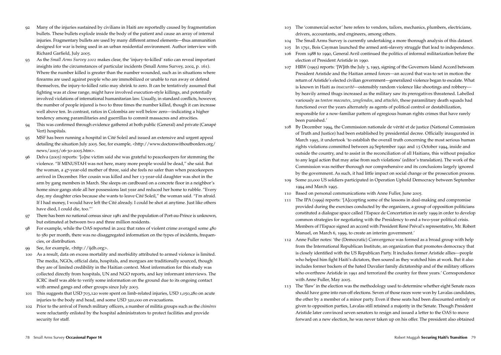- 92 Many of the injuries sustained by civilians in Haiti are reportedly caused by fragmentation bullets. These bullets explode inside the body of the patient and cause an array of internal injuries. Fragmentary bullets are used by many different armed elements—thus ammunition designed for war is being used in an urban residential environment. Author interview with Richard Garfield, July 2005.
- 93 As the *Small Arms Survey 2002* makes clear, the 'injury-to-killed' ratio can reveal important insights into the circumstances of particular incidents (Small Arms Survey, 2002, p. 161). Where the number killed is greater than the number wounded, such as in situations where firearms are used against people who are immobilized or unable to run away or defend themselves, the injury-to-killed ratio may shrink to zero. It can be tentatively assumed that fighting was at close range, might have involved execution-style killings, and potentially involved violations of international humanitarian law. Usually, in standard conflicts, however, the number of people injured is two to three times the number killed, though it can increase well above ten. In contrast, ratios in Colombia are well below zero—indicating a higher tendency among paramilitaries and guerrillas to commit massacres and atrocities.
- 94 This was confirmed through evidence gathered at both public (General) and private (Canapé Vert) hospitals.
- 95 MSF has been running a hospital in Cité Soleil and issued an extensive and urgent appeal detailing the situation July 2005. See, for example, <http://www.doctorswithoutborders.org/ news/2005/06-30-2005.htm>.
- 96 Delva (2005) reports: '[o]ne victim said she was grateful to peacekeepers for stemming the violence. "If MINUSTAH was not here, many more people would be dead," she said. But the woman, a 47-year-old mother of three, said she feels no safer than when peacekeepers arrived in December. Her cousin was killed and her 13-year-old daughter was shot in the arm by gang members in March. She sleeps on cardboard on a concrete floor in a neighbor's home since gangs stole all her possessions last year and reduced her home to rubble. "Every day, my daughter cries because she wants to leave Cité Soleil," the woman said. "I'm afraid. If I had money, I would have left the Cité already. I could be shot at anytime. Just like others have died, I could die, too."'
- 97 There has been no national census since 1981 and the population of Port-au-Prince is unknown, but estimated at between two and three million residents.
- 98 For example, while the OAS reported in 2002 that rates of violent crime averaged some 480 to 580 per month, there was no disaggregated information on the types of incidents, frequencies, or distribution.
- 99 See, for example, <http://ijdh.org>.
- 100 As a result, data on excess mortality and morbidity attributed to armed violence is limited. The media, NGOs, official data, hospitals, and morgues are traditionally sourced, though they are of limited credibility in the Haitian context. Most information for this study was collected directly from hospitals, UN and NGO reports, and key informant interviews. The ICRC itself was able to verify some information on the ground due to its ongoing contact with armed gangs and other groups since July 2003.
- 101 This suggests that USD 703,120 were spent on limb-related injuries, USD 1,050,280 on acute injuries to the body and head, and some USD 320,000 on evacuations.
- 102 Prior to the arrival of French military officers, a number of militia groups such as the *chimères* were reluctantly enlisted by the hospital administrators to protect facilities and provide security for staff.
- 103 The 'commercial sector' here refers to vendors, tailors, mechanics, plumbers, electricians, drivers, accountants, and engineers, among others.
- 104 The Small Arms Survey is currently undertaking a more thorough analysis of this dataset.
- 105 In 1791, Bois Cayman launched the armed anti-slavery struggle that lead to independence.
- 106 From 1988 to 1990, General Avril continued the politics of informal militarization before the election of President Aristide in 1990.
- 107 HRW (1993) reports: '[W]ith the July 3, 1993, signing of the Governors Island Accord between President Aristide and the Haitian armed forces—an accord that was to set in motion the return of Aristide's elected civilian government—generalized violence began to escalate. What is known in Haiti as *insecurité*—ostensibly random violence like shootings and robbery by heavily armed thugs increased as the military saw its prerogatives threatened. Labelled variously as *tonton macoutes*, *zenglendos*, and *attachés*, these paramilitary death squads had functioned over the years alternately as agents of political control or destabilization, responsible for a now-familiar pattern of egregious human rights crimes that have rarely been punished.'
- 108 By December 1994, the Commission nationale de vérité et de justice (National Commission of Truth and Justice) had been established by presidential decree. Officially inaugurated in March 1995, it undertook 'to establish the overall truth concerning the most serious human rights violations committed between 29 September 1991 and 15 October 1994, inside and outside the country, and to assist in the reconciliation of all Haitians, this without prejudice to any legal action that may arise from such violations' (editor's translation). The work of the Commission was neither thorough nor comprehensive and its conclusions largely ignored by the government. As such, it had little impact on social change or the prosecution process.
- 109 Some 20,000 US soldiers participated in Operation Uphold Democracy between September 1994 and March 1995.
- 110 Based on personal communications with Anne Fuller, June 2005.
- 111 The IPA (1999) reports: '[A]ccepting some of the lessons in deal-making and compromise provided during the exercises conducted by the organizers, a group of opposition politicians constituted a dialogue space called l'Espace de Concertation in early 1999 in order to develop common strategies for negotiating with the Presidency to end a two-year political crisis. Members of l'Espace signed an accord with President René Préval's representative, Mr. Robert Manuel, on March 6, 1999, to create an interim government.'
- 112 Anne Fuller notes: 'the (Democratic) Convergence was formed as a broad group with help from the International Republican Institute, an organization that promotes democracy that is closely identified with the US Republican Party. It includes former Aristide allies—people who helped him fight Haiti's dictators, then soured as they watched him at work. But it also includes former backers of the hated Duvalier family dictatorship and of the military officers who overthrew Aristide in 1991 and terrorized the country for three years.' Correspondence with Anne Fuller, May 2005.
- 113 The 'flaw' in the election was the methodology used to determine whether eight Senate races should have gone into run-off elections. Seven of those races were won by Lavalas candidates, the other by a member of a minor party. Even if these seats had been discounted entirely or given to opposition parties, Lavalas still retained a majority in the Senate. Though President Aristide later convinced seven senators to resign and issued a letter to the OAS to move forward on a new election, he was never taken up on his offer. The president also obtained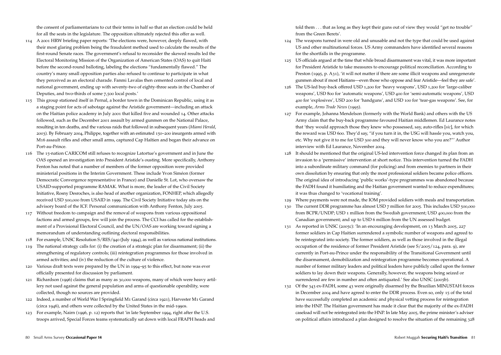the consent of parliamentarians to cut their terms in half so that an election could be held for all the seats in the legislature. The opposition ultimately rejected this offer as well.

- 114 A 2001 HRW briefing paper reports: 'The elections were, however, deeply flawed, with their most glaring problem being the fraudulent method used to calculate the results of the first-round Senate races. The government's refusal to reconsider the skewed results led the Electoral Monitoring Mission of the Organization of American States (OAS) to quit Haiti before the second-round balloting, labeling the elections "fundamentally flawed." The country's many small opposition parties also refused to continue to participate in what they perceived as an electoral charade. Fanmi Lavalas then cemented control of local and national government, ending up with seventy-two of eighty-three seats in the Chamber of Deputies, and two-thirds of some 7,500 local posts.'
- 115 This group stationed itself in Pernal, a border town in the Dominican Republic, using it as a staging point for acts of sabotage against the Aristide government—including an attack on the Haitian police academy in July 2001 that killed five and wounded 14. Other attacks followed, such as the December 2001 assault by armed gunmen on the National Palace, resulting in ten deaths, and the various raids that followed in subsequent years (*Miami Herald*, 2003). By February 2004, Philippe, together with an estimated 150–200 insurgents armed with M16 assault rifles and other small arms, captured Cap Haïtien and began their advance on Port-au-Prince.
- 116 The 15-nation CARICOM still refuses to recognize Latortue's government and in June the OAS opened an investigation into President Aristide's ousting. More specifically, Anthony Fenton has noted that a number of members of the former opposition were provided ministerial positions in the Interim Government. These include Yvon Siméon (former Democratic Convergence representative in France) and Danielle St. Lot, who oversaw the USAID-supported programme RAMAK. What is more, the leader of the Civil Society Initiative, Rosny Desroches, is also head of another organization, FONHEP, which allegedly received USD 500,000 from USAID in 1999. The Civil Society Initiative today sits on the advisory board of the ICF. Personal communication with Anthony Fenton, July 2005.
- 117 Without freedom to campaign and the removal of weapons from various oppositional factions and armed groups, few will join the process. The CCI has called for the establishment of a Provisional Electoral Council, and the UN/OAS are working toward signing a memorandum of understanding outlining electoral responsibilities.
- 118 For example, UNSC Resolution S/RES/940 (July 1994), as well as various national institutions.
- 119 The national strategy calls for: (i) the creation of a strategic plan for disarmament; (ii) the strengthening of regulatory controls; (iii) reintegration programmes for those involved in armed activities; and (iv) the reduction of the culture of violence.
- 120 Various draft texts were prepared by the UN in 1994–95 to this effect, but none was ever officially presented for discussion by parliament.
- 121 Richardson (1996) claims that as many as 30,000 weapons, many of which were heavy artillery not used against the general population and arms of questionable operability, were collected, though no sources are provided.
- 122 Indeed, a number of World War I Springfield M1 Garand (circa 1921), Harvester M1 Garand (circa 1946), and others were collected by the United States in the mid-1990s.
- 123 For example, Nairn (1996, p. 12) reports that 'in late September 1994, right after the U.S. troops arrived, Special Forces teams systematically sat down with local FRAPH heads and

told them . . . that as long as they kept their guns out of view they would "get no trouble" from the Green Berets'.

- 124 The weapons turned in were old and unusable and not the type that could be used against US and other multinational forces. US Army commanders have identified several reasons for the shortfalls in the programme.
- 125 US officials argued at the time that while broad disarmament was vital, it was more important for President Aristide to take measures to encourage political reconciliation. According to Preston (1995, p. A31), 'it will not matter if there are some illicit weapons and unregenerate gunmen about if most Haitians—even those who oppose and fear Aristide—feel they are safe'.
- 126 The US-led buy-back offered USD 1,200 for 'heavy weapons', USD 1,200 for 'large-caliber weapons', USD 800 for 'automatic weapons', USD 400 for 'semi-automatic weapons', USD 400 for 'explosives', USD 200 for 'handguns', and USD 100 for 'tear-gas weapons'. See, for example, *Arms Trade News* (1995).
- 127 For example, Johanna Mendelson (formerly with the World Bank) and others with the US Army claim that the buy-back programme favoured Haitian middlemen. Ed Laurance notes that 'they would approach those they knew who possessed, say, auto-rifles [*sic*], for which the reward was USD 600. They'd say, "if you turn it in, the USG will hassle you, watch you, etc. Why not give it to me for USD 300 and they will never know who you are?"' Author interview with Ed Laurance, November 2004.
- 128 It should be mentioned that the original US-led intervention force changed its plan from an invasion to a 'permissive' intervention at short notice. This intervention turned the FADH into a subordinate military command (for policing) and from enemies to partners in their own dissolution by ensuring that only the most professional soldiers became police officers. The original idea of introducing 'public works'-type programmes was abandoned because the FADH found it humiliating and the Haitian government wanted to reduce expenditures; it was thus changed to 'vocational training'.
- 129 Where payments were not made, the IOM provided soldiers with meals and transportation.
- 130 The current DDR programme has almost USD 7 million for 2005. This includes USD 500,000 from BCPR/UNDP; USD 1 million from the Swedish government; USD 400,000 from the Canadian government; and up to USD 6 million from the UN assessed budget.
- 131 As reported in UNSC (2005c): 'In an encouraging development, on 13 March 2005, 227 former soldiers in Cap Haitien surrendered a symbolic number of weapons and agreed to be reintegrated into society. The former soldiers, as well as those involved in the illegal occupation of the residence of former President Aristide (see S/2005/124, para. 9), are currently in Port-au-Prince under the responsibility of the Transitional Government until the disarmament, demobilization and reintegration programme becomes operational. A number of former military leaders and political leaders have publicly called upon the former soldiers to lay down their weapons. Generally, however, the weapons being seized or surrendered are few in number and often antiquated.' See also UNSC (2005b).
- 132 Of the 343 ex-FADH, some 43 were originally disarmed by the Brazilian MINUSTAH forces in December 2004 and have agreed to enter the DDR process. Even so, only 15 of the total have successfully completed an academic and physical vetting process for reintegration into the HNP. The Haitian government has made it clear that the majority of the ex-FADH caseload will not be reintegrated into the HNP. In late May 2005, the prime minister's adviser on political affairs introduced a plan designed to resolve the situation of the remaining 328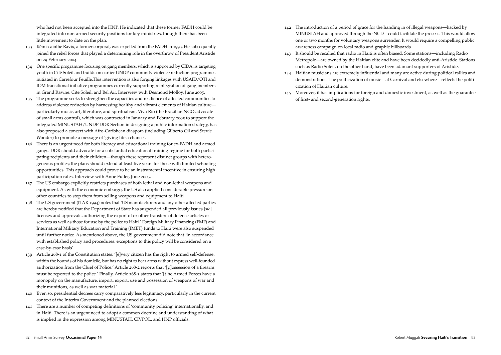who had not been accepted into the HNP. He indicated that these former FADH could be integrated into non-armed security positions for key ministries, though there has been little movement to date on the plan.

- 133 Rémissainthe Ravix, a former corporal, was expelled from the FADH in 1993. He subsequently joined the rebel forces that played a determining role in the overthrow of President Aristide on 29 February 2004.
- 134 One specific programme focusing on gang members, which is supported by CIDA, is targeting youth in Cité Soleil and builds on earlier UNDP community violence reduction programmes initiated in Carrefour Feuille.This intervention is also forging linkages with USAID/OTI and IOM transitional initiative programmes currently supporting reintegration of gang members in Grand Ravine, Cité Soleil, and Bel Air. Interview with Desmond Molloy, June 2005.
- 135 The programme seeks to strengthen the capacities and resilience of affected communities to address violence reduction by harnessing healthy and vibrant elements of Haitian culture particularly music, art, literature, and spiritualism. Viva Rio (the Brazilian NGO advocate of small arms control), which was contracted in January and February 2005 to support the integrated MINUSTAH/UNDP DDR Section in designing a public information strategy, has also proposed a concert with Afro-Caribbean diaspora (including Gilberto Gil and Stevie Wonder) to promote a message of 'giving life a chance'.
- 136 There is an urgent need for both literacy and educational training for ex-FADH and armed gangs. DDR should advocate for a substantial educational training regime for both participating recipients and their children—though these represent distinct groups with heterogeneous profiles; the plans should extend at least five years for those with limited schooling opportunities. This approach could prove to be an instrumental incentive in ensuring high participation rates. Interview with Anne Fuller, June 2005.
- 137 The US embargo explicitly restricts purchases of both lethal and non-lethal weapons and equipment. As with the economic embargo, the US also applied considerable pressure on other countries to stop them from selling weapons and equipment to Haiti.
- 138 The US government (ITAR 1994) notes that 'US manufacturers and any other affected parties are hereby notified that the Department of State has suspended all previously issues [*sic*] licenses and approvals authorizing the export of or other transfers of defense articles or services as well as those for use by the police to Haiti.' Foreign Military Financing (FMF) and International Military Education and Training (IMET) funds to Haiti were also suspended until further notice. As mentioned above, the US government did note that 'in accordance with established policy and procedures, exceptions to this policy will be considered on a case-by-case basis'.
- 139 Article 268-1 of the Constitution states: '[e]very citizen has the right to armed self-defense, within the bounds of his domicile, but has no right to bear arms without express well-founded authorization from the Chief of Police.' Article 268-2 reports that '[p]ossession of a firearm must be reported to the police.' Finally, Article 268-3 states that '[t]he Armed Forces have a monopoly on the manufacture, import, export, use and possession of weapons of war and their munitions, as well as war material.'
- 140 Even so, presidential decrees carry comparatively less legitimacy, particularly in the current context of the Interim Government and the planned elections.
- 141 There are a number of competing definitions of 'community policing' internationally, and in Haiti. There is an urgent need to adopt a common doctrine and understanding of what is implied in the expression among MINUSTAH, CIVPOL, and HNP officials.
- 142 The introduction of a period of grace for the handing in of illegal weapons—backed by MINUSTAH and approved through the NCD—could facilitate the process. This would allow one or two months for voluntary weapons surrender. It would require a compelling public awareness campaign on local radio and graphic billboards.
- 143 It should be recalled that radio in Haiti is often biased. Some stations—including Radio Metropole—are owned by the Haitian elite and have been decidedly anti-Aristide. Stations such as Radio Soleil, on the other hand, have been adamant supporters of Aristide.
- 144 Haitian musicians are extremely influential and many are active during political rallies and demonstrations. The politicization of music—at Carnival and elsewhere—reflects the politicization of Haitian culture.
- 145 Moreover, it has implications for foreign and domestic investment, as well as the guarantee of first- and second-generation rights.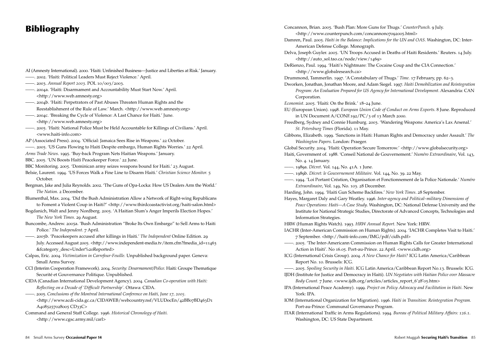# Bibliography

- AI (Amnesty International). 2000. 'Haiti: Unfinished Business—Justice and Liberties at Risk.' January.
- ——. 2002. 'Haiti: Political Leaders Must Reject Violence.' April.
- ——. 2003. *Annual Report 2003*. POL 10/003/2003.
- ——. 2004a. 'Haiti: Disarmament and Accountability Must Start Now.' April. <http://www.web.amnesty.org>
- ——. 2004b. 'Haiti: Perpetrators of Past Abuses Threaten Human Rights and the Reestablishment of the Rule of Law.' March. <http://www.web.amnesty.org>
- ——. 2004c. 'Breaking the Cycle of Violence: A Last Chance for Haiti.' June. <http://www.web.amnesty.org>
- ——. 2005. 'Haiti: National Police Must be Held Accountable for Killings of Civilians.' April. <www.haiti-info.com>
- AP (Associated Press). 2004. 'Official: Jamaica Sees Rise in Weapons.' 22 October.
- ——. 2005. 'US Guns Flowing to Haiti Despite embargo, Human Rights Worries.' 22 April.
- *Arms Trade News*. 1995. 'Buy-back Program Nets Haitian Weapons.' January.
- BBC. 2005. 'UN Boosts Haiti Peacekeeper Force.' 22 June.
- BBC Monitoring. 2005. 'Dominican army seizes weapons bound for Haiti.' 23 August.
- Belsie, Laurent. 1994. 'US Forces Walk a Fine Line to Disarm Haiti.' *Christian Science Monitor.* 5 October.
- Bergman, Jake and Julia Reynolds. 2002. 'The Guns of Opa-Locka: How US Dealers Arm the World.' *The Nation*. 2 December.
- Blumenthal, Max. 2004. 'Did the Bush Administration Allow a Network of Right-wing Republicans to Foment a Violent Coup in Haiti?' <http://www.thirdcoastactivist.org/haiti-salon.html>
- Bogdanich, Walt and Jenny Nordberg. 2005. 'A Haitian Slum's Anger Imperils Election Hopes.' *The New York Times.* 29 August.
- Buncombe, Andrew. 2005a. 'Bush Administration "Broke Its Own Embargo" to Sell Arms to Haiti Police.' *The Independent*. 7 April.
- ——. 2005b. 'Peacekeepers accused after killings in Haiti.' *The Independent* Online Edition. 29 July. Accessed August 2005. <http://www.independent-media.tv/item.cfm?fmedia\_id=11463 &fcategory\_desc=Under%20Reported>
- Calpas, Eric. 2004. *Victimization in Carrefour-Feuille.* Unpublished background paper. Geneva: Small Arms Survey.
- CCI (Interim Cooperation Framework). 2004. *Security: Desarmament/Police.* Haiti: Groupe Thematique Securité et Gouvernance Politique. Unpublished.
- CIDA (Canadian International Development Agency). 2004. *Canadian Co-operation with Haiti: Reflecting on a Decade of 'Difficult Partnership'.* Ottawa: CIDA.
- ——. 2005. *Conclusions of the Montreal International Conference on Haiti, June 17, 2005.*
	- <http://www.acdi-cida.gc.ca/CIDAWEB/webcountry.nsf/VLUDocEn/42BB07BD463D1 A4085257028005 CD33C>
- Command and General Staff College. 1996. *Historical Chronology of Haiti.*  <http://www.cgsc.army.mil/carl>

Concannon, Brian. 2005. 'Bush Plan: More Guns for Thugs.' *CounterPunch.* 9 July. <http://www.counterpunch.com/concannon07092005.html> Damren, Paul. 2005. *Haiti in the Balance: Implications for the UN and OAS*. Washington, DC: Inter-American Defense College. Monograph. Delva, Joseph Guyler. 2005. 'UN Troops Accused in Deaths of Haiti Residents.' Reuters. 14 July. <http://auto\_sol.tao.ca/node/view/1469> DeRienzo, Paul. 1994. 'Haiti's Nightmare: The Cocaine Coup and the CIA Connection.' <http://www.globalresearch.ca> Drummond, Tammerlin. 1997. 'A Constabulary of Thugs.' *Time.* 17 February, pp. 62–3. Dworken, Jonathan, Jonathan Moore, and Adam Siegel. 1997. *Haiti Demobilization and Reintegration Program: An Evaluation Prepared for US Agency for International Development*. Alexandria: CAN Corporation. *Economist*. 2005. 'Haiti: On the Brink.' 18–24 June. EU (European Union). 1998. *European Union Code of Conduct on Arms Exports*. 8 June. Reproduced in UN Document A/CONF.192/PC/3 of 13 March 2000. Freedberg, Sydney and Connie Humburg. 2003. 'Wandering Weapons: America's Lax Arsenal.' *St. Petersburg Times* (Florida). 11 May. Gibbons, Elizabeth. 1999. 'Sanctions in Haiti: Human Rights and Democracy under Assault.' *The Washington Papers.* London: Praeger. Global Security. 2004. 'Haiti: Operation Secure Tomorrow.' <http://www.globalsecurity.org> Haiti, Government of. 1988. 'Conseil National de Gouvernement.' *Numéro Extraordinaire*, Vol. 143, No. 4. 14 January. ——. 1989a. *Décret*. Vol. 144, No. 41A. 1 June. ——. 1989b. *Décret: le Gouvernement Militaire*. Vol. 144, No. 39. 22 May. ——. 1994. 'Loi Portant Création, Organisation et Fonctionnement de la Police Nationale.' *Numéro Extraordinaire*, Vol. 149, No. 103. 28 December. Harding, John. 1994. 'Haiti Gun Scheme Backfires.' *New York Times*. 28 September. Hayes, Margaret Daly and Gary Weatley. 1996. *Inter-agency and Political–military Dimensions of Peace Operations: Haiti—A Case Study*. Washington, DC: National Defense University and the Institute for National Strategic Studies, Directorate of Advanced Concepts, Technologies and Information Strategies. HRW (Human Rights Watch). 1993. *HRW Annual Report.* New York: HRW. IACHR (Inter-American Commission on Human Rights). 2004. 'IACHR Completes Visit to Haiti.' 7 September. <http://haiti-info.com/IMG/pdf/cidh.pdf> ——. 2005. 'The Inter-Americann Commission on Human Rights Calls for Greater International Action in Haiti'. No 16.05. Port-au-Prince. 22 April. <www.cidh.org> ICG (International Crisis Group). 2004. *A New Chance for Haiti?* ICG Latin America/Caribbean Report No. 10. Brussels: ICG. ——. 2005. *Spoiling Security in Haiti.* ICG Latin America/Caribbean Report No.13. Brussels: ICG. IJDH (Institute for Justice and Democracy in Haiti). *UN Negotiates with Haitian Police over Massacre Body Count.* 7 June. <www.ijdh.org/artciles/articles\_report\_6'28'05.htm> IPA (International Peace Academy). 1999. *Project on Policy Advocacy and Facilitation in Haiti*. New York: IPA. IOM (International Organization for Migration). 1996. *Haiti in Transition: Reintegration Program.* Port-au-Prince: Communal Governance Program. ITAR (International Traffic in Arms Regulations). 1994. *Bureau of Political Military Affairs: 126.1*. Washington, DC: US State Department.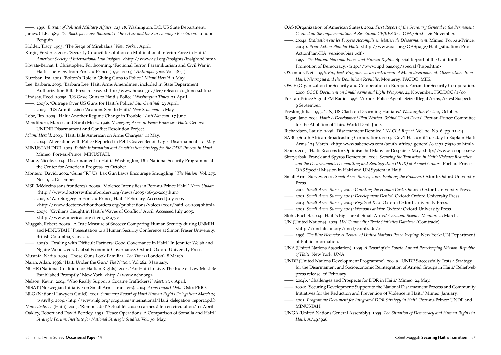——. 1996. *Bureau of Political Military Affairs: 123.18.* Washington, DC: US State Department.

- James, CLR. 1989. *The Black Jacobins: Toussaint L'Ouverture and the San Domingo Revolution*. London: Penguin.
- Kidder, Tracy. 1995. 'The Siege of Mirebalais.' *New Yorker*. April.
- Kirgis, Frederic. 2004. 'Security Council Resolution on Multinational Interim Force in Haiti.' *American Society of International Law Insights*. <http://www.asil.org/insights/insigh128.htm>

Kovats-Bernat, J. Christopher. Forthcoming. 'Factional Terror, Paramilitarism and Civil War in Haiti: The View from Port-au-Prince (1994–2004).' *Anthropologica*. Vol. 48 (1). Kurzban, Ira. 2005. 'Bolton's Role in Giving Guns to Police.' *Miami Herald.* 3 May.

Lee, Barbara. 2005. 'Barbara Lee: Haiti Arms Amendment included in State Department

Authorization Bill.' Press release. <http://www.house.gov/lee/releases/05June09.htm> Lindsay, Reed. 2005a. 'US Gave Guns to Haiti's Police.' *Washington Times*. 23 April.

——. 2005b. 'Outrage Over US Guns for Haiti's Police.' *Sun-Sentinal*. 23 April.

- ——. 2005c. 'US Admits 2,600 Weapons Sent to Haiti.' *New Scotsman.* 3 May.
- Lobe, Jim. 2005. 'Haiti: Another Regime Change in Trouble.' *AntiWar.com*. 17 June.

Mendiburu, Marcos and Sarah Meek. 1996. *Managing Arms in Peace Processes: Haiti.* Geneva: UNIDIR Disarmament and Conflict Resolution Project.

*Miami Herald*. 2003. 'Haiti Jails American on Arms Charges.' 11 May.

——. 2004. 'Altercation with Police Reported in Petit-Goave: Benoit Urges Disarmament.' 31 May.

MINUSTAH DDR. 2005. *Public Information and Sensitization Strategy for the DDR Process in Haiti.* Mimeo. Port-au-Prince: MINUSTAH.

Mlade, Nicole. 2004. 'Disarmament in Haiti.' Washington, DC: National Security Programme at the Center for American Progress. 27 October.

Montero, David. 2002. 'Guns "R" Us: Lax Gun Laws Encourage Smuggling.' *The Nation,* Vol. 275, No. 19. 2 December.

MSF (Médecins sans frontières). 2005a. 'Violence Intensifies in Port-au-Prince Haiti.' *News Update.* <http://www.doctorswithoutborders.org/news/2005/06-30-2005.htm>

- ——. 2005b. 'War Surgery in Port-au-Prince, Haiti.' February. Accessed July 2005 <http://www.doctorswithoutborders.org/publications/voices/2005/haiti\_02-2005.shtml>
- ——. 2005c. 'Civilians Caught in Haiti's Waves of Conflict.' April. Accessed July 2005. <http://www.americas.org/item\_18977>
- Muggah, Robert. 2005a. 'A True Measure of Success: Comparing Human Security during UNMIH and MINUSTAH.' Presentation to a Human Security Conference at Simon Fraser University, British Columbia, Canada.

——. 2005b. 'Dealing with Difficult Partners: Good Governance in Haiti.' In Jennifer Welsh and Ngaire Woods, eds. Global Economic Governance. Oxford: Oxford University Press.

Mustafa, Nadia. 2004. 'Those Guns Look Familiar.' *The Times* (London)*.* 8 March.

Nairn, Allan. 1996. 'Haiti Under the Gun.' *The Nation.* Vol 262*.* 8 January.

NCHR (National Coalition for Haitian Rights). 2004. 'For Haiti to Live, The Rule of Law Must Be Established Promptly.' New York. <http://www.nchr.org>

Nelson, Kevin. 2004. 'Who Really Supports Cocaine Traffickers?' *Alertnet*. 6 April. NISAT (Norwegian Initiative on Small Arms Transfers). 2004: *Arms Import Data*. Oslo: PRIO. NLG (National Lawyers Guild). 2005. *Summary Report of Haiti Human Rights Delegation: March 29*

*to April 5, 2004.* <http://www.nlg.org/programs/international/Haiti\_delegation\_report1.pdf> *Nouvelliste, Le* (Haiti)*.* 2005. 'Remous de l'Actualité: 200.000 armes à feu en circulation.' 11 April. Oakley, Robert and David Bentley. 1995. 'Peace Operations: A Comparison of Somalia and Haiti.'

*Strategic Forum: Institute for National Strategic Studies*, Vol*.* 30. May.

OAS (Organization of American States). 2002. *First Report of the Secretary General to the Permanent Council on the Implementation of Resolution CP/RES 822.* OFA/Ser.G. 26 November.

- ——. 2004a. *Evaluation sur les Progrés Accomplis en Matière de Déesarmament.* Mimeo. Port-au-Prince.
- ——. 2004b. *Prior Action Plan for Haiti*. <http://www.oas.org/OASpage/Haiti\_situation/Prior ActionPlan-HA\_version6bis1.pdf>
- ——. 1997. *The Haitian National Police and Human Rights.* Special Report of the Unit for the Promotion of Democracy. <http://www.upd.oas.org/special/hnpe.htm>

O'Connor, Neil. 1996. *Buy-back Programs as an Instrument of Micro-disarmament: Observations from Haiti, Nicaragua and the Dominican Republic*. Monterey: PACDC, MIIS.

OSCE (Organization for Security and Co-operation in Europe). Forum for Security Co-operation. 2000. *OSCE Document on Small Arms and Light Weapons*. 24 November. FSC.DOC/1/00.

Port-au-Prince Signal FM Radio. 1996. 'Airport Police Agents Seize Illegal Arms, Arrest Suspects.' 9 September.

Preston, Julia. 1995. 'UN, US Clash on Disarming Haitians.' *Washington Post*. 19 October.

Regan, Jane. 2004. *Haiti: A Development Plan Written 'Behind Closed Doors'*. Port-au-Prince: Committee for the Abolition of Third World Debt. June.

Richardson, Laurie. 1996. 'Disarmament Derailed.' *NACLA Report*. Vol. 29, No. 6, pp. 11–14. SABC (South African Broadcasting Corporation). 2004. 'Gov't Has until Tuesday to Explain Haiti

Arms.' 24 March. <http: www.sabcnews.com/south\_africa/ general/0,2172,76510,00.html> Scoop. 2005. 'Haiti: Reasons for Optimism but Many for Despair.' 4 May. <http://www.scoop.co.nz> Skzryerbak, Franck and Spyros Demetriou. 2004. *Securing the Transition in Haiti: Violence Reduction* 

*and the Disarmament, Dismantling and Reintegration (DDR) of Armed Groups.* Port-au-Prince: OAS Special Mission in Haiti and UN System in Haiti.

- Small Arms Survey. 2001. *Small Arms Survey 2001: Profiling the Problem.* Oxford: Oxford University Press.
- ——. 2002. *Small Arms Survey 2002: Counting the Human Cost*. Oxford: Oxford University Press.
- ——. 2003. *Small Arms Survey 2003: Development Denied.* Oxford: Oxford University Press.
- ——. 2004. *Small Arms Survey 2004: Rights at Risk.* Oxford: Oxford University Press.
- ——. 2005. *Small Arms Survey 2005: Weapons at War.* Oxford: Oxford University Press.
- Stohl, Rachel. 2004. 'Haiti's Big Threat: Small Arms.' *Christian Science Monitor.* 23 March. UN (United Nations). 2005. *UN Commodity Trade Statistics Database* (Comtrade).

<http://unstats.un.org/unsd/comtrade/>

- ——. 1996. *The Blue Helmets: A Review of United Nations Peace-keeping*. New York: UN Department of Public Information.
- UNA (United Nations Association). 1995. *A Report of the Fourth Annual Peacekeeping Mission: Republic of Haiti*. New York: UNA.
- UNDP (United Nations Development Programme). 2004a. 'UNDP Successfully Tests a Strategy for the Disarmament and Socioeconomic Reintegration of Armed Groups in Haiti.' Reliefweb press release. 26 February.
- ——. 2004b. 'Challenges and Prospects for DDR in Haiti*.*' Mimeo. 24 May.
- ——. 2004c. 'Securing Development: Support to the National Disarmament Process and Community Initiatives for the Reduction and Prevention of Violence in Haiti*.*' Mimeo. January.
- ——. 2005. *Programme Document for Integrated DDR Strategy in Haiti*. Port-au-Prince: UNDP and MINUSTAH.
- UNGA (United Nations General Assembly). 1995. *The Situation of Democracy and Human Rights in Haiti.* A/49/926.